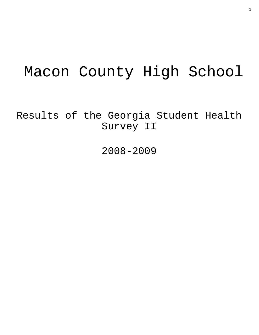# Macon County High School

Results of the Georgia Student Health Survey II

2008-2009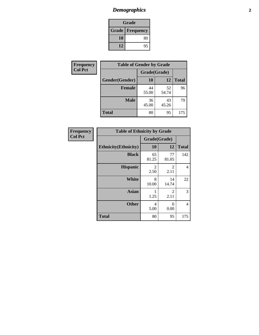# *Demographics* **2**

| Grade                    |    |  |  |  |
|--------------------------|----|--|--|--|
| <b>Grade   Frequency</b> |    |  |  |  |
| 10                       | 80 |  |  |  |
| 12                       | 95 |  |  |  |

| <b>Frequency</b> | <b>Table of Gender by Grade</b> |              |             |              |  |  |
|------------------|---------------------------------|--------------|-------------|--------------|--|--|
| <b>Col Pct</b>   |                                 | Grade(Grade) |             |              |  |  |
|                  | Gender(Gender)                  | 10           | 12          | <b>Total</b> |  |  |
|                  | <b>Female</b>                   | 44<br>55.00  | 52<br>54.74 | 96           |  |  |
|                  | <b>Male</b>                     | 36<br>45.00  | 43<br>45.26 | 79           |  |  |
|                  | <b>Total</b>                    | 80           | 95          | 175          |  |  |

| <b>Frequency</b><br>Col Pct |
|-----------------------------|
|                             |

| <b>Table of Ethnicity by Grade</b> |              |                        |              |  |  |  |
|------------------------------------|--------------|------------------------|--------------|--|--|--|
|                                    | Grade(Grade) |                        |              |  |  |  |
| <b>Ethnicity</b> (Ethnicity)       | 10           | 12                     | <b>Total</b> |  |  |  |
| <b>Black</b>                       | 65<br>81.25  | 77<br>81.05            | 142          |  |  |  |
| <b>Hispanic</b>                    | 2<br>2.50    | $\mathfrak{D}$<br>2.11 | 4            |  |  |  |
| White                              | 8<br>10.00   | 14<br>14.74            | 22           |  |  |  |
| <b>Asian</b>                       | 1.25         | 2<br>2.11              | 3            |  |  |  |
| <b>Other</b>                       | 4<br>5.00    | 0<br>0.00              | 4            |  |  |  |
| <b>Total</b>                       | 80           | 95                     | 175          |  |  |  |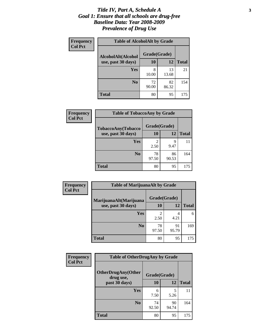#### *Title IV, Part A, Schedule A* **3** *Goal 1: Ensure that all schools are drug-free Baseline Data: Year 2008-2009 Prevalence of Drug Use*

| Frequency<br><b>Col Pct</b> | <b>Table of AlcoholAlt by Grade</b> |              |             |              |  |  |
|-----------------------------|-------------------------------------|--------------|-------------|--------------|--|--|
|                             | AlcoholAlt(Alcohol                  | Grade(Grade) |             |              |  |  |
|                             | use, past 30 days)                  | 10           | 12          | <b>Total</b> |  |  |
|                             | Yes                                 | 8<br>10.00   | 13<br>13.68 | 21           |  |  |
|                             | N <sub>0</sub>                      | 72<br>90.00  | 82<br>86.32 | 154          |  |  |
|                             | <b>Total</b>                        | 80           | 95          | 175          |  |  |

| Frequency<br><b>Col Pct</b> | <b>Table of TobaccoAny by Grade</b> |                                                                                                                                                                         |              |              |  |  |
|-----------------------------|-------------------------------------|-------------------------------------------------------------------------------------------------------------------------------------------------------------------------|--------------|--------------|--|--|
|                             | TobaccoAny(Tobacco                  |                                                                                                                                                                         | Grade(Grade) |              |  |  |
|                             | use, past 30 days)                  | 10                                                                                                                                                                      | 12           | <b>Total</b> |  |  |
|                             | Yes                                 | $\mathcal{D}_{\mathcal{A}}^{\mathcal{A}}(\mathcal{A})=\mathcal{D}_{\mathcal{A}}^{\mathcal{A}}(\mathcal{A})\mathcal{D}_{\mathcal{A}}^{\mathcal{A}}(\mathcal{A})$<br>2.50 | 9<br>9.47    | 11           |  |  |
|                             |                                     |                                                                                                                                                                         |              |              |  |  |
|                             | N <sub>0</sub>                      | 78<br>97.50                                                                                                                                                             | 86<br>90.53  | 164          |  |  |
|                             | <b>Total</b>                        | 80                                                                                                                                                                      | 95           | 175          |  |  |

| Frequency<br><b>Col Pct</b> | <b>Table of MarijuanaAlt by Grade</b> |              |             |              |  |
|-----------------------------|---------------------------------------|--------------|-------------|--------------|--|
|                             | MarijuanaAlt(Marijuana                | Grade(Grade) |             |              |  |
|                             | use, past 30 days)                    | <b>10</b>    | 12          | <b>Total</b> |  |
|                             | Yes                                   | 2<br>2.50    | 4<br>4.21   | 6            |  |
|                             | N <sub>0</sub>                        | 78<br>97.50  | 91<br>95.79 | 169          |  |
|                             | <b>Total</b>                          | 80           | 95          | 175          |  |

| <b>Frequency</b><br><b>Col Pct</b> | <b>Table of OtherDrugAny by Grade</b>                  |             |             |              |  |
|------------------------------------|--------------------------------------------------------|-------------|-------------|--------------|--|
|                                    | <b>OtherDrugAny(Other</b><br>Grade(Grade)<br>drug use, |             |             |              |  |
|                                    | past 30 days)                                          | 10          | <b>12</b>   | <b>Total</b> |  |
|                                    | Yes                                                    | 6<br>7.50   | 5<br>5.26   | 11           |  |
|                                    | N <sub>0</sub>                                         | 74<br>92.50 | 90<br>94.74 | 164          |  |
|                                    | <b>Total</b>                                           | 80          | 95          | 175          |  |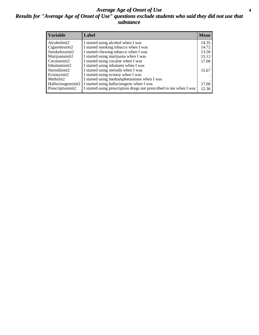#### *Average Age of Onset of Use* **4** *Results for "Average Age of Onset of Use" questions exclude students who said they did not use that substance*

| <b>Variable</b>    | Label                                                              | <b>Mean</b> |
|--------------------|--------------------------------------------------------------------|-------------|
| Alcoholinit2       | I started using alcohol when I was                                 | 14.35       |
| Cigarettesinit2    | I started smoking tobacco when I was                               | 14.72       |
| Smokelessinit2     | I started chewing tobacco when I was                               | 13.50       |
| Marijuanainit2     | I started using marijuana when I was                               | 15.12       |
| Cocaineinit2       | I started using cocaine when I was                                 | 17.00       |
| Inhalantsinit2     | I started using inhalants when I was                               |             |
| Steroidsinit2      | I started using steroids when I was                                | 15.67       |
| Ecstasyinit2       | I started using ecstasy when I was                                 |             |
| Methinit2          | I started using methamphetamines when I was                        |             |
| Hallucinogensinit2 | I started using hallucinogens when I was                           | 17.00       |
| Prescriptioninit2  | I started using prescription drugs not prescribed to me when I was | 12.36       |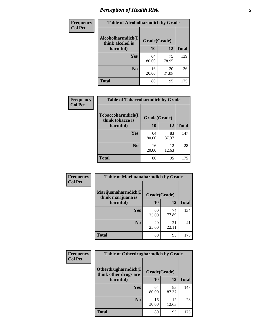### *Perception of Health Risk* **5**

| Frequency      | <b>Table of Alcoholharmdich by Grade</b> |              |             |              |  |
|----------------|------------------------------------------|--------------|-------------|--------------|--|
| <b>Col Pct</b> | Alcoholharmdich(I<br>think alcohol is    | Grade(Grade) |             |              |  |
|                | harmful)                                 | 10           | 12          | <b>Total</b> |  |
|                | <b>Yes</b>                               | 64<br>80.00  | 75<br>78.95 | 139          |  |
|                | N <sub>0</sub>                           | 16<br>20.00  | 20<br>21.05 | 36           |  |
|                | <b>Total</b>                             | 80           | 95          | 175          |  |

| Frequency      | <b>Table of Tobaccoharmdich by Grade</b> |              |             |              |  |
|----------------|------------------------------------------|--------------|-------------|--------------|--|
| <b>Col Pct</b> | Tobaccoharmdich(I<br>think tobacco is    | Grade(Grade) |             |              |  |
|                | harmful)                                 | 10           | 12          | <b>Total</b> |  |
|                | Yes                                      | 64<br>80.00  | 83<br>87.37 | 147          |  |
|                | N <sub>0</sub>                           | 16<br>20.00  | 12<br>12.63 | 28           |  |
|                | <b>Total</b>                             | 80           | 95          | 175          |  |

| <b>Frequency</b><br><b>Col Pct</b> | <b>Table of Marijuanaharmdich by Grade</b>                |             |             |              |  |  |
|------------------------------------|-----------------------------------------------------------|-------------|-------------|--------------|--|--|
|                                    | Marijuanaharmdich(I<br>Grade(Grade)<br>think marijuana is |             |             |              |  |  |
|                                    | harmful)                                                  | 10          | 12          | <b>Total</b> |  |  |
|                                    | <b>Yes</b>                                                | 60<br>75.00 | 74<br>77.89 | 134          |  |  |
|                                    | N <sub>0</sub>                                            | 20<br>25.00 | 21<br>22.11 | 41           |  |  |
|                                    | <b>Total</b>                                              | 80          | 95          | 175          |  |  |

| <b>Frequency</b> | <b>Table of Otherdrugharmdich by Grade</b>   |              |             |              |  |  |
|------------------|----------------------------------------------|--------------|-------------|--------------|--|--|
| <b>Col Pct</b>   | Otherdrugharmdich(I<br>think other drugs are | Grade(Grade) |             |              |  |  |
|                  | harmful)                                     | 10           | 12          | <b>Total</b> |  |  |
|                  | <b>Yes</b>                                   | 64<br>80.00  | 83<br>87.37 | 147          |  |  |
|                  | N <sub>0</sub>                               | 16<br>20.00  | 12<br>12.63 | 28           |  |  |
|                  | <b>Total</b>                                 | 80           | 95          | 175          |  |  |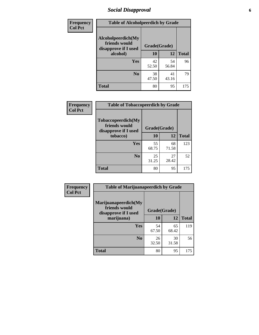### *Social Disapproval* **6**

| <b>Frequency</b> | <b>Table of Alcoholpeerdich by Grade</b>                    |              |             |              |  |
|------------------|-------------------------------------------------------------|--------------|-------------|--------------|--|
| <b>Col Pct</b>   | Alcoholpeerdich(My<br>friends would<br>disapprove if I used | Grade(Grade) |             |              |  |
|                  | alcohol)                                                    | 10           | 12          | <b>Total</b> |  |
|                  | <b>Yes</b>                                                  | 42<br>52.50  | 54<br>56.84 | 96           |  |
|                  | N <sub>0</sub>                                              | 38<br>47.50  | 41<br>43.16 | 79           |  |
|                  | <b>Total</b>                                                | 80           | 95          | 175          |  |

| <b>Frequency</b> |
|------------------|
| <b>Col Pct</b>   |

| <b>Table of Tobaccopeerdich by Grade</b>                    |              |             |              |  |  |  |
|-------------------------------------------------------------|--------------|-------------|--------------|--|--|--|
| Tobaccopeerdich(My<br>friends would<br>disapprove if I used | Grade(Grade) |             |              |  |  |  |
| tobacco)                                                    | 10           | 12          | <b>Total</b> |  |  |  |
| Yes                                                         | 55<br>68.75  | 68<br>71.58 | 123          |  |  |  |
| N <sub>0</sub>                                              | 25<br>31.25  | 27<br>28.42 | 52           |  |  |  |
| <b>Total</b>                                                | 80           | 95          | 175          |  |  |  |

| <b>Frequency</b> | <b>Table of Marijuanapeerdich by Grade</b>                    |              |             |              |  |  |
|------------------|---------------------------------------------------------------|--------------|-------------|--------------|--|--|
| <b>Col Pct</b>   | Marijuanapeerdich(My<br>friends would<br>disapprove if I used | Grade(Grade) |             |              |  |  |
|                  | marijuana)                                                    | 10           | 12          | <b>Total</b> |  |  |
|                  | <b>Yes</b>                                                    | 54<br>67.50  | 65<br>68.42 | 119          |  |  |
|                  | N <sub>0</sub>                                                | 26<br>32.50  | 30<br>31.58 | 56           |  |  |
|                  | <b>Total</b>                                                  | 80           | 95          | 175          |  |  |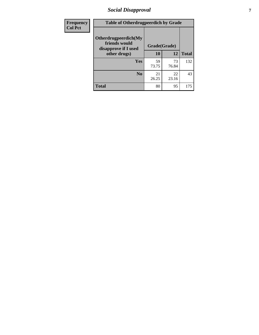### *Social Disapproval* **7**

| Frequency      | <b>Table of Otherdrugpeerdich by Grade</b>                    |             |              |              |  |  |  |
|----------------|---------------------------------------------------------------|-------------|--------------|--------------|--|--|--|
| <b>Col Pct</b> | Otherdrugpeerdich(My<br>friends would<br>disapprove if I used |             | Grade(Grade) |              |  |  |  |
|                | other drugs)                                                  | 10          | 12           | <b>Total</b> |  |  |  |
|                | <b>Yes</b>                                                    | 59<br>73.75 | 73<br>76.84  | 132          |  |  |  |
|                | N <sub>0</sub>                                                | 21<br>26.25 | 22<br>23.16  | 43           |  |  |  |
|                | <b>Total</b>                                                  | 80          | 95           | 175          |  |  |  |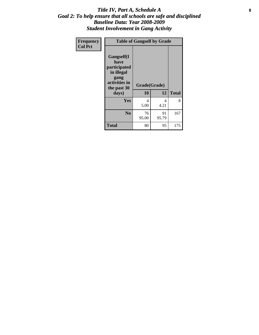#### Title IV, Part A, Schedule A **8** *Goal 2: To help ensure that all schools are safe and disciplined Baseline Data: Year 2008-2009 Student Involvement in Gang Activity*

| Frequency      |                                                                                                   | <b>Table of Gangself by Grade</b> |             |              |
|----------------|---------------------------------------------------------------------------------------------------|-----------------------------------|-------------|--------------|
| <b>Col Pct</b> | Gangself(I<br>have<br>participated<br>in illegal<br>gang<br>activities in<br>the past 30<br>days) | Grade(Grade)<br>10                | 12          | <b>Total</b> |
|                | Yes                                                                                               | 4<br>5.00                         | 4<br>4.21   | 8            |
|                | N <sub>0</sub>                                                                                    | 76<br>95.00                       | 91<br>95.79 | 167          |
|                | <b>Total</b>                                                                                      | 80                                | 95          | 175          |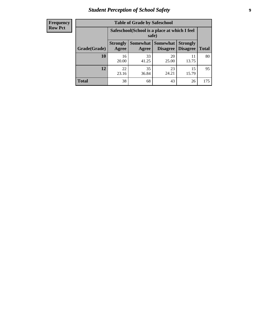# *Student Perception of School Safety* **9**

| <b>Frequency</b><br>Row Pct |
|-----------------------------|
|                             |

| <b>Table of Grade by Safeschool</b> |                          |                                                        |                                        |                                    |              |  |  |
|-------------------------------------|--------------------------|--------------------------------------------------------|----------------------------------------|------------------------------------|--------------|--|--|
|                                     |                          | Safeschool (School is a place at which I feel<br>safe) |                                        |                                    |              |  |  |
| Grade(Grade)                        | <b>Strongly</b><br>Agree | Agree                                                  | <b>Somewhat   Somewhat</b><br>Disagree | <b>Strongly</b><br><b>Disagree</b> | <b>Total</b> |  |  |
| <b>10</b>                           | 16<br>20.00              | 33<br>41.25                                            | 20<br>25.00                            | 11<br>13.75                        | 80           |  |  |
| 12                                  | 22<br>23.16              | 35<br>36.84                                            | 23<br>24.21                            | 15<br>15.79                        | 95           |  |  |
| <b>Total</b>                        | 38                       | 68                                                     | 43                                     | 26                                 | 175          |  |  |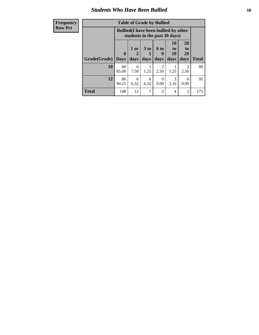#### *Students Who Have Been Bullied* **10**

| <b>Frequency</b> | <b>Table of Grade by Bullied</b> |              |           |                 |                                                                               |                       |                       |              |
|------------------|----------------------------------|--------------|-----------|-----------------|-------------------------------------------------------------------------------|-----------------------|-----------------------|--------------|
| <b>Row Pct</b>   |                                  |              |           |                 | <b>Bullied</b> (I have been bullied by other<br>students in the past 30 days) |                       |                       |              |
|                  |                                  | $\mathbf{0}$ | 1 or<br>2 | 3 <sub>to</sub> | 6 to<br>g                                                                     | <b>10</b><br>to<br>19 | <b>20</b><br>to<br>29 |              |
|                  | Grade(Grade)                     | <b>Days</b>  | days      | days            | days                                                                          | days                  | days                  | <b>Total</b> |
|                  | 10                               | 68<br>85.00  | 6<br>7.50 | 1.25            | $\mathfrak{D}$<br>2.50                                                        | 1.25                  | 2<br>2.50             | 80           |
|                  | 12                               | 80<br>84.21  | 6<br>6.32 | 6<br>6.32       | 0<br>0.00                                                                     | 3<br>3.16             | $\Omega$<br>0.00      | 95           |
|                  | <b>Total</b>                     | 148          | 12        | 7               | $\mathfrak{D}$                                                                | 4                     | $\overline{2}$        | 175          |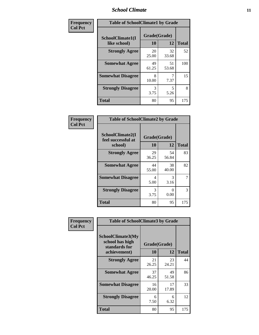#### *School Climate* **11**

| <b>Frequency</b> | <b>Table of SchoolClimate1 by Grade</b> |                    |             |              |  |  |
|------------------|-----------------------------------------|--------------------|-------------|--------------|--|--|
| <b>Col Pct</b>   | SchoolClimate1(I<br>like school)        | Grade(Grade)<br>10 | 12          | <b>Total</b> |  |  |
|                  | <b>Strongly Agree</b>                   | 20<br>25.00        | 32<br>33.68 | 52           |  |  |
|                  | <b>Somewhat Agree</b>                   | 49<br>61.25        | 51<br>53.68 | 100          |  |  |
|                  | <b>Somewhat Disagree</b>                | 8<br>10.00         | 7.37        | 15           |  |  |
|                  | <b>Strongly Disagree</b>                | 3<br>3.75          | 5<br>5.26   | 8            |  |  |
|                  | <b>Total</b>                            | 80                 | 95          | 175          |  |  |

| Frequency<br>Col Pct |  |
|----------------------|--|

| <b>Table of SchoolClimate2 by Grade</b>           |                    |              |     |  |  |
|---------------------------------------------------|--------------------|--------------|-----|--|--|
| SchoolClimate2(I<br>feel successful at<br>school) | Grade(Grade)<br>10 | <b>Total</b> |     |  |  |
| <b>Strongly Agree</b>                             | 29<br>36.25        | 54<br>56.84  | 83  |  |  |
| <b>Somewhat Agree</b>                             | 44<br>55.00        | 38<br>40.00  | 82  |  |  |
| <b>Somewhat Disagree</b>                          | 4<br>5.00          | 3<br>3.16    | 7   |  |  |
| <b>Strongly Disagree</b>                          | 3<br>3.75          | 0.00         | 3   |  |  |
| <b>Total</b>                                      | 80                 | 95           | 175 |  |  |

| Frequency      |                                                                       | <b>Table of SchoolClimate3 by Grade</b> |             |              |  |
|----------------|-----------------------------------------------------------------------|-----------------------------------------|-------------|--------------|--|
| <b>Col Pct</b> | SchoolClimate3(My<br>school has high<br>standards for<br>achievement) | Grade(Grade)<br>10                      | 12          | <b>Total</b> |  |
|                |                                                                       |                                         |             |              |  |
|                | <b>Strongly Agree</b>                                                 | 21<br>26.25                             | 23<br>24.21 | 44           |  |
|                | <b>Somewhat Agree</b>                                                 | 37<br>46.25                             | 49<br>51.58 | 86           |  |
|                | <b>Somewhat Disagree</b>                                              | 16<br>20.00                             | 17<br>17.89 | 33           |  |
|                | <b>Strongly Disagree</b>                                              | 6<br>7.50                               | 6<br>6.32   | 12           |  |
|                | Total                                                                 | 80                                      | 95          | 175          |  |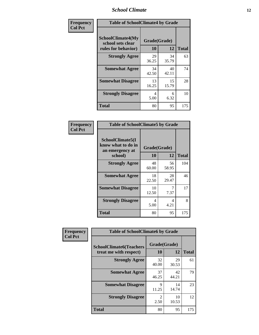#### *School Climate* **12**

| Frequency      | <b>Table of SchoolClimate4 by Grade</b>                              |                    |             |              |
|----------------|----------------------------------------------------------------------|--------------------|-------------|--------------|
| <b>Col Pct</b> | <b>SchoolClimate4(My</b><br>school sets clear<br>rules for behavior) | Grade(Grade)<br>10 | 12          | <b>Total</b> |
|                | <b>Strongly Agree</b>                                                | 29<br>36.25        | 34<br>35.79 | 63           |
|                | <b>Somewhat Agree</b>                                                | 34<br>42.50        | 40<br>42.11 | 74           |
|                | <b>Somewhat Disagree</b>                                             | 13<br>16.25        | 15<br>15.79 | 28           |
|                | <b>Strongly Disagree</b>                                             | 4<br>5.00          | 6<br>6.32   | 10           |
|                | <b>Total</b>                                                         | 80                 | 95          | 175          |

| <b>Table of SchoolClimate5 by Grade</b>                              |                    |                   |     |  |  |
|----------------------------------------------------------------------|--------------------|-------------------|-----|--|--|
| SchoolClimate5(I<br>know what to do in<br>an emergency at<br>school) | Grade(Grade)<br>10 | <b>Total</b>      |     |  |  |
| <b>Strongly Agree</b>                                                | 48<br>60.00        | 12<br>56<br>58.95 | 104 |  |  |
| <b>Somewhat Agree</b>                                                | 18<br>22.50        | 28<br>29.47       | 46  |  |  |
| <b>Somewhat Disagree</b>                                             | 10<br>12.50        | 7<br>7.37         | 17  |  |  |
| <b>Strongly Disagree</b>                                             | 4<br>5.00          | 4<br>4.21         | 8   |  |  |
| Total                                                                | 80                 | 95                | 175 |  |  |

| Frequency      | <b>Table of SchoolClimate6 by Grade</b>                  |                        |             |              |
|----------------|----------------------------------------------------------|------------------------|-------------|--------------|
| <b>Col Pct</b> | <b>SchoolClimate6(Teachers</b><br>treat me with respect) | Grade(Grade)<br>10     | 12          | <b>Total</b> |
|                | <b>Strongly Agree</b>                                    | 32<br>40.00            | 29<br>30.53 | 61           |
|                | <b>Somewhat Agree</b>                                    | 37<br>46.25            | 42<br>44.21 | 79           |
|                | <b>Somewhat Disagree</b>                                 | 9<br>11.25             | 14<br>14.74 | 23           |
|                | <b>Strongly Disagree</b>                                 | $\mathfrak{D}$<br>2.50 | 10<br>10.53 | 12           |
|                | <b>Total</b>                                             | 80                     | 95          | 175          |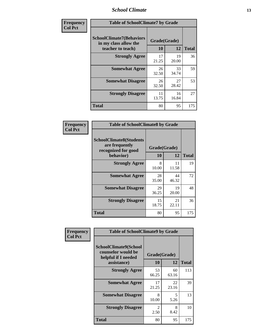#### *School Climate* **13**

| Frequency      | <b>Table of SchoolClimate7 by Grade</b>                                       |                           |             |              |
|----------------|-------------------------------------------------------------------------------|---------------------------|-------------|--------------|
| <b>Col Pct</b> | <b>SchoolClimate7(Behaviors</b><br>in my class allow the<br>teacher to teach) | Grade(Grade)<br><b>10</b> | 12          | <b>Total</b> |
|                | <b>Strongly Agree</b>                                                         | 17<br>21.25               | 19<br>20.00 | 36           |
|                | <b>Somewhat Agree</b>                                                         | 26<br>32.50               | 33<br>34.74 | 59           |
|                | <b>Somewhat Disagree</b>                                                      | 26<br>32.50               | 27<br>28.42 | 53           |
|                | <b>Strongly Disagree</b>                                                      | 11<br>13.75               | 16<br>16.84 | 27           |
|                | <b>Total</b>                                                                  | 80                        | 95          | 175          |

| Frequency      | <b>Table of SchoolClimate8 by Grade</b>                                 |              |             |              |
|----------------|-------------------------------------------------------------------------|--------------|-------------|--------------|
| <b>Col Pct</b> | <b>SchoolClimate8(Students</b><br>are frequently<br>recognized for good | Grade(Grade) |             |              |
|                | behavior)                                                               | 10           | 12          | <b>Total</b> |
|                | <b>Strongly Agree</b>                                                   | 8<br>10.00   | 11<br>11.58 | 19           |
|                | <b>Somewhat Agree</b>                                                   | 28<br>35.00  | 44<br>46.32 | 72           |
|                | <b>Somewhat Disagree</b>                                                | 29<br>36.25  | 19<br>20.00 | 48           |
|                | <b>Strongly Disagree</b>                                                | 15<br>18.75  | 21<br>22.11 | 36           |
|                | <b>Total</b>                                                            | 80           | 95          | 175          |

| Frequency      | <b>Table of SchoolClimate9 by Grade</b>                                           |                        |             |              |
|----------------|-----------------------------------------------------------------------------------|------------------------|-------------|--------------|
| <b>Col Pct</b> | SchoolClimate9(School<br>counselor would be<br>helpful if I needed<br>assistance) | Grade(Grade)<br>10     | 12          | <b>Total</b> |
|                | <b>Strongly Agree</b>                                                             | 53<br>66.25            | 60<br>63.16 | 113          |
|                | <b>Somewhat Agree</b>                                                             | 17<br>21.25            | 22<br>23.16 | 39           |
|                | <b>Somewhat Disagree</b>                                                          | 8<br>10.00             | 5<br>5.26   | 13           |
|                | <b>Strongly Disagree</b>                                                          | $\mathfrak{D}$<br>2.50 | 8<br>8.42   | 10           |
|                | Total                                                                             | 80                     | 95          | 175          |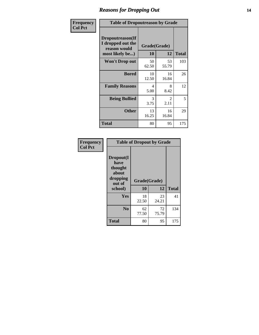#### *Reasons for Dropping Out* **14**

| Frequency      | <b>Table of Dropoutreason by Grade</b>                                   |                    |             |              |
|----------------|--------------------------------------------------------------------------|--------------------|-------------|--------------|
| <b>Col Pct</b> | Dropoutreason(If<br>I dropped out the<br>reason would<br>most likely be) | Grade(Grade)<br>10 | 12          | <b>Total</b> |
|                | <b>Won't Drop out</b>                                                    | 50<br>62.50        | 53<br>55.79 | 103          |
|                | <b>Bored</b>                                                             | 10<br>12.50        | 16<br>16.84 | 26           |
|                | <b>Family Reasons</b>                                                    | 4<br>5.00          | 8<br>8.42   | 12           |
|                | <b>Being Bullied</b>                                                     | 3<br>3.75          | 2<br>2.11   | 5            |
|                | <b>Other</b>                                                             | 13<br>16.25        | 16<br>16.84 | 29           |
|                | <b>Total</b>                                                             | 80                 | 95          | 175          |

| Frequency      | <b>Table of Dropout by Grade</b>                                       |                    |             |              |  |
|----------------|------------------------------------------------------------------------|--------------------|-------------|--------------|--|
| <b>Col Pct</b> | Dropout(I<br>have<br>thought<br>about<br>dropping<br>out of<br>school) | Grade(Grade)<br>10 | 12          | <b>Total</b> |  |
|                | <b>Yes</b>                                                             | 18<br>22.50        | 23<br>24.21 | 41           |  |
|                | N <sub>0</sub>                                                         | 62<br>77.50        | 72<br>75.79 | 134          |  |
|                | <b>Total</b>                                                           | 80                 | 95          | 175          |  |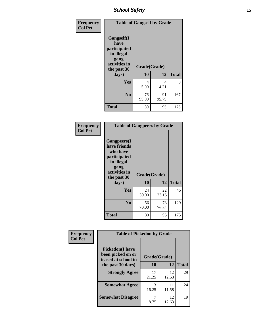*School Safety* **15**

| Frequency      | <b>Table of Gangself by Grade</b>                                                                 |                    |             |              |
|----------------|---------------------------------------------------------------------------------------------------|--------------------|-------------|--------------|
| <b>Col Pct</b> | Gangself(I<br>have<br>participated<br>in illegal<br>gang<br>activities in<br>the past 30<br>days) | Grade(Grade)<br>10 | 12          | <b>Total</b> |
|                | Yes                                                                                               | 4<br>5.00          | 4<br>4.21   | 8            |
|                | N <sub>0</sub>                                                                                    | 76<br>95.00        | 91<br>95.79 | 167          |
|                | <b>Total</b>                                                                                      | 80                 | 95          | 175          |

| Frequency<br><b>Col Pct</b> | <b>Table of Gangpeers by Grade</b>                                                                                             |                    |             |              |
|-----------------------------|--------------------------------------------------------------------------------------------------------------------------------|--------------------|-------------|--------------|
|                             | <b>Gangpeers</b> (I<br>have friends<br>who have<br>participated<br>in illegal<br>gang<br>activities in<br>the past 30<br>days) | Grade(Grade)<br>10 | 12          | <b>Total</b> |
|                             | <b>Yes</b>                                                                                                                     | 24<br>30.00        | 22<br>23.16 | 46           |
|                             | N <sub>0</sub>                                                                                                                 | 56<br>70.00        | 73<br>76.84 | 129          |
|                             | <b>Total</b>                                                                                                                   | 80                 | 95          | 175          |

| Frequency      |                                                                     | <b>Table of Pickedon by Grade</b> |             |              |  |  |  |  |  |
|----------------|---------------------------------------------------------------------|-----------------------------------|-------------|--------------|--|--|--|--|--|
| <b>Col Pct</b> | <b>Pickedon</b> (I have<br>been picked on or<br>teased at school in | Grade(Grade)                      |             |              |  |  |  |  |  |
|                | the past 30 days)                                                   | 10                                | 12          | <b>Total</b> |  |  |  |  |  |
|                | <b>Strongly Agree</b>                                               | 17<br>21.25                       | 12<br>12.63 | 29           |  |  |  |  |  |
|                | <b>Somewhat Agree</b>                                               | 13<br>16.25                       | 11<br>11.58 | 24           |  |  |  |  |  |
|                | <b>Somewhat Disagree</b>                                            | 8.75                              | 12<br>12.63 | 19           |  |  |  |  |  |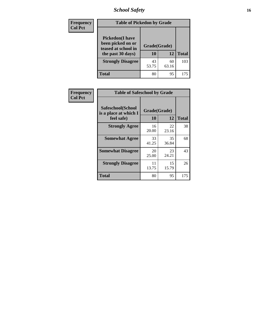*School Safety* **16**

| <b>Frequency</b> | <b>Table of Pickedon by Grade</b>                                                        |                    |             |              |
|------------------|------------------------------------------------------------------------------------------|--------------------|-------------|--------------|
| <b>Col Pct</b>   | <b>Pickedon</b> (I have<br>been picked on or<br>teased at school in<br>the past 30 days) | Grade(Grade)<br>10 | 12          | <b>Total</b> |
|                  | <b>Strongly Disagree</b>                                                                 | 43<br>53.75        | 60<br>63.16 | 103          |
|                  | Total                                                                                    | 80                 | 95          | 175          |

| Frequency      | <b>Table of Safeschool by Grade</b>                      |                    |             |              |  |  |  |  |  |
|----------------|----------------------------------------------------------|--------------------|-------------|--------------|--|--|--|--|--|
| <b>Col Pct</b> | Safeschool(School<br>is a place at which I<br>feel safe) | Grade(Grade)<br>10 | 12          | <b>Total</b> |  |  |  |  |  |
|                | <b>Strongly Agree</b>                                    | 16<br>20.00        | 22<br>23.16 | 38           |  |  |  |  |  |
|                | <b>Somewhat Agree</b>                                    | 33<br>41.25        | 35<br>36.84 | 68           |  |  |  |  |  |
|                | <b>Somewhat Disagree</b>                                 | 20<br>25.00        | 23<br>24.21 | 43           |  |  |  |  |  |
|                | <b>Strongly Disagree</b>                                 | 11<br>13.75        | 15<br>15.79 | 26           |  |  |  |  |  |
|                | <b>Total</b>                                             | 80                 | 95          | 175          |  |  |  |  |  |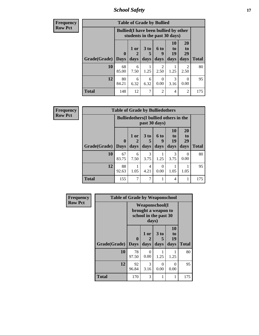*School Safety* **17**

| <b>Frequency</b> | <b>Table of Grade by Bullied</b> |             |                                                                               |                              |                                     |                               |                               |              |  |  |
|------------------|----------------------------------|-------------|-------------------------------------------------------------------------------|------------------------------|-------------------------------------|-------------------------------|-------------------------------|--------------|--|--|
| <b>Row Pct</b>   |                                  |             | <b>Bullied</b> (I have been bullied by other<br>students in the past 30 days) |                              |                                     |                               |                               |              |  |  |
|                  | Grade(Grade)   Days              | $\mathbf 0$ | 1 or<br>days                                                                  | 3 <sub>to</sub><br>5<br>days | <b>6 to</b><br>9<br>days            | <b>10</b><br>to<br>19<br>days | <b>20</b><br>to<br>29<br>days | <b>Total</b> |  |  |
|                  | 10                               | 68<br>85.00 | 6<br>7.50                                                                     | 1.25                         | $\mathcal{D}_{\mathcal{L}}$<br>2.50 | 1.25                          | 2<br>2.50                     | 80           |  |  |
|                  | 12                               | 80<br>84.21 | 6<br>6.32                                                                     | 6<br>6.32                    | $\Omega$<br>0.00                    | 3<br>3.16                     | $\Omega$<br>0.00              | 95           |  |  |
|                  | <b>Total</b>                     | 148         | 12                                                                            | ┑                            | 2                                   | 4                             | $\overline{2}$                | 175          |  |  |

| Frequency      |                     | <b>Table of Grade by Bulliedothers</b> |              |              |                   |                               |                                               |              |  |  |  |  |
|----------------|---------------------|----------------------------------------|--------------|--------------|-------------------|-------------------------------|-----------------------------------------------|--------------|--|--|--|--|
| <b>Row Pct</b> |                     |                                        |              |              | past 30 days)     |                               | <b>Bulliedothers</b> (I bullied others in the |              |  |  |  |  |
|                | Grade(Grade)   Days | $\mathbf 0$                            | 1 or<br>days | 3 to<br>days | 6 to<br>9<br>days | <b>10</b><br>to<br>19<br>days | 20<br>to<br>29<br>days                        | <b>Total</b> |  |  |  |  |
|                | 10                  | 67<br>83.75                            | 6<br>7.50    | 3<br>3.75    | 1.25              | 3<br>3.75                     | 0<br>0.00                                     | 80           |  |  |  |  |
|                | 12                  | 88<br>92.63                            | 1.05         | 4<br>4.21    | 0<br>0.00         | 1.05                          | 1.05                                          | 95           |  |  |  |  |
|                | <b>Total</b>        | 155                                    | 7            | 7            |                   | $\overline{4}$                | 1                                             | 175          |  |  |  |  |

| Frequency      | <b>Table of Grade by Weaponschool</b> |                                                                        |                   |                              |                        |              |  |  |
|----------------|---------------------------------------|------------------------------------------------------------------------|-------------------|------------------------------|------------------------|--------------|--|--|
| <b>Row Pct</b> |                                       | <b>Weaponschool</b> (I<br>brought a weapon to<br>school in the past 30 |                   |                              |                        |              |  |  |
|                | Grade(Grade)                          | $\boldsymbol{0}$<br><b>Days</b>                                        | 1 or<br>2<br>days | 3 <sub>to</sub><br>5<br>days | 10<br>to<br>19<br>days | <b>Total</b> |  |  |
|                | 10                                    | 78<br>97.50                                                            | 0<br>0.00         | 1.25                         | 1.25                   | 80           |  |  |
|                | 12                                    | 92<br>96.84                                                            | 3<br>3.16         | 0<br>0.00                    | 0<br>0.00              | 95           |  |  |
|                | <b>Total</b>                          | 170                                                                    | 3                 | 1                            | 1                      | 175          |  |  |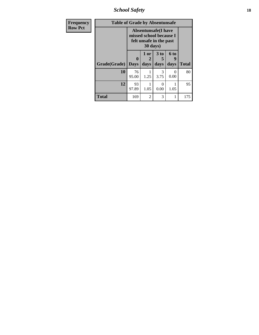*School Safety* **18**

| <b>Frequency</b> | <b>Table of Grade by Absentunsafe</b> |                                                                                  |                   |                   |                   |              |  |  |  |
|------------------|---------------------------------------|----------------------------------------------------------------------------------|-------------------|-------------------|-------------------|--------------|--|--|--|
| <b>Row Pct</b>   |                                       | <b>Absentunsafe(I have</b><br>missed school because I<br>felt unsafe in the past |                   |                   |                   |              |  |  |  |
|                  | Grade(Grade)                          | 0<br><b>Days</b>                                                                 | 1 or<br>2<br>days | 3 to<br>5<br>days | 6 to<br>y<br>days | <b>Total</b> |  |  |  |
|                  | 10                                    | 76<br>95.00                                                                      | 1.25              | 3<br>3.75         | $\Omega$<br>0.00  | 80           |  |  |  |
|                  | 12                                    | 93<br>97.89                                                                      | 1.05              | 0.00              | 1.05              | 95           |  |  |  |
|                  | <b>Total</b>                          | 169                                                                              | $\overline{c}$    | 3                 | 1                 | 175          |  |  |  |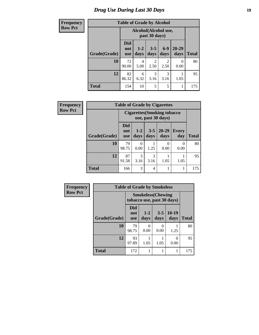| <b>Frequency</b> | <b>Table of Grade by Alcohol</b> |                                 |                      |                        |                        |                   |              |
|------------------|----------------------------------|---------------------------------|----------------------|------------------------|------------------------|-------------------|--------------|
| <b>Row Pct</b>   |                                  |                                 | Alcohol(Alcohol use, | past 30 days)          |                        |                   |              |
|                  | Grade(Grade)                     | <b>Did</b><br>not<br><b>use</b> | $1 - 2$<br>days      | $3 - 5$<br>days        | $6-9$<br>days          | $20 - 29$<br>days | <b>Total</b> |
|                  | 10                               | 72<br>90.00                     | 4<br>5.00            | $\overline{c}$<br>2.50 | $\overline{2}$<br>2.50 | 0<br>0.00         | 80           |
|                  | 12                               | 82<br>86.32                     | 6<br>6.32            | 3<br>3.16              | 3<br>3.16              | 1.05              | 95           |
|                  | <b>Total</b>                     | 154                             | 10                   | 5                      | 5                      |                   | 175          |

| <b>Frequency</b> | <b>Table of Grade by Cigarettes</b> |                          |                                                           |                 |                   |                     |              |  |
|------------------|-------------------------------------|--------------------------|-----------------------------------------------------------|-----------------|-------------------|---------------------|--------------|--|
| <b>Row Pct</b>   |                                     |                          | <b>Cigarettes (Smoking tobacco)</b><br>use, past 30 days) |                 |                   |                     |              |  |
|                  | Grade(Grade)                        | Did<br>not<br><b>use</b> | $1 - 2$<br>days                                           | $3 - 5$<br>days | $20 - 29$<br>days | <b>Every</b><br>day | <b>Total</b> |  |
|                  | 10                                  | 79<br>98.75              | 0<br>0.00                                                 | 1.25            | 0<br>0.00         | 0<br>0.00           | 80           |  |
|                  | 12                                  | 87<br>91.58              | 3<br>3.16                                                 | 3<br>3.16       | 1.05              | 1.05                | 95           |  |
|                  | <b>Total</b>                        | 166                      | 3                                                         | 4               |                   | 1                   | 175          |  |

| Frequency      | <b>Table of Grade by Smokeless</b> |                          |                                                         |                           |                 |              |  |  |
|----------------|------------------------------------|--------------------------|---------------------------------------------------------|---------------------------|-----------------|--------------|--|--|
| <b>Row Pct</b> |                                    |                          | <b>Smokeless</b> (Chewing<br>tobacco use, past 30 days) |                           |                 |              |  |  |
|                | Grade(Grade)                       | Did<br>not<br><b>use</b> | $1 - 2$<br>days                                         | $3 - 5$<br>days           | $10-19$<br>days | <b>Total</b> |  |  |
|                | 10                                 | 79<br>98.75              | $\Omega$<br>0.00                                        | $\mathbf{\Omega}$<br>0.00 | 1.25            | 80           |  |  |
|                | 12                                 | 93<br>97.89              | 1.05                                                    | 1.05                      | 0<br>0.00       | 95           |  |  |
|                | <b>Total</b>                       | 172                      |                                                         |                           |                 | 175          |  |  |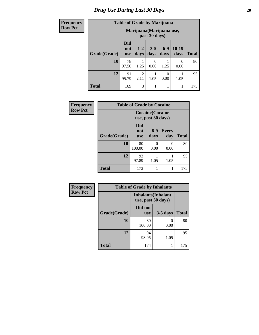| <b>Frequency</b> | <b>Table of Grade by Marijuana</b> |                                 |                           |                  |               |                  |              |
|------------------|------------------------------------|---------------------------------|---------------------------|------------------|---------------|------------------|--------------|
| <b>Row Pct</b>   |                                    |                                 | Marijuana (Marijuana use, | past 30 days)    |               |                  |              |
|                  | Grade(Grade)                       | <b>Did</b><br>not<br><b>use</b> | $1 - 2$<br>days           | $3 - 5$<br>days  | $6-9$<br>days | $10-19$<br>days  | <b>Total</b> |
|                  | 10                                 | 78<br>97.50                     | 1.25                      | $\Omega$<br>0.00 | 1.25          | $\Omega$<br>0.00 | 80           |
|                  | 12                                 | 91<br>95.79                     | 2<br>2.11                 | 1.05             | 0<br>0.00     | 1.05             | 95           |
|                  | <b>Total</b>                       | 169                             | 3                         |                  |               |                  | 175          |

| Frequency      | <b>Table of Grade by Cocaine</b> |                                               |               |                     |              |  |  |  |
|----------------|----------------------------------|-----------------------------------------------|---------------|---------------------|--------------|--|--|--|
| <b>Row Pct</b> |                                  | <b>Cocaine</b> (Cocaine<br>use, past 30 days) |               |                     |              |  |  |  |
|                | Grade(Grade)                     | <b>Did</b><br>not<br><b>use</b>               | $6-9$<br>days | <b>Every</b><br>day | <b>Total</b> |  |  |  |
|                | 10                               | 80<br>100.00                                  | 0.00          | 0<br>0.00           | 80           |  |  |  |
|                | 12                               | 93<br>97.89                                   | 1.05          | 1.05                | 95           |  |  |  |
|                | <b>Total</b>                     | 173                                           |               | 1                   | 175          |  |  |  |

| Frequency      |              | <b>Table of Grade by</b> |
|----------------|--------------|--------------------------|
| <b>Row Pct</b> |              | Inhalant<br>use, pas     |
|                |              | Did not                  |
|                | Grade(Grade) | use                      |
|                | 10           |                          |

| <b>Table of Grade by Inhalants</b> |                                                  |            |              |  |
|------------------------------------|--------------------------------------------------|------------|--------------|--|
|                                    | <b>Inhalants</b> (Inhalant<br>use, past 30 days) |            |              |  |
|                                    | Did not                                          |            |              |  |
| Grade(Grade)                       | <b>use</b>                                       | $3-5$ days | <b>Total</b> |  |
| 10                                 | 80                                               |            | 80           |  |
|                                    | 100.00                                           | 0.00       |              |  |
| 12                                 | 94                                               |            | 95           |  |
|                                    | 98.95                                            |            |              |  |
| <b>Total</b>                       | 174                                              |            | 175          |  |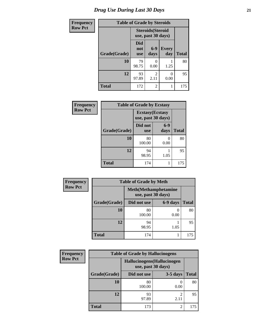| <b>Frequency</b> | <b>Table of Grade by Steroids</b> |                                                |                           |                     |              |
|------------------|-----------------------------------|------------------------------------------------|---------------------------|---------------------|--------------|
| <b>Row Pct</b>   |                                   | <b>Steroids</b> (Steroid<br>use, past 30 days) |                           |                     |              |
|                  | Grade(Grade)                      | Did<br>not<br><b>use</b>                       | $6-9$<br>days             | <b>Every</b><br>day | <b>Total</b> |
|                  | 10                                | 79<br>98.75                                    | $\mathbf{\Omega}$<br>0.00 | 1.25                | 80           |
|                  | 12                                | 93<br>97.89                                    | $\mathfrak{D}$<br>2.11    | 0<br>0.00           | 95           |
|                  | <b>Total</b>                      | 172                                            | $\overline{2}$            |                     | 175          |

| Frequency      | <b>Table of Grade by Ecstasy</b> |                                               |                 |              |
|----------------|----------------------------------|-----------------------------------------------|-----------------|--------------|
| <b>Row Pct</b> |                                  | <b>Ecstasy</b> (Ecstasy<br>use, past 30 days) |                 |              |
|                | Grade(Grade)                     | Did not<br><b>use</b>                         | $6 - 9$<br>days | <b>Total</b> |
|                | 10                               | 80<br>100.00                                  | 0.00            | 80           |
|                | 12                               | 94<br>98.95                                   | 1.05            | 95           |
|                | <b>Total</b>                     | 174                                           |                 | 175          |

| Frequency      | <b>Table of Grade by Meth</b> |                    |                              |              |  |
|----------------|-------------------------------|--------------------|------------------------------|--------------|--|
| <b>Row Pct</b> |                               | use, past 30 days) | <b>Meth</b> (Methamphetamine |              |  |
|                | Grade(Grade)                  | Did not use        | 6-9 days                     | <b>Total</b> |  |
|                | 10                            | 80<br>100.00       | 0.00                         | 80           |  |
|                | 12                            | 94<br>98.95        | 1.05                         | 95           |  |
|                | <b>Total</b>                  | 174                |                              | 175          |  |

| Frequency      |              | <b>Table of Grade by Hallucinogens</b> |                             |              |  |
|----------------|--------------|----------------------------------------|-----------------------------|--------------|--|
| <b>Row Pct</b> |              | use, past 30 days)                     | Hallucinogens (Hallucinogen |              |  |
|                | Grade(Grade) | Did not use                            | $3-5$ days                  | <b>Total</b> |  |
|                | 10           | 80<br>100.00                           | 0.00                        | 80           |  |
|                | 12           | 93<br>97.89                            | 2.11                        | 95           |  |
|                | <b>Total</b> | 173                                    | 2                           | 175          |  |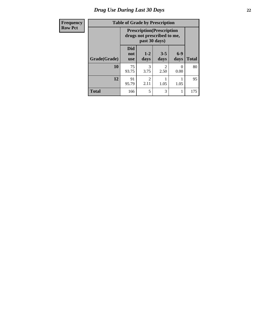| Frequency      | <b>Table of Grade by Prescription</b> |                                 |                        |                                                                  |               |              |
|----------------|---------------------------------------|---------------------------------|------------------------|------------------------------------------------------------------|---------------|--------------|
| <b>Row Pct</b> |                                       |                                 | past 30 days)          | <b>Prescription</b> (Prescription<br>drugs not prescribed to me, |               |              |
|                | Grade(Grade)                          | <b>Did</b><br>not<br><b>use</b> | $1-2$<br>days          | $3 - 5$<br>days                                                  | $6-9$<br>days | <b>Total</b> |
|                | 10                                    | 75<br>93.75                     | 3<br>3.75              | 2<br>2.50                                                        | 0<br>0.00     | 80           |
|                | 12                                    | 91<br>95.79                     | $\mathfrak{D}$<br>2.11 | 1.05                                                             | 1.05          | 95           |
|                | <b>Total</b>                          | 166                             | 5                      | 3                                                                |               | 175          |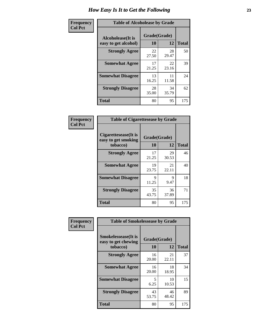| Frequency      | <b>Table of Alcoholease by Grade</b>              |                    |             |              |
|----------------|---------------------------------------------------|--------------------|-------------|--------------|
| <b>Col Pct</b> | <b>Alcoholease</b> (It is<br>easy to get alcohol) | Grade(Grade)<br>10 | 12          | <b>Total</b> |
|                | <b>Strongly Agree</b>                             | 22<br>27.50        | 28<br>29.47 | 50           |
|                | <b>Somewhat Agree</b>                             | 17<br>21.25        | 22<br>23.16 | 39           |
|                | <b>Somewhat Disagree</b>                          | 13<br>16.25        | 11<br>11.58 | 24           |
|                | <b>Strongly Disagree</b>                          | 28<br>35.00        | 34<br>35.79 | 62           |
|                | <b>Total</b>                                      | 80                 | 95          | 175          |

| Frequency      | <b>Table of Cigarettesease by Grade</b>                  |                      |             |              |
|----------------|----------------------------------------------------------|----------------------|-------------|--------------|
| <b>Col Pct</b> | Cigarettesease (It is<br>easy to get smoking<br>tobacco) | Grade(Grade)<br>10   | 12          | <b>Total</b> |
|                | <b>Strongly Agree</b>                                    | 17<br>21.25          | 29<br>30.53 | 46           |
|                | <b>Somewhat Agree</b>                                    | 19<br>23.75          | 21<br>22.11 | 40           |
|                | <b>Somewhat Disagree</b>                                 | $\mathbf Q$<br>11.25 | 9<br>9.47   | 18           |
|                | <b>Strongly Disagree</b>                                 | 35<br>43.75          | 36<br>37.89 | 71           |
|                | <b>Total</b>                                             | 80                   | 95          | 175          |

| Frequency      | <b>Table of Smokelessease by Grade</b>             |              |             |              |  |
|----------------|----------------------------------------------------|--------------|-------------|--------------|--|
| <b>Col Pct</b> | <b>Smokelessease</b> (It is<br>easy to get chewing | Grade(Grade) |             |              |  |
|                | tobacco)                                           | 10           | 12          | <b>Total</b> |  |
|                | <b>Strongly Agree</b>                              | 16<br>20.00  | 21<br>22.11 | 37           |  |
|                | <b>Somewhat Agree</b>                              | 16<br>20.00  | 18<br>18.95 | 34           |  |
|                | <b>Somewhat Disagree</b>                           | 5<br>6.25    | 10<br>10.53 | 15           |  |
|                | <b>Strongly Disagree</b>                           | 43<br>53.75  | 46<br>48.42 | 89           |  |
|                | <b>Total</b>                                       | 80           | 95          | 175          |  |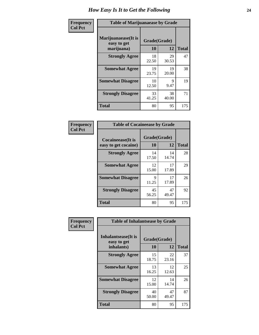| Frequency      | <b>Table of Marijuanaease by Grade</b>           |                    |             |              |
|----------------|--------------------------------------------------|--------------------|-------------|--------------|
| <b>Col Pct</b> | Marijuanaease(It is<br>easy to get<br>marijuana) | Grade(Grade)<br>10 | 12          | <b>Total</b> |
|                | <b>Strongly Agree</b>                            | 18<br>22.50        | 29<br>30.53 | 47           |
|                | <b>Somewhat Agree</b>                            | 19<br>23.75        | 19<br>20.00 | 38           |
|                | <b>Somewhat Disagree</b>                         | 10<br>12.50        | 9<br>9.47   | 19           |
|                | <b>Strongly Disagree</b>                         | 33<br>41.25        | 38<br>40.00 | 71           |
|                | <b>Total</b>                                     | 80                 | 95          | 175          |

| <b>Table of Cocaineease by Grade</b>      |                    |             |              |  |
|-------------------------------------------|--------------------|-------------|--------------|--|
| Cocaineease(It is<br>easy to get cocaine) | Grade(Grade)<br>10 | 12          | <b>Total</b> |  |
| <b>Strongly Agree</b>                     | 14<br>17.50        | 14<br>14.74 | 28           |  |
| <b>Somewhat Agree</b>                     | 12<br>15.00        | 17<br>17.89 | 29           |  |
| <b>Somewhat Disagree</b>                  | 9<br>11.25         | 17<br>17.89 | 26           |  |
| <b>Strongly Disagree</b>                  | 45<br>56.25        | 47<br>49.47 | 92           |  |
| <b>Total</b>                              | 80                 | 95          | 175          |  |

| Frequency      | <b>Table of Inhalantsease by Grade</b>                   |                    |             |              |
|----------------|----------------------------------------------------------|--------------------|-------------|--------------|
| <b>Col Pct</b> | <b>Inhalantsease</b> (It is<br>easy to get<br>inhalants) | Grade(Grade)<br>10 | 12          | <b>Total</b> |
|                | <b>Strongly Agree</b>                                    | 15<br>18.75        | 22<br>23.16 | 37           |
|                | <b>Somewhat Agree</b>                                    | 13<br>16.25        | 12<br>12.63 | 25           |
|                | <b>Somewhat Disagree</b>                                 | 12<br>15.00        | 14<br>14.74 | 26           |
|                | <b>Strongly Disagree</b>                                 | 40<br>50.00        | 47<br>49.47 | 87           |
|                | <b>Total</b>                                             | 80                 | 95          | 175          |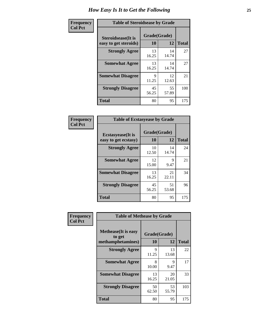| Frequency      | <b>Table of Steroidsease by Grade</b>               |                    |              |     |  |  |  |  |  |
|----------------|-----------------------------------------------------|--------------------|--------------|-----|--|--|--|--|--|
| <b>Col Pct</b> | <b>Steroidsease</b> (It is<br>easy to get steroids) | Grade(Grade)<br>10 | <b>Total</b> |     |  |  |  |  |  |
|                | <b>Strongly Agree</b>                               | 13<br>16.25        | 14<br>14.74  | 27  |  |  |  |  |  |
|                | <b>Somewhat Agree</b>                               | 13<br>16.25        | 14<br>14.74  | 27  |  |  |  |  |  |
|                | <b>Somewhat Disagree</b>                            | 9<br>11.25         | 12<br>12.63  | 21  |  |  |  |  |  |
|                | <b>Strongly Disagree</b>                            | 45<br>56.25        | 55<br>57.89  | 100 |  |  |  |  |  |
|                | <b>Total</b>                                        | 80                 | 95           | 175 |  |  |  |  |  |

| Frequency      | <b>Table of Ecstasyease by Grade</b>              |                           |             |              |  |  |  |  |  |
|----------------|---------------------------------------------------|---------------------------|-------------|--------------|--|--|--|--|--|
| <b>Col Pct</b> | <b>Ecstasyease</b> (It is<br>easy to get ecstasy) | Grade(Grade)<br><b>10</b> | 12          | <b>Total</b> |  |  |  |  |  |
|                | <b>Strongly Agree</b>                             | 10<br>12.50               | 14<br>14.74 | 24           |  |  |  |  |  |
|                | <b>Somewhat Agree</b>                             | 12<br>15.00               | 9<br>9.47   | 21           |  |  |  |  |  |
|                | <b>Somewhat Disagree</b>                          | 13<br>16.25               | 21<br>22.11 | 34           |  |  |  |  |  |
|                | <b>Strongly Disagree</b>                          | 45<br>56.25               | 51<br>53.68 | 96           |  |  |  |  |  |
|                | <b>Total</b>                                      | 80                        | 95          | 175          |  |  |  |  |  |

| Frequency      | <b>Table of Methease by Grade</b>                          |                    |             |              |  |  |  |  |
|----------------|------------------------------------------------------------|--------------------|-------------|--------------|--|--|--|--|
| <b>Col Pct</b> | <b>Methease</b> (It is easy<br>to get<br>methamphetamines) | Grade(Grade)<br>10 | 12          | <b>Total</b> |  |  |  |  |
|                | <b>Strongly Agree</b>                                      | Q<br>11.25         | 13<br>13.68 | 22           |  |  |  |  |
|                | <b>Somewhat Agree</b>                                      | 8<br>10.00         | 9<br>9.47   | 17           |  |  |  |  |
|                | <b>Somewhat Disagree</b>                                   | 13<br>16.25        | 20<br>21.05 | 33           |  |  |  |  |
|                | <b>Strongly Disagree</b>                                   | 50<br>62.50        | 53<br>55.79 | 103          |  |  |  |  |
|                | <b>Total</b>                                               | 80                 | 95          | 175          |  |  |  |  |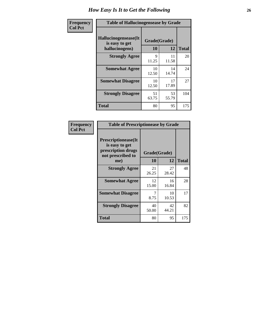| <b>Frequency</b> | <b>Table of Hallucinogensease by Grade</b>               |                    |             |              |  |  |  |  |  |
|------------------|----------------------------------------------------------|--------------------|-------------|--------------|--|--|--|--|--|
| <b>Col Pct</b>   | Hallucinogensease(It<br>is easy to get<br>hallucinogens) | Grade(Grade)<br>10 | 12          | <b>Total</b> |  |  |  |  |  |
|                  | <b>Strongly Agree</b>                                    | 9<br>11.25         | 11<br>11.58 | 20           |  |  |  |  |  |
|                  | <b>Somewhat Agree</b>                                    | 10<br>12.50        | 14<br>14.74 | 24           |  |  |  |  |  |
|                  | <b>Somewhat Disagree</b>                                 | 10<br>12.50        | 17<br>17.89 | 27           |  |  |  |  |  |
|                  | <b>Strongly Disagree</b>                                 | 51<br>63.75        | 53<br>55.79 | 104          |  |  |  |  |  |
|                  | <b>Total</b>                                             | 80                 | 95          | 175          |  |  |  |  |  |

| Frequency<br>Col Pct |
|----------------------|
|                      |

| <b>Table of Prescriptionease by Grade</b>                                                |             |              |              |  |  |  |  |
|------------------------------------------------------------------------------------------|-------------|--------------|--------------|--|--|--|--|
| <b>Prescriptionease</b> (It<br>is easy to get<br>prescription drugs<br>not prescribed to |             | Grade(Grade) |              |  |  |  |  |
| me)                                                                                      | 10          | 12           | <b>Total</b> |  |  |  |  |
| <b>Strongly Agree</b>                                                                    | 21<br>26.25 | 27<br>28.42  | 48           |  |  |  |  |
| <b>Somewhat Agree</b>                                                                    | 12<br>15.00 | 16<br>16.84  | 28           |  |  |  |  |
| <b>Somewhat Disagree</b>                                                                 | 7<br>8.75   | 10<br>10.53  | 17           |  |  |  |  |
| <b>Strongly Disagree</b>                                                                 | 40<br>50.00 | 42<br>44.21  | 82           |  |  |  |  |
| Total                                                                                    | 80          | 95           | 175          |  |  |  |  |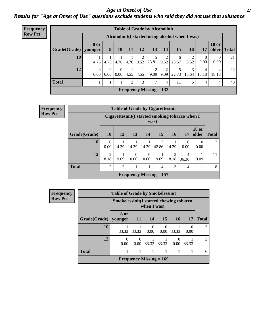#### *Age at Onset of Use* **27** *Results for "Age at Onset of Use" questions exclude students who said they did not use that substance*

| Frequency      | <b>Table of Grade by Alcoholinit</b> |                        |                                                  |                      |      |           |                                                      |           |            |            |            |                       |              |
|----------------|--------------------------------------|------------------------|--------------------------------------------------|----------------------|------|-----------|------------------------------------------------------|-----------|------------|------------|------------|-----------------------|--------------|
| <b>Row Pct</b> |                                      |                        | Alcoholinit (I started using alcohol when I was) |                      |      |           |                                                      |           |            |            |            |                       |              |
|                | Grade(Grade)                         | <b>8 or</b><br>younger | 9                                                | <b>10</b>            | 11   | <b>12</b> | 13                                                   | 14        | 15         | <b>16</b>  | 17         | <b>18 or</b><br>older | <b>Total</b> |
|                | 10                                   | 4.76                   |                                                  |                      |      |           | $4.76$   $4.76$   $4.76$   $9.52$   $23.81$   $9.52$ | 2         | 6<br>28.57 | 9.52       | 0.00       | $\theta$<br>0.00      | 21           |
|                | 12                                   | $\theta$<br>0.00       | $\Omega$<br>$0.00\vert$                          | $\Omega$<br>$0.00\,$ | 4.55 | 4.55      | 2<br>9.09                                            | 2<br>9.09 | 22.73      | 3<br>13.64 | 4<br>18.18 | 4<br>18.18            | 22           |
|                | <b>Total</b>                         |                        |                                                  |                      | 2    | 3         | 7                                                    | 4         | 11         |            | 4          | 4                     | 43           |
|                |                                      |                        |                                                  |                      |      |           | Frequency Missing $= 132$                            |           |            |            |            |                       |              |

| Frequency      | <b>Table of Grade by Cigarettesinit</b> |                         |                |                           |                  |            |                         |                                                 |                       |              |
|----------------|-----------------------------------------|-------------------------|----------------|---------------------------|------------------|------------|-------------------------|-------------------------------------------------|-----------------------|--------------|
| <b>Row Pct</b> |                                         |                         |                |                           |                  | was)       |                         | Cigarettesinit(I started smoking tobacco when I |                       |              |
|                | Grade(Grade)                            | 10                      | 12             | 13 <sup>1</sup>           | 14               | 15         | <b>16</b>               | 17                                              | <b>18 or</b><br>older | <b>Total</b> |
|                | 10                                      | $\Omega$<br>0.00        | 14.29          | 14.29                     | 14.29            | 3<br>42.86 | 14.29                   | $\Omega$<br>0.00                                | 0.00                  |              |
|                | 12                                      | $\mathfrak{D}$<br>18.18 | 9.09           | $\Omega$<br>0.00          | $\Omega$<br>0.00 | 9.09       | $\overline{2}$<br>18.18 | 4<br>36.36                                      | 9.09                  | 11           |
|                | <b>Total</b>                            | $\overline{2}$          | $\overline{2}$ |                           |                  | 4          | 3                       | 4                                               |                       | 18           |
|                |                                         |                         |                | Frequency Missing $= 157$ |                  |            |                         |                                                 |                       |              |

| Frequency      | <b>Table of Grade by Smokelessinit</b> |                                                         |           |           |                           |           |           |              |  |
|----------------|----------------------------------------|---------------------------------------------------------|-----------|-----------|---------------------------|-----------|-----------|--------------|--|
| <b>Row Pct</b> |                                        | Smokelessinit (I started chewing tobacco<br>when I was) |           |           |                           |           |           |              |  |
|                | Grade(Grade)                           | 8 or<br>younger                                         | <b>11</b> | 14        | 15                        | <b>16</b> | <b>17</b> | <b>Total</b> |  |
|                | 10                                     | 33.33                                                   | 33.33     | 0<br>0.00 | $\Omega$<br>0.00          | 33.33     | 0<br>0.00 | 3            |  |
|                | 12                                     | 0<br>0.00                                               | 0.00      | 33.33     | 33.33                     | 0<br>0.00 | 33.33     | 3            |  |
|                | <b>Total</b>                           |                                                         |           |           |                           |           |           | 6            |  |
|                |                                        |                                                         |           |           | Frequency Missing $= 169$ |           |           |              |  |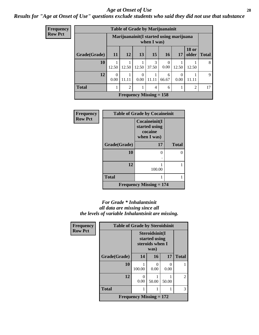#### *Age at Onset of Use* **28**

#### *Results for "Age at Onset of Use" questions exclude students who said they did not use that substance*

| <b>Frequency</b> |
|------------------|
| Row Pct          |

| <b>Table of Grade by Marijuanainit</b>                  |                  |                |                  |                           |                  |                  |                       |              |  |  |
|---------------------------------------------------------|------------------|----------------|------------------|---------------------------|------------------|------------------|-----------------------|--------------|--|--|
| Marijuanainit (I started using marijuana<br>when I was) |                  |                |                  |                           |                  |                  |                       |              |  |  |
| Grade(Grade)                                            | <b>11</b>        | <b>12</b>      | 13               | 15                        | 16               | 17               | <b>18 or</b><br>older | <b>Total</b> |  |  |
| 10                                                      | 12.50            | 12.50          | 12.50            | $\mathcal{R}$<br>37.50    | $\Omega$<br>0.00 | 12.50            | 12.50                 | 8            |  |  |
| 12                                                      | $\Omega$<br>0.00 | 11.11          | $\Omega$<br>0.00 | 11.11                     | 6<br>66.67       | $\Omega$<br>0.00 |                       | 9            |  |  |
| <b>Total</b>                                            | 1                | $\mathfrak{D}$ | 1                | $\overline{4}$            | 6                |                  | $\overline{2}$        | 17           |  |  |
|                                                         |                  |                |                  | Frequency Missing $= 158$ |                  |                  |                       |              |  |  |

| <b>Frequency</b> | <b>Table of Grade by Cocaineinit</b> |                                                          |              |  |
|------------------|--------------------------------------|----------------------------------------------------------|--------------|--|
| <b>Row Pct</b>   |                                      | Cocaineinit(I<br>started using<br>cocaine<br>when I was) |              |  |
|                  | Grade(Grade)                         | 17                                                       | <b>Total</b> |  |
|                  | 10                                   | 0                                                        | ∩            |  |
|                  | 12                                   | 100.00                                                   |              |  |
|                  | <b>Total</b>                         |                                                          |              |  |
|                  |                                      | <b>Frequency Missing = 174</b>                           |              |  |

#### *For Grade \* Inhalantsinit all data are missing since all the levels of variable Inhalantsinit are missing.*

| <b>Frequency</b> | <b>Table of Grade by Steroidsinit</b> |                                                            |       |       |              |
|------------------|---------------------------------------|------------------------------------------------------------|-------|-------|--------------|
| <b>Row Pct</b>   |                                       | Steroidsinit(I<br>started using<br>steroids when I<br>was) |       |       |              |
|                  | Grade(Grade)                          | 14                                                         | 16    | 17    | <b>Total</b> |
|                  | 10                                    | 100.00                                                     | 0.00  | 0.00  |              |
|                  | 12                                    | 0<br>0.00                                                  | 50.00 | 50.00 | 2            |
|                  | <b>Total</b>                          | 1                                                          |       |       | 3            |
|                  | Frequency Missing $= 172$             |                                                            |       |       |              |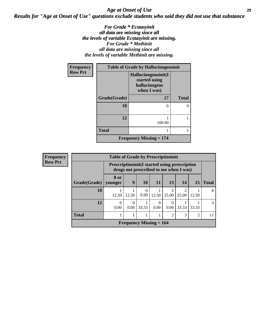#### *Age at Onset of Use* **29** *Results for "Age at Onset of Use" questions exclude students who said they did not use that substance*

*For Grade \* Ecstasyinit all data are missing since all the levels of variable Ecstasyinit are missing. For Grade \* Methinit all data are missing since all the levels of variable Methinit are missing.*

| Frequency      | <b>Table of Grade by Hallucinogensinit</b> |                                                                      |              |  |
|----------------|--------------------------------------------|----------------------------------------------------------------------|--------------|--|
| <b>Row Pct</b> |                                            | Hallucinogensinit(I<br>started using<br>hallucinogens<br>when I was) |              |  |
|                | Grade(Grade)                               | 17                                                                   | <b>Total</b> |  |
|                | 10                                         | 0                                                                    |              |  |
|                | 12                                         | 100.00                                                               |              |  |
|                | <b>Total</b>                               |                                                                      |              |  |
|                |                                            | <b>Frequency Missing <math>= 174</math></b>                          |              |  |

| <b>Frequency</b> | <b>Table of Grade by Prescriptioninit</b> |                                                       |           |                                        |           |                  |       |                |               |
|------------------|-------------------------------------------|-------------------------------------------------------|-----------|----------------------------------------|-----------|------------------|-------|----------------|---------------|
| <b>Row Pct</b>   |                                           | <b>Prescriptioninit (I started using prescription</b> |           | drugs not prescribed to me when I was) |           |                  |       |                |               |
|                  | Grade(Grade)   younger                    | 8 or                                                  | 9         | <b>10</b>                              | 11        | 13               | 14    | 15             | <b>Total</b>  |
|                  | <b>10</b>                                 | 12.50                                                 | 12.50     | $\Omega$<br>0.00                       | 12.50     | 25.00            | 25.00 | 12.50          | 8             |
|                  | 12                                        | 0<br>0.00                                             | 0<br>0.00 | 33.33                                  | 0<br>0.00 | $\theta$<br>0.00 | 33.33 | 33.33          | $\mathcal{R}$ |
|                  | <b>Total</b>                              |                                                       |           |                                        |           | 2                | 3     | $\overline{2}$ | 11            |
|                  |                                           |                                                       |           | Frequency Missing $= 164$              |           |                  |       |                |               |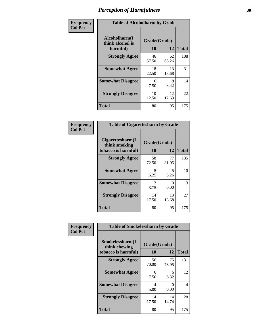| Frequency      | <b>Table of Alcoholharm by Grade</b>          |                    |             |              |
|----------------|-----------------------------------------------|--------------------|-------------|--------------|
| <b>Col Pct</b> | Alcoholharm(I<br>think alcohol is<br>harmful) | Grade(Grade)<br>10 | 12          | <b>Total</b> |
|                | <b>Strongly Agree</b>                         | 46<br>57.50        | 62<br>65.26 | 108          |
|                | <b>Somewhat Agree</b>                         | 18<br>22.50        | 13<br>13.68 | 31           |
|                | <b>Somewhat Disagree</b>                      | 6<br>7.50          | 8<br>8.42   | 14           |
|                | <b>Strongly Disagree</b>                      | 10<br>12.50        | 12<br>12.63 | 22           |
|                | <b>Total</b>                                  | 80                 | 95          | 175          |

| <b>Table of Cigarettesharm by Grade</b>                  |                    |             |              |  |  |
|----------------------------------------------------------|--------------------|-------------|--------------|--|--|
| Cigarettesharm(I<br>think smoking<br>tobacco is harmful) | Grade(Grade)<br>10 | 12          | <b>Total</b> |  |  |
| <b>Strongly Agree</b>                                    | 58<br>72.50        | 77<br>81.05 | 135          |  |  |
| <b>Somewhat Agree</b>                                    | 5<br>6.25          | 5<br>5.26   | 10           |  |  |
| <b>Somewhat Disagree</b>                                 | 3<br>3.75          | 0<br>0.00   | 3            |  |  |
| <b>Strongly Disagree</b>                                 | 14<br>17.50        | 13<br>13.68 | 27           |  |  |
| <b>Total</b>                                             | 80                 | 95          | 175          |  |  |

| Frequency<br><b>Col Pct</b> | <b>Table of Smokelessharm by Grade</b>                  |                           |             |              |
|-----------------------------|---------------------------------------------------------|---------------------------|-------------|--------------|
|                             | Smokelessharm(I<br>think chewing<br>tobacco is harmful) | Grade(Grade)<br><b>10</b> | 12          | <b>Total</b> |
|                             | <b>Strongly Agree</b>                                   | 56<br>70.00               | 75<br>78.95 | 131          |
|                             | <b>Somewhat Agree</b>                                   | 6<br>7.50                 | 6<br>6.32   | 12           |
|                             | <b>Somewhat Disagree</b>                                | 4<br>5.00                 | 0<br>0.00   | 4            |
|                             | <b>Strongly Disagree</b>                                | 14<br>17.50               | 14<br>14.74 | 28           |
|                             | Total                                                   | 80                        | 95          | 175          |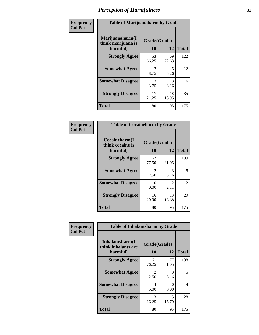| Frequency      | <b>Table of Marijuanaharm by Grade</b>            |                    |             |              |
|----------------|---------------------------------------------------|--------------------|-------------|--------------|
| <b>Col Pct</b> | Marijuanaharm(I<br>think marijuana is<br>harmful) | Grade(Grade)<br>10 | 12          | <b>Total</b> |
|                | <b>Strongly Agree</b>                             | 53<br>66.25        | 69<br>72.63 | 122          |
|                | <b>Somewhat Agree</b>                             | 7<br>8.75          | 5<br>5.26   | 12           |
|                | <b>Somewhat Disagree</b>                          | 3<br>3.75          | 3<br>3.16   | 6            |
|                | <b>Strongly Disagree</b>                          | 17<br>21.25        | 18<br>18.95 | 35           |
|                | <b>Total</b>                                      | 80                 | 95          | 175          |

| <b>Table of Cocaineharm by Grade</b>          |                    |                        |              |  |  |
|-----------------------------------------------|--------------------|------------------------|--------------|--|--|
| Cocaineharm(I<br>think cocaine is<br>harmful) | Grade(Grade)<br>10 | 12                     | <b>Total</b> |  |  |
| <b>Strongly Agree</b>                         | 62<br>77.50        | 77<br>81.05            | 139          |  |  |
| <b>Somewhat Agree</b>                         | 2<br>2.50          | 3<br>3.16              | 5            |  |  |
| <b>Somewhat Disagree</b>                      | 0<br>0.00          | $\mathfrak{D}$<br>2.11 | 2            |  |  |
| <b>Strongly Disagree</b>                      | 16<br>20.00        | 13<br>13.68            | 29           |  |  |
| <b>Total</b>                                  | 80                 | 95                     | 175          |  |  |

| Frequency      | <b>Table of Inhalantsharm by Grade</b>             |                    |             |              |
|----------------|----------------------------------------------------|--------------------|-------------|--------------|
| <b>Col Pct</b> | Inhalantsharm(I<br>think inhalants are<br>harmful) | Grade(Grade)<br>10 | 12          | <b>Total</b> |
|                | <b>Strongly Agree</b>                              | 61<br>76.25        | 77<br>81.05 | 138          |
|                | <b>Somewhat Agree</b>                              | 2<br>2.50          | 3<br>3.16   | 5            |
|                | <b>Somewhat Disagree</b>                           | 4<br>5.00          | 0<br>0.00   | 4            |
|                | <b>Strongly Disagree</b>                           | 13<br>16.25        | 15<br>15.79 | 28           |
|                | Total                                              | 80                 | 95          | 175          |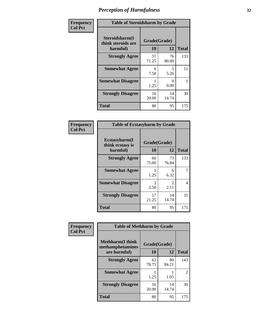| Frequency      | <b>Table of Steroidsharm by Grade</b>            |                    |             |              |
|----------------|--------------------------------------------------|--------------------|-------------|--------------|
| <b>Col Pct</b> | Steroidsharm(I<br>think steroids are<br>harmful) | Grade(Grade)<br>10 | 12          | <b>Total</b> |
|                | <b>Strongly Agree</b>                            | 57<br>71.25        | 76<br>80.00 | 133          |
|                | <b>Somewhat Agree</b>                            | 6<br>7.50          | 5<br>5.26   | 11           |
|                | <b>Somewhat Disagree</b>                         | 1.25               | 0<br>0.00   |              |
|                | <b>Strongly Disagree</b>                         | 16<br>20.00        | 14<br>14.74 | 30           |
|                | <b>Total</b>                                     | 80                 | 95          | 175          |

| <b>Table of Ecstasyharm by Grade</b>          |                    |                        |              |  |  |
|-----------------------------------------------|--------------------|------------------------|--------------|--|--|
| Ecstasyharm(I<br>think ecstasy is<br>harmful) | Grade(Grade)<br>10 | 12                     | <b>Total</b> |  |  |
| <b>Strongly Agree</b>                         | 60<br>75.00        | 73<br>76.84            | 133          |  |  |
| <b>Somewhat Agree</b>                         | 1<br>1.25          | 6<br>6.32              | 7            |  |  |
| <b>Somewhat Disagree</b>                      | 2<br>2.50          | $\mathfrak{D}$<br>2.11 | 4            |  |  |
| <b>Strongly Disagree</b>                      | 17<br>21.25        | 14<br>14.74            | 31           |  |  |
| <b>Total</b>                                  | 80                 | 95                     | 175          |  |  |

| Frequency      | <b>Table of Methharm by Grade</b>            |              |             |              |
|----------------|----------------------------------------------|--------------|-------------|--------------|
| <b>Col Pct</b> | <b>Methharm</b> (I think<br>methamphetamines | Grade(Grade) |             |              |
|                | are harmful)                                 | 10           | 12          | <b>Total</b> |
|                | <b>Strongly Agree</b>                        | 63<br>78.75  | 80<br>84.21 | 143          |
|                | <b>Somewhat Agree</b>                        | 1.25         | 1.05        | 2            |
|                | <b>Strongly Disagree</b>                     | 16<br>20.00  | 14<br>14.74 | 30           |
|                | <b>Total</b>                                 | 80           | 95          | 175          |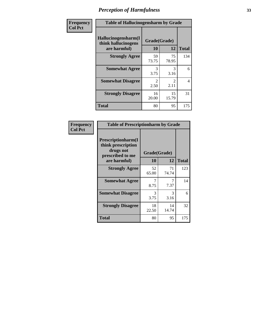| Frequency      | <b>Table of Hallucinogensharm by Grade</b>                 |                        |                        |              |
|----------------|------------------------------------------------------------|------------------------|------------------------|--------------|
| <b>Col Pct</b> | Hallucinogensharm(I<br>think hallucinogens<br>are harmful) | Grade(Grade)<br>10     | 12                     | <b>Total</b> |
|                | <b>Strongly Agree</b>                                      | 59<br>73.75            | 75<br>78.95            | 134          |
|                | <b>Somewhat Agree</b>                                      | 3<br>3.75              | 3<br>3.16              | 6            |
|                | <b>Somewhat Disagree</b>                                   | $\mathfrak{D}$<br>2.50 | $\mathfrak{D}$<br>2.11 | 4            |
|                | <b>Strongly Disagree</b>                                   | 16<br>20.00            | 15<br>15.79            | 31           |
|                | <b>Total</b>                                               | 80                     | 95                     | 175          |

| <b>Table of Prescriptionharm by Grade</b>                                         |              |             |              |  |  |  |
|-----------------------------------------------------------------------------------|--------------|-------------|--------------|--|--|--|
| <b>Prescriptionharm</b> (I<br>think prescription<br>drugs not<br>prescribed to me | Grade(Grade) |             |              |  |  |  |
| are harmful)                                                                      | 10           | 12          | <b>Total</b> |  |  |  |
| <b>Strongly Agree</b>                                                             | 52<br>65.00  | 71<br>74.74 | 123          |  |  |  |
| <b>Somewhat Agree</b>                                                             | 8.75         | 7.37        | 14           |  |  |  |
| <b>Somewhat Disagree</b>                                                          | 3<br>3.75    | 3<br>3.16   | 6            |  |  |  |
| <b>Strongly Disagree</b>                                                          | 18<br>22.50  | 14<br>14.74 | 32           |  |  |  |
| <b>Total</b>                                                                      | 80           | 95          | 175          |  |  |  |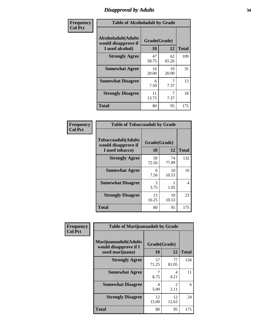### *Disapproval by Adults* **34**

| Frequency      | <b>Table of Alcoholadult by Grade</b>                                 |                    |             |              |
|----------------|-----------------------------------------------------------------------|--------------------|-------------|--------------|
| <b>Col Pct</b> | <b>Alcoholadult</b> (Adults<br>would disapprove if<br>I used alcohol) | Grade(Grade)<br>10 | 12          | <b>Total</b> |
|                | <b>Strongly Agree</b>                                                 | 47<br>58.75        | 62<br>65.26 | 109          |
|                | <b>Somewhat Agree</b>                                                 | 16<br>20.00        | 19<br>20.00 | 35           |
|                | <b>Somewhat Disagree</b>                                              | 6<br>7.50          | 7.37        | 13           |
|                | <b>Strongly Disagree</b>                                              | 11<br>13.75        | 7.37        | 18           |
|                | <b>Total</b>                                                          | 80                 | 95          | 175          |

| <b>Table of Tobaccoadult by Grade</b>                                 |                    |              |     |  |  |  |
|-----------------------------------------------------------------------|--------------------|--------------|-----|--|--|--|
| <b>Tobaccoadult</b> (Adults<br>would disapprove if<br>I used tobacco) | Grade(Grade)<br>10 | <b>Total</b> |     |  |  |  |
| <b>Strongly Agree</b>                                                 | 58<br>72.50        | 74<br>77.89  | 132 |  |  |  |
| <b>Somewhat Agree</b>                                                 | 6<br>7.50          | 10<br>10.53  | 16  |  |  |  |
| <b>Somewhat Disagree</b>                                              | 3<br>3.75          | 1.05         | 4   |  |  |  |
| <b>Strongly Disagree</b>                                              | 13<br>16.25        | 10<br>10.53  | 23  |  |  |  |
| Total                                                                 | 80                 | 95           | 175 |  |  |  |

| Frequency      | <b>Table of Marijuanaadult by Grade</b>                           |                    |                        |              |
|----------------|-------------------------------------------------------------------|--------------------|------------------------|--------------|
| <b>Col Pct</b> | Marijuanaadult(Adults<br>would disapprove if I<br>used marijuana) | Grade(Grade)<br>10 | 12                     | <b>Total</b> |
|                | <b>Strongly Agree</b>                                             | 57<br>71.25        | 77<br>81.05            | 134          |
|                | <b>Somewhat Agree</b>                                             | 7<br>8.75          | $\overline{4}$<br>4.21 | 11           |
|                | <b>Somewhat Disagree</b>                                          | 4<br>5.00          | 2<br>2.11              | 6            |
|                | <b>Strongly Disagree</b>                                          | 12<br>15.00        | 12<br>12.63            | 24           |
|                | <b>Total</b>                                                      | 80                 | 95                     | 175          |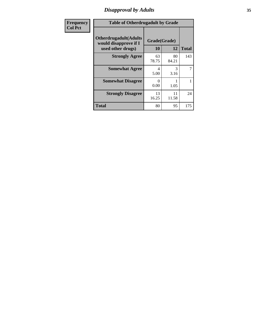# *Disapproval by Adults* **35**

| <b>Frequency</b> | <b>Table of Otherdrugadult by Grade</b>                                     |                    |             |              |
|------------------|-----------------------------------------------------------------------------|--------------------|-------------|--------------|
| <b>Col Pct</b>   | <b>Otherdrugadult</b> (Adults<br>would disapprove if I<br>used other drugs) | Grade(Grade)<br>10 | 12          | <b>Total</b> |
|                  | <b>Strongly Agree</b>                                                       | 63<br>78.75        | 80<br>84.21 | 143          |
|                  | <b>Somewhat Agree</b>                                                       | 4<br>5.00          | 3<br>3.16   | 7            |
|                  | <b>Somewhat Disagree</b>                                                    | $\Omega$<br>0.00   | 1.05        |              |
|                  | <b>Strongly Disagree</b>                                                    | 13<br>16.25        | 11<br>11.58 | 24           |
|                  | <b>Total</b>                                                                | 80                 | 95          | 175          |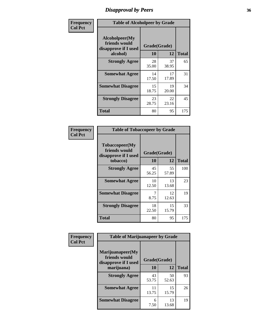### *Disapproval by Peers* **36**

| Frequency      | <b>Table of Alcoholpeer by Grade</b>                    |              |             |              |
|----------------|---------------------------------------------------------|--------------|-------------|--------------|
| <b>Col Pct</b> | Alcoholpeer(My<br>friends would<br>disapprove if I used | Grade(Grade) |             |              |
|                | alcohol)                                                | 10           | 12          | <b>Total</b> |
|                | <b>Strongly Agree</b>                                   | 28<br>35.00  | 37<br>38.95 | 65           |
|                | <b>Somewhat Agree</b>                                   | 14<br>17.50  | 17<br>17.89 | 31           |
|                | <b>Somewhat Disagree</b>                                | 15<br>18.75  | 19<br>20.00 | 34           |
|                | <b>Strongly Disagree</b>                                | 23<br>28.75  | 22<br>23.16 | 45           |
|                | Total                                                   | 80           | 95          | 175          |

| Frequency      | <b>Table of Tobaccopeer by Grade</b>                                |                    |             |              |
|----------------|---------------------------------------------------------------------|--------------------|-------------|--------------|
| <b>Col Pct</b> | Tobaccopeer(My<br>friends would<br>disapprove if I used<br>tobacco) | Grade(Grade)<br>10 | 12          | <b>Total</b> |
|                |                                                                     |                    |             |              |
|                | <b>Strongly Agree</b>                                               | 45<br>56.25        | 55<br>57.89 | 100          |
|                | <b>Somewhat Agree</b>                                               | 10<br>12.50        | 13<br>13.68 | 23           |
|                | <b>Somewhat Disagree</b>                                            | 7<br>8.75          | 12<br>12.63 | 19           |
|                | <b>Strongly Disagree</b>                                            | 18<br>22.50        | 15<br>15.79 | 33           |
|                | <b>Total</b>                                                        | 80                 | 95          | 175          |

| Frequency      | <b>Table of Marijuanapeer by Grade</b>                    |              |             |              |
|----------------|-----------------------------------------------------------|--------------|-------------|--------------|
| <b>Col Pct</b> | Marijuanapeer(My<br>friends would<br>disapprove if I used | Grade(Grade) |             |              |
|                | marijuana)                                                | 10           | 12          | <b>Total</b> |
|                | <b>Strongly Agree</b>                                     | 43<br>53.75  | 50<br>52.63 | 93           |
|                | <b>Somewhat Agree</b>                                     | 11<br>13.75  | 15<br>15.79 | 26           |
|                | <b>Somewhat Disagree</b>                                  | 6<br>7.50    | 13<br>13.68 | 19           |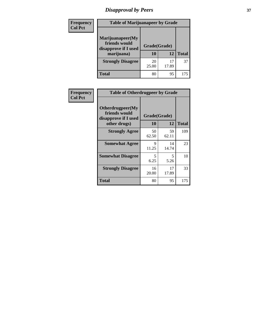# *Disapproval by Peers* **37**

| Frequency<br><b>Col Pct</b> | <b>Table of Marijuanapeer by Grade</b>                                  |                    |       |              |
|-----------------------------|-------------------------------------------------------------------------|--------------------|-------|--------------|
|                             | Marijuanapeer(My<br>friends would<br>disapprove if I used<br>marijuana) | Grade(Grade)<br>10 | 12    | <b>Total</b> |
|                             | <b>Strongly Disagree</b>                                                | 20<br>25.00        | 17.89 | 37           |
|                             | Total                                                                   | 80                 | 95    | 175          |

| Frequency      | <b>Table of Otherdrugpeer by Grade</b>                                    |                    |             |              |  |
|----------------|---------------------------------------------------------------------------|--------------------|-------------|--------------|--|
| <b>Col Pct</b> | Otherdrugpeer(My<br>friends would<br>disapprove if I used<br>other drugs) | Grade(Grade)<br>10 | 12          | <b>Total</b> |  |
|                | <b>Strongly Agree</b>                                                     | 50<br>62.50        | 59<br>62.11 | 109          |  |
|                | <b>Somewhat Agree</b>                                                     | Q<br>11.25         | 14<br>14.74 | 23           |  |
|                | <b>Somewhat Disagree</b>                                                  | 5<br>6.25          | 5<br>5.26   | 10           |  |
|                | <b>Strongly Disagree</b>                                                  | 16<br>20.00        | 17<br>17.89 | 33           |  |
|                | <b>Total</b>                                                              | 80                 | 95          | 175          |  |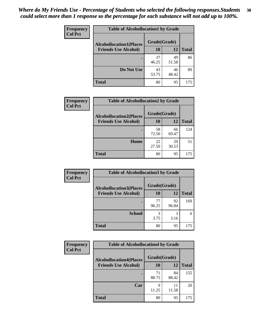| Frequency      | <b>Table of Alcohollocation1 by Grade</b> |              |             |              |
|----------------|-------------------------------------------|--------------|-------------|--------------|
| <b>Col Pct</b> | <b>Alcohollocation1(Places</b>            | Grade(Grade) |             |              |
|                | <b>Friends Use Alcohol)</b>               | 10           | 12          | <b>Total</b> |
|                |                                           | 37<br>46.25  | 49<br>51.58 | 86           |
|                | Do Not Use                                | 43<br>53.75  | 46<br>48.42 | 89           |
|                | <b>Total</b>                              | 80           | 95          | 175          |

| <b>Frequency</b> | <b>Table of Alcohollocation2 by Grade</b>                     |                    |             |              |
|------------------|---------------------------------------------------------------|--------------------|-------------|--------------|
| <b>Col Pct</b>   | <b>Alcohollocation2(Places</b><br><b>Friends Use Alcohol)</b> | Grade(Grade)<br>10 | 12          | <b>Total</b> |
|                  |                                                               | 58<br>72.50        | 66<br>69.47 | 124          |
|                  | Home                                                          | 22<br>27.50        | 29<br>30.53 | 51           |
|                  | <b>Total</b>                                                  | 80                 | 95          | 175          |

| Frequency      | <b>Table of Alcohollocation3 by Grade</b>                     |                    |             |              |
|----------------|---------------------------------------------------------------|--------------------|-------------|--------------|
| <b>Col Pct</b> | <b>Alcohollocation3(Places</b><br><b>Friends Use Alcohol)</b> | Grade(Grade)<br>10 | 12          | <b>Total</b> |
|                |                                                               | 77<br>96.25        | 92<br>96.84 | 169          |
|                | <b>School</b>                                                 | 3<br>3.75          | 3<br>3.16   |              |
|                | <b>Total</b>                                                  | 80                 | 95          | 175          |

| <b>Frequency</b> | <b>Table of Alcohollocation4 by Grade</b> |              |             |              |
|------------------|-------------------------------------------|--------------|-------------|--------------|
| <b>Col Pct</b>   | <b>Alcohollocation4(Places</b>            | Grade(Grade) |             |              |
|                  | <b>Friends Use Alcohol)</b>               | 10           | 12          | <b>Total</b> |
|                  |                                           | 71<br>88.75  | 84<br>88.42 | 155          |
|                  | Car                                       | 9<br>11.25   | 11<br>11.58 | 20           |
|                  | Total                                     | 80           | 95          | 175          |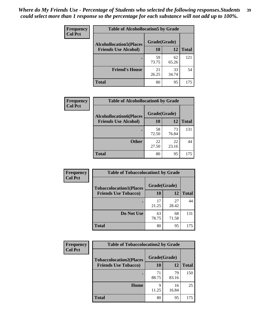| Frequency<br><b>Col Pct</b> | <b>Table of Alcohollocation5 by Grade</b> |              |             |              |
|-----------------------------|-------------------------------------------|--------------|-------------|--------------|
|                             | <b>Alcohollocation5(Places</b>            | Grade(Grade) |             |              |
|                             | <b>Friends Use Alcohol)</b>               | 10           | 12          | <b>Total</b> |
|                             |                                           | 59<br>73.75  | 62<br>65.26 | 121          |
|                             | <b>Friend's House</b>                     | 21<br>26.25  | 33<br>34.74 | 54           |
|                             | <b>Total</b>                              | 80           | 95          | 175          |

| <b>Frequency</b> | <b>Table of Alcohollocation6 by Grade</b> |              |             |              |
|------------------|-------------------------------------------|--------------|-------------|--------------|
| <b>Col Pct</b>   | <b>Alcohollocation6(Places</b>            | Grade(Grade) |             |              |
|                  | <b>Friends Use Alcohol)</b>               | 10           | 12          | <b>Total</b> |
|                  |                                           | 58<br>72.50  | 73<br>76.84 | 131          |
|                  | <b>Other</b>                              | 22<br>27.50  | 22<br>23.16 | 44           |
|                  | <b>Total</b>                              | 80           | 95          | 175          |

| Frequency      | <b>Table of Tobaccolocation1 by Grade</b> |              |             |              |
|----------------|-------------------------------------------|--------------|-------------|--------------|
| <b>Col Pct</b> | <b>Tobaccolocation1(Places</b>            | Grade(Grade) |             |              |
|                | <b>Friends Use Tobacco)</b>               | <b>10</b>    | 12          | <b>Total</b> |
|                |                                           | 17<br>21.25  | 27<br>28.42 | 44           |
|                | Do Not Use                                | 63<br>78.75  | 68<br>71.58 | 131          |
|                | <b>Total</b>                              | 80           | 95          | 175          |

| <b>Frequency</b> | <b>Table of Tobaccolocation2 by Grade</b> |              |             |              |
|------------------|-------------------------------------------|--------------|-------------|--------------|
| <b>Col Pct</b>   | <b>Tobaccolocation2(Places</b>            | Grade(Grade) |             |              |
|                  | <b>Friends Use Tobacco)</b>               | 10           | 12          | <b>Total</b> |
|                  |                                           | 71<br>88.75  | 79<br>83.16 | 150          |
|                  | Home                                      | q<br>11.25   | 16<br>16.84 | 25           |
|                  | <b>Total</b>                              | 80           | 95          | 175          |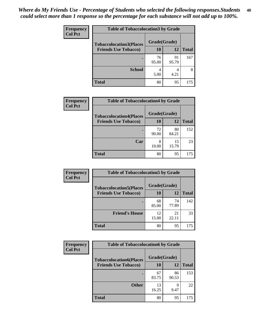| Frequency      | <b>Table of Tobaccolocation 3 by Grade</b> |              |             |              |
|----------------|--------------------------------------------|--------------|-------------|--------------|
| <b>Col Pct</b> | <b>Tobaccolocation3(Places</b>             | Grade(Grade) |             |              |
|                | <b>Friends Use Tobacco)</b>                | 10           | <b>12</b>   | <b>Total</b> |
|                |                                            | 76<br>95.00  | 91<br>95.79 | 167          |
|                | <b>School</b>                              | 5.00         | 4<br>4.21   | 8            |
|                | <b>Total</b>                               | 80           | 95          | 175          |

| Frequency      | <b>Table of Tobaccolocation4 by Grade</b> |              |             |              |
|----------------|-------------------------------------------|--------------|-------------|--------------|
| <b>Col Pct</b> | <b>Tobaccolocation4(Places</b>            | Grade(Grade) |             |              |
|                | <b>Friends Use Tobacco)</b>               | 10           | 12          | <b>Total</b> |
|                |                                           | 72<br>90.00  | 80<br>84.21 | 152          |
|                | Car                                       | 8<br>10.00   | 15<br>15.79 | 23           |
|                | <b>Total</b>                              | 80           | 95          | 175          |

| Frequency      | <b>Table of Tobaccolocation5 by Grade</b> |              |             |              |
|----------------|-------------------------------------------|--------------|-------------|--------------|
| <b>Col Pct</b> | <b>Tobaccolocation5(Places</b>            | Grade(Grade) |             |              |
|                | <b>Friends Use Tobacco)</b>               | 10           | 12          | <b>Total</b> |
|                |                                           | 68<br>85.00  | 74<br>77.89 | 142          |
|                | <b>Friend's House</b>                     | 12<br>15.00  | 21<br>22.11 | 33           |
|                | <b>Total</b>                              | 80           | 95          | 175          |

| Frequency      | <b>Table of Tobaccolocation6 by Grade</b> |              |             |              |  |
|----------------|-------------------------------------------|--------------|-------------|--------------|--|
| <b>Col Pct</b> | <b>Tobaccolocation6(Places</b>            | Grade(Grade) |             |              |  |
|                | <b>Friends Use Tobacco)</b>               | 10           | 12          | <b>Total</b> |  |
|                |                                           | 67<br>83.75  | 86<br>90.53 | 153          |  |
|                | <b>Other</b>                              | 13<br>16.25  | q<br>9.47   | 22           |  |
|                | <b>Total</b>                              | 80           | 95          | 175          |  |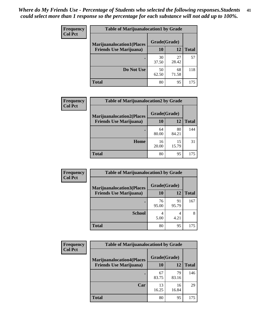| <b>Frequency</b> | <b>Table of Marijuanalocation1 by Grade</b> |              |             |              |  |
|------------------|---------------------------------------------|--------------|-------------|--------------|--|
| <b>Col Pct</b>   | <b>Marijuanalocation1(Places</b>            | Grade(Grade) |             |              |  |
|                  | <b>Friends Use Marijuana</b> )              | <b>10</b>    | 12          | <b>Total</b> |  |
|                  |                                             | 30<br>37.50  | 27<br>28.42 | 57           |  |
|                  | Do Not Use                                  | 50<br>62.50  | 68<br>71.58 | 118          |  |
|                  | <b>Total</b>                                | 80           | 95          | 175          |  |

| <b>Frequency</b> | <b>Table of Marijuanalocation2 by Grade</b>                        |                    |             |              |
|------------------|--------------------------------------------------------------------|--------------------|-------------|--------------|
| <b>Col Pct</b>   | <b>Marijuanalocation2(Places</b><br><b>Friends Use Marijuana</b> ) | Grade(Grade)<br>10 | 12          | <b>Total</b> |
|                  |                                                                    | 64<br>80.00        | 80<br>84.21 | 144          |
|                  | Home                                                               | 16<br>20.00        | 15<br>15.79 | 31           |
|                  | <b>Total</b>                                                       | 80                 | 95          | 175          |

| Frequency<br><b>Col Pct</b> | <b>Table of Marijuanalocation3 by Grade</b> |              |             |       |
|-----------------------------|---------------------------------------------|--------------|-------------|-------|
|                             | <b>Marijuanalocation3</b> (Places           | Grade(Grade) |             |       |
|                             | <b>Friends Use Marijuana</b> )              | 10           | 12          | Total |
|                             |                                             | 76<br>95.00  | 91<br>95.79 | 167   |
|                             | <b>School</b>                               | 4<br>5.00    | 4<br>4.21   | 8     |
|                             | <b>Total</b>                                | 80           | 95          | 175   |

| <b>Frequency</b> | <b>Table of Marijuanalocation4 by Grade</b> |              |             |              |
|------------------|---------------------------------------------|--------------|-------------|--------------|
| <b>Col Pct</b>   | <b>Marijuanalocation4(Places</b>            | Grade(Grade) |             |              |
|                  | <b>Friends Use Marijuana</b> )              | <b>10</b>    | 12          | <b>Total</b> |
|                  |                                             | 67<br>83.75  | 79<br>83.16 | 146          |
|                  | Car                                         | 13<br>16.25  | 16<br>16.84 | 29           |
|                  | <b>Total</b>                                | 80           | 95          | 175          |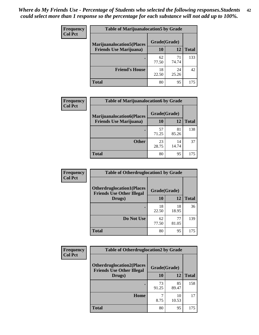| <b>Frequency</b> | <b>Table of Marijuanalocation5 by Grade</b>                         |              |             |              |
|------------------|---------------------------------------------------------------------|--------------|-------------|--------------|
| <b>Col Pct</b>   | <b>Marijuanalocation5</b> (Places<br><b>Friends Use Marijuana</b> ) | Grade(Grade) |             |              |
|                  |                                                                     | 10           | 12          | <b>Total</b> |
|                  |                                                                     | 62<br>77.50  | 71<br>74.74 | 133          |
|                  | <b>Friend's House</b>                                               | 18<br>22.50  | 24<br>25.26 | 42           |
|                  | <b>Total</b>                                                        | 80           | 95          | 175          |

| <b>Frequency</b><br><b>Col Pct</b> | <b>Table of Marijuanalocation6 by Grade</b>                        |                    |             |              |
|------------------------------------|--------------------------------------------------------------------|--------------------|-------------|--------------|
|                                    | <b>Marijuanalocation6(Places</b><br><b>Friends Use Marijuana</b> ) | Grade(Grade)<br>10 | 12          | <b>Total</b> |
|                                    |                                                                    | 57<br>71.25        | 81<br>85.26 | 138          |
|                                    | <b>Other</b>                                                       | 23<br>28.75        | 14<br>14.74 | 37           |
|                                    | <b>Total</b>                                                       | 80                 | 95          | 175          |

| Frequency      | <b>Table of Otherdruglocation1 by Grade</b>                          |              |             |              |
|----------------|----------------------------------------------------------------------|--------------|-------------|--------------|
| <b>Col Pct</b> | <b>Otherdruglocation1(Places</b><br><b>Friends Use Other Illegal</b> | Grade(Grade) |             |              |
|                | Drugs)                                                               | 10           | 12          | <b>Total</b> |
|                |                                                                      | 18<br>22.50  | 18<br>18.95 | 36           |
|                | Do Not Use                                                           | 62<br>77.50  | 77<br>81.05 | 139          |
|                | <b>Total</b>                                                         | 80           | 95          | 175          |

| Frequency      | <b>Table of Otherdruglocation2 by Grade</b>                          |              |             |              |
|----------------|----------------------------------------------------------------------|--------------|-------------|--------------|
| <b>Col Pct</b> | <b>Otherdruglocation2(Places</b><br><b>Friends Use Other Illegal</b> | Grade(Grade) |             |              |
|                | Drugs)                                                               | 10           | 12          | <b>Total</b> |
|                |                                                                      | 73<br>91.25  | 85<br>89.47 | 158          |
|                | Home                                                                 | 8.75         | 10<br>10.53 | 17           |
|                | <b>Total</b>                                                         | 80           | 95          | 175          |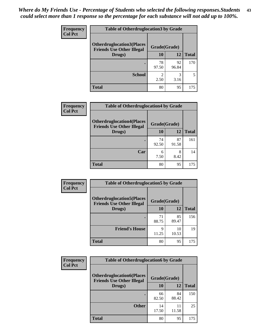| <b>Frequency</b> | <b>Table of Otherdruglocation 3 by Grade</b>                         |                        |             |              |
|------------------|----------------------------------------------------------------------|------------------------|-------------|--------------|
| <b>Col Pct</b>   | <b>Otherdruglocation3(Places</b><br><b>Friends Use Other Illegal</b> | Grade(Grade)           |             |              |
|                  | Drugs)                                                               | 10                     | 12          | <b>Total</b> |
|                  |                                                                      | 78<br>97.50            | 92<br>96.84 | 170          |
|                  | <b>School</b>                                                        | $\mathfrak{D}$<br>2.50 | 3<br>3.16   |              |
|                  | <b>Total</b>                                                         | 80                     | 95          | 175          |

| <b>Frequency</b> | <b>Table of Otherdruglocation4 by Grade</b>                          |              |             |              |
|------------------|----------------------------------------------------------------------|--------------|-------------|--------------|
| <b>Col Pct</b>   | <b>Otherdruglocation4(Places</b><br><b>Friends Use Other Illegal</b> | Grade(Grade) |             |              |
|                  | Drugs)                                                               | 10           | 12          | <b>Total</b> |
|                  |                                                                      | 74<br>92.50  | 87<br>91.58 | 161          |
|                  | Car                                                                  | 6<br>7.50    | 8<br>8.42   | 14           |
|                  | <b>Total</b>                                                         | 80           | 95          | 175          |

| <b>Frequency</b> | <b>Table of Otherdruglocation5 by Grade</b>                          |              |             |              |
|------------------|----------------------------------------------------------------------|--------------|-------------|--------------|
| <b>Col Pct</b>   | <b>Otherdruglocation5(Places</b><br><b>Friends Use Other Illegal</b> | Grade(Grade) |             |              |
|                  | Drugs)                                                               | <b>10</b>    | 12          | <b>Total</b> |
|                  |                                                                      | 71<br>88.75  | 85<br>89.47 | 156          |
|                  | <b>Friend's House</b>                                                | Q<br>11.25   | 10<br>10.53 | 19           |
|                  | <b>Total</b>                                                         | 80           | 95          | 175          |

| <b>Frequency</b> | <b>Table of Otherdruglocation6 by Grade</b>                          |              |             |              |
|------------------|----------------------------------------------------------------------|--------------|-------------|--------------|
| <b>Col Pct</b>   | <b>Otherdruglocation6(Places</b><br><b>Friends Use Other Illegal</b> | Grade(Grade) |             |              |
|                  | Drugs)                                                               | <b>10</b>    | 12          | <b>Total</b> |
|                  |                                                                      | 66<br>82.50  | 84<br>88.42 | 150          |
|                  | <b>Other</b>                                                         | 14<br>17.50  | 11<br>11.58 | 25           |
|                  | <b>Total</b>                                                         | 80           | 95          | 175          |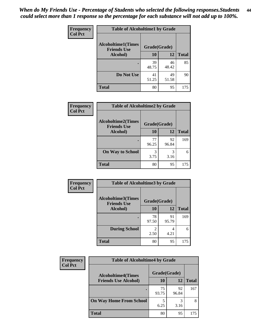| <b>Frequency</b> | <b>Table of Alcoholtime1 by Grade</b>           |              |             |              |
|------------------|-------------------------------------------------|--------------|-------------|--------------|
| <b>Col Pct</b>   | <b>Alcoholtime1(Times</b><br><b>Friends Use</b> | Grade(Grade) |             |              |
|                  | Alcohol)                                        | <b>10</b>    | 12          | <b>Total</b> |
|                  |                                                 | 39<br>48.75  | 46<br>48.42 | 85           |
|                  | Do Not Use                                      | 41<br>51.25  | 49<br>51.58 | 90           |
|                  | <b>Total</b>                                    | 80           | 95          | 175          |

| Frequency      | <b>Table of Alcoholtime2 by Grade</b>           |              |             |              |
|----------------|-------------------------------------------------|--------------|-------------|--------------|
| <b>Col Pct</b> | <b>Alcoholtime2(Times</b><br><b>Friends Use</b> | Grade(Grade) |             |              |
|                | Alcohol)                                        | 10           | 12          | <b>Total</b> |
|                |                                                 | 77<br>96.25  | 92<br>96.84 | 169          |
|                | <b>On Way to School</b>                         | 3<br>3.75    | 3<br>3.16   | 6            |
|                | <b>Total</b>                                    | 80           | 95          | 175          |

| Frequency<br><b>Col Pct</b> | <b>Table of Alcoholtime3 by Grade</b>           |                        |             |              |  |
|-----------------------------|-------------------------------------------------|------------------------|-------------|--------------|--|
|                             | <b>Alcoholtime3(Times</b><br><b>Friends Use</b> |                        |             |              |  |
|                             | Alcohol)                                        | 10                     | 12          | <b>Total</b> |  |
|                             |                                                 | 78<br>97.50            | 91<br>95.79 | 169          |  |
|                             | <b>During School</b>                            | $\mathfrak{D}$<br>2.50 | 4<br>4.21   | 6            |  |
|                             | Total                                           | 80                     | 95          | 175          |  |

| <b>Frequency</b><br><b>Col Pct</b> | <b>Table of Alcoholtime4 by Grade</b> |              |             |              |  |
|------------------------------------|---------------------------------------|--------------|-------------|--------------|--|
|                                    | <b>Alcoholtime4(Times</b>             | Grade(Grade) |             |              |  |
|                                    | <b>Friends Use Alcohol)</b>           | 10           | 12          | <b>Total</b> |  |
|                                    |                                       | 75<br>93.75  | 92<br>96.84 | 167          |  |
|                                    | <b>On Way Home From School</b>        | 6.25         | 3<br>3.16   | 8            |  |
|                                    | <b>Total</b>                          | 80           | 95          | 175          |  |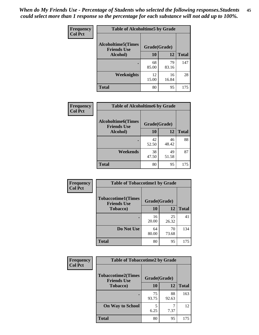*When do My Friends Use - Percentage of Students who selected the following responses.Students could select more than 1 response so the percentage for each substance will not add up to 100%.* **45**

| Frequency      | <b>Table of Alcoholtime5 by Grade</b>           |              |             |              |
|----------------|-------------------------------------------------|--------------|-------------|--------------|
| <b>Col Pct</b> | <b>Alcoholtime5(Times</b><br><b>Friends Use</b> | Grade(Grade) |             |              |
|                | Alcohol)                                        | 10           | <b>12</b>   | <b>Total</b> |
|                |                                                 | 68<br>85.00  | 79<br>83.16 | 147          |
|                | Weeknights                                      | 12<br>15.00  | 16<br>16.84 | 28           |
|                | <b>Total</b>                                    | 80           | 95          | 175          |

| <b>Frequency</b> | <b>Table of Alcoholtime6 by Grade</b>           |              |             |              |  |
|------------------|-------------------------------------------------|--------------|-------------|--------------|--|
| <b>Col Pct</b>   | <b>Alcoholtime6(Times</b><br><b>Friends Use</b> | Grade(Grade) |             |              |  |
|                  | Alcohol)                                        | 10           | 12          | <b>Total</b> |  |
|                  |                                                 | 42<br>52.50  | 46<br>48.42 | 88           |  |
|                  | Weekends                                        | 38<br>47.50  | 49<br>51.58 | 87           |  |
|                  | <b>Total</b>                                    | 80           | 95          | 175          |  |

| Frequency      | <b>Table of Tobaccotime1 by Grade</b>           |              |             |              |  |
|----------------|-------------------------------------------------|--------------|-------------|--------------|--|
| <b>Col Pct</b> | <b>Tobaccotime1(Times</b><br><b>Friends Use</b> | Grade(Grade) |             |              |  |
|                | <b>Tobacco</b> )                                | 10           | 12          | <b>Total</b> |  |
|                | ٠                                               | 16<br>20.00  | 25<br>26.32 | 41           |  |
|                | Do Not Use                                      | 64<br>80.00  | 70<br>73.68 | 134          |  |
|                | <b>Total</b>                                    | 80           | 95          | 175          |  |

| <b>Frequency</b> | <b>Table of Tobaccotime2 by Grade</b>           |              |             |              |
|------------------|-------------------------------------------------|--------------|-------------|--------------|
| <b>Col Pct</b>   | <b>Tobaccotime2(Times</b><br><b>Friends Use</b> | Grade(Grade) |             |              |
|                  | Tobacco)                                        | 10           | 12          | <b>Total</b> |
|                  |                                                 | 75<br>93.75  | 88<br>92.63 | 163          |
|                  | <b>On Way to School</b>                         | 5<br>6.25    | 7.37        | 12           |
|                  | <b>Total</b>                                    | 80           | 95          | 175          |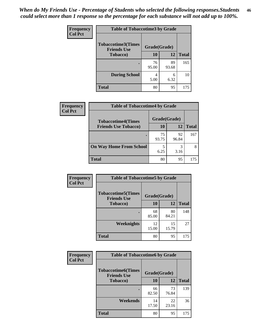| <b>Frequency</b> | <b>Table of Tobaccotime3 by Grade</b>           |              |             |              |  |
|------------------|-------------------------------------------------|--------------|-------------|--------------|--|
| <b>Col Pct</b>   | <b>Tobaccotime3(Times</b><br><b>Friends Use</b> | Grade(Grade) |             |              |  |
|                  | <b>Tobacco</b> )                                | 10           | 12          | <b>Total</b> |  |
|                  |                                                 | 76<br>95.00  | 89<br>93.68 | 165          |  |
|                  | <b>During School</b>                            | 4<br>5.00    | 6<br>6.32   | 10           |  |
|                  | <b>Total</b>                                    | 80           | 95          | 175          |  |

| Frequency<br><b>Col Pct</b> | <b>Table of Tobaccotime4 by Grade</b> |              |             |              |  |
|-----------------------------|---------------------------------------|--------------|-------------|--------------|--|
|                             | <b>Tobaccotime4(Times</b>             | Grade(Grade) |             |              |  |
|                             | <b>Friends Use Tobacco)</b>           | 10           | 12          | <b>Total</b> |  |
|                             |                                       | 75<br>93.75  | 92<br>96.84 | 167          |  |
|                             | <b>On Way Home From School</b>        | 5<br>6.25    | 3<br>3.16   | 8            |  |
|                             | Total                                 | 80           | 95          | 175          |  |

| Frequency      | <b>Table of Tobaccotime5 by Grade</b>           |              |             |              |
|----------------|-------------------------------------------------|--------------|-------------|--------------|
| <b>Col Pct</b> | <b>Tobaccotime5(Times</b><br><b>Friends Use</b> | Grade(Grade) |             |              |
|                | Tobacco)                                        | 10           | 12          | <b>Total</b> |
|                |                                                 | 68<br>85.00  | 80<br>84.21 | 148          |
|                | Weeknights                                      | 12<br>15.00  | 15<br>15.79 | 27           |
|                | <b>Total</b>                                    | 80           | 95          | 175          |

| Frequency<br><b>Col Pct</b> | <b>Table of Tobaccotime6 by Grade</b>           |             |              |              |  |
|-----------------------------|-------------------------------------------------|-------------|--------------|--------------|--|
|                             | <b>Tobaccotime6(Times</b><br><b>Friends Use</b> |             | Grade(Grade) |              |  |
|                             | <b>Tobacco</b> )                                | 10          | <b>12</b>    | <b>Total</b> |  |
|                             | ٠                                               | 66<br>82.50 | 73<br>76.84  | 139          |  |
|                             | Weekends                                        | 14<br>17.50 | 22<br>23.16  | 36           |  |
|                             | <b>Total</b>                                    | 80          | 95           | 175          |  |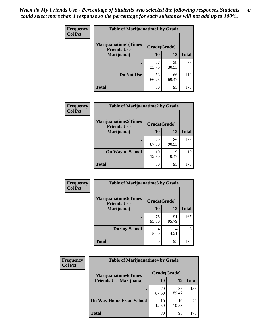| Frequency      | <b>Table of Marijuanatime1 by Grade</b>           |              |             |              |  |
|----------------|---------------------------------------------------|--------------|-------------|--------------|--|
| <b>Col Pct</b> | <b>Marijuanatime1(Times</b><br><b>Friends Use</b> | Grade(Grade) |             |              |  |
|                | Marijuana)                                        | 10           | 12          | <b>Total</b> |  |
|                |                                                   | 27<br>33.75  | 29<br>30.53 | 56           |  |
|                | Do Not Use                                        | 53<br>66.25  | 66<br>69.47 | 119          |  |
|                | <b>Total</b>                                      | 80           | 95          | 175          |  |

| Frequency      | <b>Table of Marijuanatime2 by Grade</b>           |              |             |              |
|----------------|---------------------------------------------------|--------------|-------------|--------------|
| <b>Col Pct</b> | <b>Marijuanatime2(Times</b><br><b>Friends Use</b> | Grade(Grade) |             |              |
|                | Marijuana)                                        | 10           | 12          | <b>Total</b> |
|                | ٠                                                 | 70<br>87.50  | 86<br>90.53 | 156          |
|                | <b>On Way to School</b>                           | 10<br>12.50  | 9<br>9.47   | 19           |
|                | <b>Total</b>                                      | 80           | 95          | 175          |

| <b>Frequency</b> | <b>Table of Marijuanatime3 by Grade</b>    |              |             |              |
|------------------|--------------------------------------------|--------------|-------------|--------------|
| <b>Col Pct</b>   | Marijuanatime3(Times<br><b>Friends Use</b> | Grade(Grade) |             |              |
|                  | Marijuana)                                 | 10           | 12          | <b>Total</b> |
|                  |                                            | 76<br>95.00  | 91<br>95.79 | 167          |
|                  | <b>During School</b>                       | 4<br>5.00    | 4<br>4.21   | 8            |
|                  | <b>Total</b>                               | 80           | 95          | 175          |

| <b>Frequency</b><br><b>Col Pct</b> | <b>Table of Marijuanatime4 by Grade</b> |              |             |       |
|------------------------------------|-----------------------------------------|--------------|-------------|-------|
|                                    | <b>Marijuanatime4</b> (Times            | Grade(Grade) |             |       |
|                                    | <b>Friends Use Marijuana</b> )          | 10           | 12          | Total |
|                                    |                                         | 70<br>87.50  | 85<br>89.47 | 155   |
|                                    | <b>On Way Home From School</b>          | 10<br>12.50  | 10<br>10.53 | 20    |
|                                    | <b>Total</b>                            | 80           | 95          | 175   |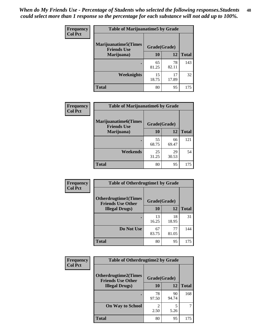| Frequency      | <b>Table of Marijuanatime5 by Grade</b>            |              |             |              |
|----------------|----------------------------------------------------|--------------|-------------|--------------|
| <b>Col Pct</b> | <b>Marijuanatime5</b> (Times<br><b>Friends Use</b> | Grade(Grade) |             |              |
|                | Marijuana)                                         | 10           | 12          | <b>Total</b> |
|                |                                                    | 65<br>81.25  | 78<br>82.11 | 143          |
|                | Weeknights                                         | 15<br>18.75  | 17<br>17.89 | 32           |
|                | <b>Total</b>                                       | 80           | 95          | 175          |

| Frequency      | <b>Table of Marijuanatime6 by Grade</b>            |              |             |              |  |
|----------------|----------------------------------------------------|--------------|-------------|--------------|--|
| <b>Col Pct</b> | <b>Marijuanatime6</b> (Times<br><b>Friends Use</b> | Grade(Grade) |             |              |  |
|                | Marijuana)                                         | 10           | 12          | <b>Total</b> |  |
|                |                                                    | 55<br>68.75  | 66<br>69.47 | 121          |  |
|                | Weekends                                           | 25<br>31.25  | 29<br>30.53 | 54           |  |
|                | <b>Total</b>                                       | 80           | 95          | 175          |  |

| <b>Frequency</b> | <b>Table of Otherdrugtime1 by Grade</b>                  |              |             |              |
|------------------|----------------------------------------------------------|--------------|-------------|--------------|
| <b>Col Pct</b>   | <b>Otherdrugtime1</b> (Times<br><b>Friends Use Other</b> | Grade(Grade) |             |              |
|                  | <b>Illegal Drugs</b> )                                   | 10           | 12          | <b>Total</b> |
|                  |                                                          | 13<br>16.25  | 18<br>18.95 | 31           |
|                  | Do Not Use                                               | 67<br>83.75  | 77<br>81.05 | 144          |
|                  | <b>Total</b>                                             | 80           | 95          | 175          |

| Frequency      | <b>Table of Otherdrugtime2 by Grade</b>                                 |                                  |             |              |  |
|----------------|-------------------------------------------------------------------------|----------------------------------|-------------|--------------|--|
| <b>Col Pct</b> | <b>Otherdrugtime2(Times</b><br>Grade(Grade)<br><b>Friends Use Other</b> |                                  |             |              |  |
|                | <b>Illegal Drugs</b> )                                                  | 10                               | 12          | <b>Total</b> |  |
|                |                                                                         | 78<br>97.50                      | 90<br>94.74 | 168          |  |
|                | <b>On Way to School</b>                                                 | $\overline{\mathcal{L}}$<br>2.50 | 5.26        |              |  |
|                | <b>Total</b>                                                            | 80                               | 95          | 175          |  |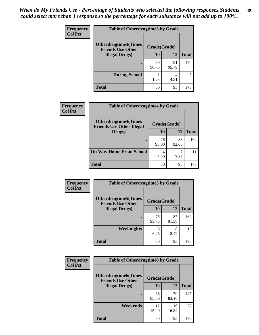| <b>Frequency</b> | <b>Table of Otherdrugtime3 by Grade</b>          |              |             |              |  |
|------------------|--------------------------------------------------|--------------|-------------|--------------|--|
| <b>Col Pct</b>   | Otherdrugtime3(Times<br><b>Friends Use Other</b> | Grade(Grade) |             |              |  |
|                  | <b>Illegal Drugs</b> )                           | 10           | 12          | <b>Total</b> |  |
|                  |                                                  | 79<br>98.75  | 91<br>95.79 | 170          |  |
|                  | <b>During School</b>                             | 1.25         | 4<br>4.21   | 5            |  |
|                  | <b>Total</b>                                     | 80           | 95          | 175          |  |

| Frequency      | <b>Table of Otherdrugtime4 by Grade</b>                         |              |             |              |
|----------------|-----------------------------------------------------------------|--------------|-------------|--------------|
| <b>Col Pct</b> | <b>Otherdrugtime4(Times</b><br><b>Friends Use Other Illegal</b> | Grade(Grade) |             |              |
|                | Drugs)                                                          | 10           | 12          | <b>Total</b> |
|                | $\bullet$                                                       | 76<br>95.00  | 88<br>92.63 | 164          |
|                | <b>On Way Home From School</b>                                  | 4<br>5.00    | 7.37        |              |
|                | <b>Total</b>                                                    | 80           | 95          | 175          |

| <b>Frequency</b> | <b>Table of Otherdrugtime5 by Grade</b>                  |              |             |              |
|------------------|----------------------------------------------------------|--------------|-------------|--------------|
| <b>Col Pct</b>   | <b>Otherdrugtime5</b> (Times<br><b>Friends Use Other</b> | Grade(Grade) |             |              |
|                  | <b>Illegal Drugs</b> )                                   | 10           | 12          | <b>Total</b> |
|                  |                                                          | 75<br>93.75  | 87<br>91.58 | 162          |
|                  | Weeknights                                               | 6.25         | 8<br>8.42   | 13           |
|                  | Total                                                    | 80           | 95          | 175          |

| Frequency      | <b>Table of Otherdrugtime6 by Grade</b>                 |              |             |              |
|----------------|---------------------------------------------------------|--------------|-------------|--------------|
| <b>Col Pct</b> | <b>Otherdrugtime6(Times</b><br><b>Friends Use Other</b> | Grade(Grade) |             |              |
|                | <b>Illegal Drugs</b> )                                  | 10           | 12          | <b>Total</b> |
|                |                                                         | 68<br>85.00  | 79<br>83.16 | 147          |
|                | Weekends                                                | 12<br>15.00  | 16<br>16.84 | 28           |
|                | Total                                                   | 80           | 95          | 175          |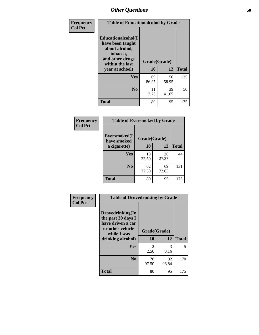| Frequency      |                                                                                                            | <b>Table of Educationalcohol by Grade</b> |             |              |  |
|----------------|------------------------------------------------------------------------------------------------------------|-------------------------------------------|-------------|--------------|--|
| <b>Col Pct</b> | Educationalcohol(I<br>have been taught<br>about alcohol,<br>tobacco,<br>and other drugs<br>within the last | Grade(Grade)                              |             |              |  |
|                | year at school)                                                                                            | 10                                        | 12          | <b>Total</b> |  |
|                | Yes                                                                                                        | 69<br>86.25                               | 56<br>58.95 | 125          |  |
|                | N <sub>0</sub>                                                                                             | 11<br>13.75                               | 39<br>41.05 | 50           |  |
|                | <b>Total</b>                                                                                               | 80                                        | 95          | 175          |  |

| Frequency      | <b>Table of Eversmoked by Grade</b> |             |             |              |  |
|----------------|-------------------------------------|-------------|-------------|--------------|--|
| <b>Col Pct</b> | Eversmoked(I<br>have smoked         |             |             |              |  |
|                | a cigarette)                        | 10          | 12          | <b>Total</b> |  |
|                | Yes                                 | 18<br>22.50 | 26<br>27.37 | 44           |  |
|                | N <sub>0</sub>                      | 62<br>77.50 | 69<br>72.63 | 131          |  |
|                | <b>Total</b>                        | 80          | 95          | 175          |  |

| Frequency      | <b>Table of Drovedrinking by Grade</b>                                                                              |                    |             |              |  |  |
|----------------|---------------------------------------------------------------------------------------------------------------------|--------------------|-------------|--------------|--|--|
| <b>Col Pct</b> | Drovedrinking(In<br>the past 30 days I<br>have driven a car<br>or other vehicle<br>while I was<br>drinking alcohol) | Grade(Grade)<br>10 | 12          | <b>Total</b> |  |  |
|                | <b>Yes</b>                                                                                                          | 2                  | 3           | 5            |  |  |
|                |                                                                                                                     | 2.50               | 3.16        |              |  |  |
|                | N <sub>0</sub>                                                                                                      | 78<br>97.50        | 92<br>96.84 | 170          |  |  |
|                | <b>Total</b>                                                                                                        | 80                 | 95          | 175          |  |  |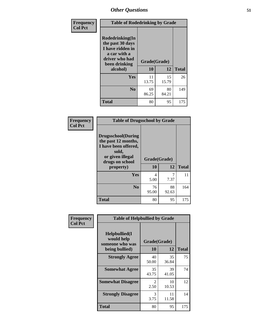| Frequency      | <b>Table of Rodedrinking by Grade</b>                                                                      |              |              |     |  |  |
|----------------|------------------------------------------------------------------------------------------------------------|--------------|--------------|-----|--|--|
| <b>Col Pct</b> | Rodedrinking(In<br>the past 30 days<br>I have ridden in<br>a car with a<br>driver who had<br>been drinking | Grade(Grade) |              |     |  |  |
|                | alcohol)                                                                                                   | 10           | <b>Total</b> |     |  |  |
|                | <b>Yes</b>                                                                                                 | 11<br>13.75  | 15<br>15.79  | 26  |  |  |
|                | N <sub>0</sub>                                                                                             | 69<br>86.25  | 80<br>84.21  | 149 |  |  |
|                | <b>Total</b>                                                                                               | 80           | 95           | 175 |  |  |

#### **Frequency Col Pct**

| <b>Table of Drugsschool by Grade</b>                                                                                      |              |             |              |  |  |
|---------------------------------------------------------------------------------------------------------------------------|--------------|-------------|--------------|--|--|
| <b>Drugsschool</b> (During<br>the past 12 months,<br>I have been offered,<br>sold,<br>or given illegal<br>drugs on school | Grade(Grade) |             |              |  |  |
| property)                                                                                                                 | 10           | 12          | <b>Total</b> |  |  |
| Yes                                                                                                                       | 4<br>5.00    | 7.37        | 11           |  |  |
| N <sub>0</sub>                                                                                                            | 76<br>95.00  | 88<br>92.63 | 164          |  |  |
| <b>Total</b>                                                                                                              | 80           | 95          | 175          |  |  |

| Frequency      | <b>Table of Helpbullied by Grade</b>                 |              |             |              |  |  |
|----------------|------------------------------------------------------|--------------|-------------|--------------|--|--|
| <b>Col Pct</b> | $Helpb$ ullied $(I$<br>would help<br>someone who was | Grade(Grade) |             |              |  |  |
|                | being bullied)                                       | <b>10</b>    | 12          | <b>Total</b> |  |  |
|                | <b>Strongly Agree</b>                                | 40<br>50.00  | 35<br>36.84 | 75           |  |  |
|                | <b>Somewhat Agree</b>                                | 35<br>43.75  | 39<br>41.05 | 74           |  |  |
|                | <b>Somewhat Disagree</b>                             | 2<br>2.50    | 10<br>10.53 | 12           |  |  |
|                | <b>Strongly Disagree</b>                             | 3<br>3.75    | 11<br>11.58 | 14           |  |  |
|                | <b>Total</b>                                         | 80           | 95          | 175          |  |  |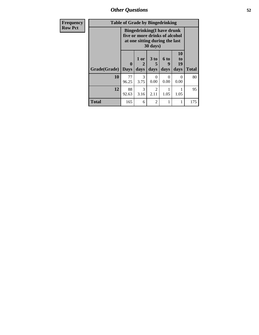| Frequency      | <b>Table of Grade by Bingedrinking</b> |                             |                     |                                                                                                                   |                   |                        |              |
|----------------|----------------------------------------|-----------------------------|---------------------|-------------------------------------------------------------------------------------------------------------------|-------------------|------------------------|--------------|
| <b>Row Pct</b> |                                        |                             |                     | <b>Bingedrinking(I have drunk</b><br>five or more drinks of alcohol<br>at one sitting during the last<br>30 days) |                   |                        |              |
|                | Grade(Grade)                           | $\mathbf{0}$<br><b>Days</b> | $1$ or<br>2<br>days | 3 to<br>days                                                                                                      | 6 to<br>9<br>days | 10<br>to<br>19<br>days | <b>Total</b> |
|                | 10                                     | 77<br>96.25                 | 3<br>3.75           | 0<br>0.00                                                                                                         | $\Omega$<br>0.00  | $\Omega$<br>0.00       | 80           |
|                | 12                                     | 88<br>92.63                 | 3<br>3.16           | $\mathfrak{D}$<br>2.11                                                                                            | 1<br>1.05         | 1.05                   | 95           |
|                | <b>Total</b>                           | 165                         | 6                   | $\overline{c}$                                                                                                    | 1                 |                        | 175          |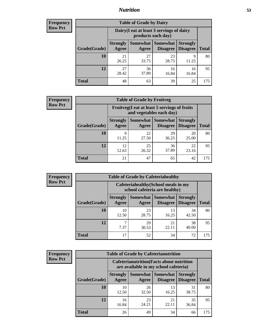## *Nutrition* **53**

| <b>Frequency</b><br>Row Pct |
|-----------------------------|
|                             |

| <b>Table of Grade by Dairy</b> |                          |                                                                                                                 |             |             |     |  |  |  |
|--------------------------------|--------------------------|-----------------------------------------------------------------------------------------------------------------|-------------|-------------|-----|--|--|--|
|                                |                          | Dairy (I eat at least 3 servings of dairy<br>products each day)                                                 |             |             |     |  |  |  |
| Grade(Grade)                   | <b>Strongly</b><br>Agree | Somewhat  <br><b>Somewhat</b><br><b>Strongly</b><br><b>Disagree</b><br><b>Disagree</b><br><b>Total</b><br>Agree |             |             |     |  |  |  |
| 10                             | 21<br>26.25              | 27<br>33.75                                                                                                     | 23<br>28.75 | 9<br>11.25  | 80  |  |  |  |
| 12                             | 27<br>28.42              | 36<br>37.89                                                                                                     | 16<br>16.84 | 16<br>16.84 | 95  |  |  |  |
| <b>Total</b>                   | 48                       | 63                                                                                                              | 39          | 25          | 175 |  |  |  |

| <b>Frequency</b> | <b>Table of Grade by Fruitveg</b> |                          |                                                                                                            |             |             |     |  |
|------------------|-----------------------------------|--------------------------|------------------------------------------------------------------------------------------------------------|-------------|-------------|-----|--|
| <b>Row Pct</b>   |                                   |                          | Fruitveg(I eat at least 5 servings of fruits<br>and vegetables each day)                                   |             |             |     |  |
|                  | Grade(Grade)                      | <b>Strongly</b><br>Agree | <b>Somewhat</b> Somewhat<br><b>Strongly</b><br><b>Disagree</b><br><b>Disagree</b><br><b>Total</b><br>Agree |             |             |     |  |
|                  | 10                                | 9<br>11.25               | 22<br>27.50                                                                                                | 29<br>36.25 | 20<br>25.00 | 80  |  |
|                  | 12                                | 12<br>12.63              | 25<br>26.32                                                                                                | 36<br>37.89 | 22<br>23.16 | 95  |  |
|                  | <b>Total</b>                      | 21                       | 47                                                                                                         | 65          | 42          | 175 |  |

| <b>Frequency</b> | <b>Table of Grade by Cafeteriahealthy</b> |                                                                       |             |                                        |                                    |              |  |  |
|------------------|-------------------------------------------|-----------------------------------------------------------------------|-------------|----------------------------------------|------------------------------------|--------------|--|--|
| <b>Row Pct</b>   |                                           | Cafeteriahealthy (School meals in my<br>school cafeteria are healthy) |             |                                        |                                    |              |  |  |
|                  | Grade(Grade)                              | <b>Strongly</b><br>Agree                                              | Agree       | Somewhat   Somewhat<br><b>Disagree</b> | <b>Strongly</b><br><b>Disagree</b> | <b>Total</b> |  |  |
|                  | 10                                        | 10<br>12.50                                                           | 23<br>28.75 | 13<br>16.25                            | 34<br>42.50                        | 80           |  |  |
|                  | 12                                        | 7.37                                                                  | 29<br>30.53 | 21<br>22.11                            | 38<br>40.00                        | 95           |  |  |
|                  | <b>Total</b>                              | 17                                                                    | 52          | 34                                     | 72                                 | 175          |  |  |

| Frequency      | <b>Table of Grade by Cafeterianutrition</b> |                                                                                           |                   |                                    |                                    |              |  |  |
|----------------|---------------------------------------------|-------------------------------------------------------------------------------------------|-------------------|------------------------------------|------------------------------------|--------------|--|--|
| <b>Row Pct</b> |                                             | <b>Cafeterianutrition</b> (Facts about nutrition<br>are available in my school cafeteria) |                   |                                    |                                    |              |  |  |
|                | Grade(Grade)                                | <b>Strongly</b><br>Agree                                                                  | Somewhat<br>Agree | <b>Somewhat</b><br><b>Disagree</b> | <b>Strongly</b><br><b>Disagree</b> | <b>Total</b> |  |  |
|                | 10                                          | 10<br>12.50                                                                               | 26<br>32.50       | 13<br>16.25                        | 31<br>38.75                        | 80           |  |  |
|                | 12                                          | 16<br>16.84                                                                               | 23<br>24.21       | 21<br>22.11                        | 35<br>36.84                        | 95           |  |  |
|                | <b>Total</b>                                | 26                                                                                        | 49                | 34                                 | 66                                 | 175          |  |  |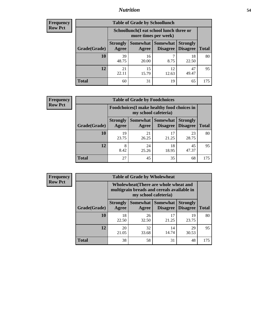## *Nutrition* **54**

| Frequency |
|-----------|
| Row Pct   |

| <b>Table of Grade by Schoollunch</b> |                          |                                                                 |                                 |                                    |              |  |  |
|--------------------------------------|--------------------------|-----------------------------------------------------------------|---------------------------------|------------------------------------|--------------|--|--|
|                                      |                          | Schoollunch(I eat school lunch three or<br>more times per week) |                                 |                                    |              |  |  |
| Grade(Grade)                         | <b>Strongly</b><br>Agree | Agree                                                           | Somewhat   Somewhat<br>Disagree | <b>Strongly</b><br><b>Disagree</b> | <b>Total</b> |  |  |
| 10                                   | 39<br>48.75              | 16<br>20.00                                                     | 8.75                            | 18<br>22.50                        | 80           |  |  |
| 12                                   | 21<br>22.11              | 15<br>15.79                                                     | 12<br>12.63                     | 47<br>49.47                        | 95           |  |  |
| <b>Total</b>                         | 60                       | 31                                                              | 19                              | 65                                 | 175          |  |  |

| <b>Frequency</b> |  |
|------------------|--|
| <b>Row Pct</b>   |  |

| V | <b>Table of Grade by Foodchoices</b> |                          |                                                                     |                             |                                    |              |  |  |
|---|--------------------------------------|--------------------------|---------------------------------------------------------------------|-----------------------------|------------------------------------|--------------|--|--|
|   |                                      |                          | Foodchoices (I make healthy food choices in<br>my school cafeteria) |                             |                                    |              |  |  |
|   | Grade(Grade)                         | <b>Strongly</b><br>Agree | Somewhat  <br>Agree                                                 | Somewhat<br><b>Disagree</b> | <b>Strongly</b><br><b>Disagree</b> | <b>Total</b> |  |  |
|   | 10                                   | 19<br>23.75              | 21<br>26.25                                                         | 17<br>21.25                 | 23<br>28.75                        | 80           |  |  |
|   | 12                                   | 8<br>8.42                | 24<br>25.26                                                         | 18<br>18.95                 | 45<br>47.37                        | 95           |  |  |
|   | <b>Total</b>                         | 27                       | 45                                                                  | 35                          | 68                                 | 175          |  |  |

| <b>Frequency</b> | <b>Table of Grade by Wholewheat</b> |                                                                                                             |             |                                      |                                    |              |
|------------------|-------------------------------------|-------------------------------------------------------------------------------------------------------------|-------------|--------------------------------------|------------------------------------|--------------|
| <b>Row Pct</b>   |                                     | Wholewheat (There are whole wheat and<br>multigrain breads and cereals available in<br>my school cafeteria) |             |                                      |                                    |              |
|                  | Grade(Grade)                        | <b>Strongly</b><br>Agree                                                                                    | Agree       | Somewhat Somewhat<br><b>Disagree</b> | <b>Strongly</b><br><b>Disagree</b> | <b>Total</b> |
|                  | 10                                  | 18<br>22.50                                                                                                 | 26<br>32.50 | 17<br>21.25                          | 19<br>23.75                        | 80           |
|                  | 12                                  | 20<br>21.05                                                                                                 | 32<br>33.68 | 14<br>14.74                          | 29<br>30.53                        | 95           |
|                  | <b>Total</b>                        | 38                                                                                                          | 58          | 31                                   | 48                                 | 175          |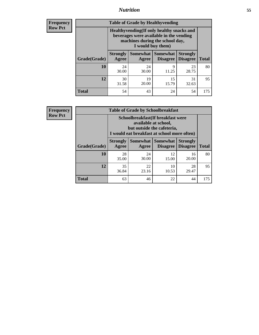## *Nutrition* **55**

**Frequency Row Pct**

| <b>Table of Grade by Healthyvending</b> |                                                                                                                                               |                   |                                    |                                    |              |  |  |
|-----------------------------------------|-----------------------------------------------------------------------------------------------------------------------------------------------|-------------------|------------------------------------|------------------------------------|--------------|--|--|
|                                         | Healthyvending (If only healthy snacks and<br>beverages were available in the vending<br>machines during the school day,<br>I would buy them) |                   |                                    |                                    |              |  |  |
| Grade(Grade)                            | <b>Strongly</b><br>Agree                                                                                                                      | Somewhat<br>Agree | <b>Somewhat</b><br><b>Disagree</b> | <b>Strongly</b><br><b>Disagree</b> | <b>Total</b> |  |  |
| 10                                      | 24<br>30.00                                                                                                                                   | 24<br>30.00       | 9<br>11.25                         | 23<br>28.75                        | 80           |  |  |
| 12                                      | 30<br>31.58                                                                                                                                   | 19<br>20.00       | 15<br>15.79                        | 31<br>32.63                        | 95           |  |  |
| <b>Total</b>                            | 54                                                                                                                                            | 43                | 24                                 | 54                                 | 175          |  |  |

**Frequency Row Pct**

| <b>Table of Grade by Schoolbreakfast</b> |                                                                                                                                         |             |                                        |                                    |              |  |  |
|------------------------------------------|-----------------------------------------------------------------------------------------------------------------------------------------|-------------|----------------------------------------|------------------------------------|--------------|--|--|
|                                          | Schoolbreakfast (If breakfast were<br>available at school,<br>but outside the cafeteria,<br>I would eat breakfast at school more often) |             |                                        |                                    |              |  |  |
| Grade(Grade)                             | <b>Strongly</b><br>Agree                                                                                                                | Agree       | Somewhat   Somewhat<br><b>Disagree</b> | <b>Strongly</b><br><b>Disagree</b> | <b>Total</b> |  |  |
| 10                                       | 28<br>35.00                                                                                                                             | 24<br>30.00 | 12<br>15.00                            | 16<br>20.00                        | 80           |  |  |
| 12                                       | 35<br>36.84                                                                                                                             | 22<br>23.16 | 10<br>10.53                            | 28<br>29.47                        | 95           |  |  |
| <b>Total</b>                             | 63                                                                                                                                      | 46          | 22                                     | 44                                 | 175          |  |  |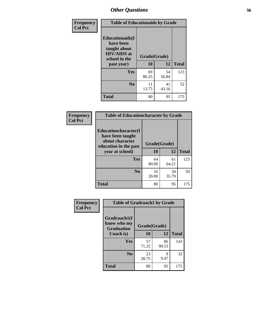| Frequency<br><b>Col Pct</b> | <b>Table of Educationaids by Grade</b>                                                                    |                    |             |              |  |  |
|-----------------------------|-----------------------------------------------------------------------------------------------------------|--------------------|-------------|--------------|--|--|
|                             | <b>Educationaids</b> (I<br>have been<br>taught about<br><b>HIV/AIDS</b> at<br>school in the<br>past year) | Grade(Grade)<br>10 | 12          | <b>Total</b> |  |  |
|                             | <b>Yes</b>                                                                                                | 69<br>86.25        | 54<br>56.84 | 123          |  |  |
|                             | N <sub>0</sub>                                                                                            | 11<br>13.75        | 41<br>43.16 | 52           |  |  |
|                             | <b>Total</b>                                                                                              | 80                 | 95          | 175          |  |  |

| Frequency      | <b>Table of Educationcharacter by Grade</b>                 |              |             |              |  |  |  |
|----------------|-------------------------------------------------------------|--------------|-------------|--------------|--|--|--|
| <b>Col Pct</b> | Educationcharacter(I<br>have been taught<br>about character |              |             |              |  |  |  |
|                | education in the past                                       | Grade(Grade) |             |              |  |  |  |
|                | year at school)                                             | 10           | 12          | <b>Total</b> |  |  |  |
|                | Yes                                                         | 64<br>80.00  | 61<br>64.21 | 125          |  |  |  |
|                | N <sub>0</sub>                                              | 16<br>20.00  | 34<br>35.79 | 50           |  |  |  |
|                | <b>Total</b>                                                | 80           | 95          | 175          |  |  |  |

| Frequency      | <b>Table of Gradcoach1 by Grade</b>              |              |             |              |
|----------------|--------------------------------------------------|--------------|-------------|--------------|
| <b>Col Pct</b> | Gradcoach1(I<br>know who my<br><b>Graduation</b> | Grade(Grade) |             |              |
|                | Coach is)                                        | 10           | 12          | <b>Total</b> |
|                | Yes                                              | 57<br>71.25  | 86<br>90.53 | 143          |
|                | N <sub>0</sub>                                   | 23<br>28.75  | 9<br>9.47   | 32           |
|                | <b>Total</b>                                     | 80           | 95          | 175          |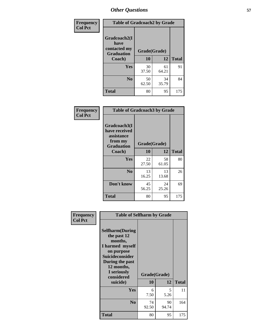| Frequency      | <b>Table of Gradcoach2 by Grade</b>       |              |             |              |  |
|----------------|-------------------------------------------|--------------|-------------|--------------|--|
| <b>Col Pct</b> |                                           |              |             |              |  |
|                | Gradcoach2(I                              |              |             |              |  |
|                | have<br>contacted my<br><b>Graduation</b> | Grade(Grade) |             |              |  |
|                | Coach)                                    | 10           | 12          | <b>Total</b> |  |
|                | Yes                                       | 30<br>37.50  | 61<br>64.21 | 91           |  |
|                | N <sub>0</sub>                            | 50<br>62.50  | 34<br>35.79 | 84           |  |
|                | <b>Total</b>                              | 80           | 95          | 175          |  |

| <b>Frequency</b><br><b>Col Pct</b> | <b>Table of Gradcoach3 by Grade</b>                                         |              |             |              |  |
|------------------------------------|-----------------------------------------------------------------------------|--------------|-------------|--------------|--|
|                                    | Gradcoach3(I<br>have received<br>assistance<br>from my<br><b>Graduation</b> | Grade(Grade) |             |              |  |
|                                    | Coach)                                                                      | 10           | 12          | <b>Total</b> |  |
|                                    | Yes                                                                         | 22<br>27.50  | 58<br>61.05 | 80           |  |
|                                    | N <sub>0</sub>                                                              | 13<br>16.25  | 13<br>13.68 | 26           |  |
|                                    | Don't know                                                                  | 45<br>56.25  | 24<br>25.26 | 69           |  |
|                                    | <b>Total</b>                                                                | 80           | 95          | 175          |  |

| Frequency<br><b>Col Pct</b> | <b>Table of Selfharm by Grade</b>                                                                                                                                                      |                    |             |              |  |  |
|-----------------------------|----------------------------------------------------------------------------------------------------------------------------------------------------------------------------------------|--------------------|-------------|--------------|--|--|
|                             | <b>Selfharm</b> (During<br>the past 12<br>months,<br>I harmed myself<br>on purpose<br><b>Suicideconsider</b><br>During the past<br>12 months,<br>I seriously<br>considered<br>suicide) | Grade(Grade)<br>10 | 12          | <b>Total</b> |  |  |
|                             | Yes                                                                                                                                                                                    | 6<br>7.50          | 5.<br>5.26  | 11           |  |  |
|                             | N <sub>0</sub>                                                                                                                                                                         | 74<br>92.50        | 90<br>94.74 | 164          |  |  |
|                             | Total                                                                                                                                                                                  | 80                 | 95          | 175          |  |  |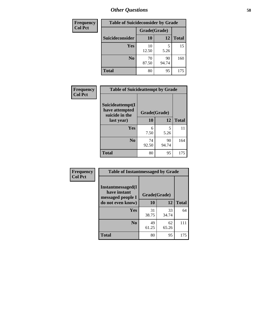| <b>Frequency</b> | <b>Table of Suicideconsider by Grade</b> |              |             |              |  |  |
|------------------|------------------------------------------|--------------|-------------|--------------|--|--|
| <b>Col Pct</b>   |                                          | Grade(Grade) |             |              |  |  |
|                  | <b>Suicideconsider</b>                   | <b>10</b>    | 12          | <b>Total</b> |  |  |
|                  | <b>Yes</b>                               | 10<br>12.50  | 5.26        | 15           |  |  |
|                  | N <sub>0</sub>                           | 70<br>87.50  | 90<br>94.74 | 160          |  |  |
|                  | <b>Total</b>                             | 80           | 95          | 175          |  |  |

| Frequency      | <b>Table of Suicideattempt by Grade</b>              |              |             |              |
|----------------|------------------------------------------------------|--------------|-------------|--------------|
| <b>Col Pct</b> | Suicideattempt(I<br>have attempted<br>suicide in the | Grade(Grade) |             |              |
|                | last year)                                           | 10           | 12          | <b>Total</b> |
|                | Yes                                                  | 6<br>7.50    | 5<br>5.26   | 11           |
|                | N <sub>0</sub>                                       | 74<br>92.50  | 90<br>94.74 | 164          |
|                | <b>Total</b>                                         | 80           | 95          | 175          |

| Frequency      | <b>Table of Instantmessaged by Grade</b>               |              |             |              |  |
|----------------|--------------------------------------------------------|--------------|-------------|--------------|--|
| <b>Col Pct</b> | Instantmessaged(I<br>have instant<br>messaged people I | Grade(Grade) |             |              |  |
|                | do not even know)                                      | 10           | 12          | <b>Total</b> |  |
|                | <b>Yes</b>                                             | 31<br>38.75  | 33<br>34.74 | 64           |  |
|                | N <sub>0</sub>                                         | 49<br>61.25  | 62<br>65.26 | 111          |  |
|                | <b>Total</b>                                           | 80           | 95          | 175          |  |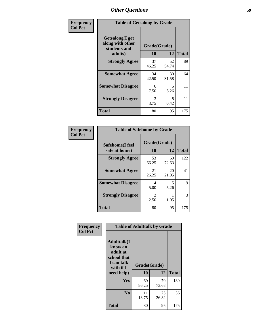| Frequency      | <b>Table of Getsalong by Grade</b>                          |              |             |              |  |  |  |
|----------------|-------------------------------------------------------------|--------------|-------------|--------------|--|--|--|
| <b>Col Pct</b> | <b>Getsalong</b> (I get<br>along with other<br>students and | Grade(Grade) |             |              |  |  |  |
|                | adults)                                                     | 10           | 12          | <b>Total</b> |  |  |  |
|                | <b>Strongly Agree</b>                                       | 37<br>46.25  | 52<br>54.74 | 89           |  |  |  |
|                | <b>Somewhat Agree</b>                                       | 34<br>42.50  | 30<br>31.58 | 64           |  |  |  |
|                | <b>Somewhat Disagree</b>                                    | 6<br>7.50    | 5<br>5.26   | 11           |  |  |  |
|                | <b>Strongly Disagree</b>                                    | 3<br>3.75    | 8<br>8.42   | 11           |  |  |  |
|                | <b>Total</b>                                                | 80           | 95          | 175          |  |  |  |

| Frequency      | <b>Table of Safehome by Grade</b> |                        |             |              |  |  |
|----------------|-----------------------------------|------------------------|-------------|--------------|--|--|
| <b>Col Pct</b> | Safehome(I feel<br>safe at home)  | Grade(Grade)<br>10     | 12          | <b>Total</b> |  |  |
|                | <b>Strongly Agree</b>             | 53<br>66.25            | 69<br>72.63 | 122          |  |  |
|                | <b>Somewhat Agree</b>             | 21<br>26.25            | 20<br>21.05 | 41           |  |  |
|                | <b>Somewhat Disagree</b>          | 4<br>5.00              | 5<br>5.26   | 9            |  |  |
|                | <b>Strongly Disagree</b>          | $\overline{2}$<br>2.50 | 1.05        | 3            |  |  |
|                | <b>Total</b>                      | 80                     | 95          | 175          |  |  |

| Frequency      |                                                                                      | <b>Table of Adulttalk by Grade</b> |             |              |
|----------------|--------------------------------------------------------------------------------------|------------------------------------|-------------|--------------|
| <b>Col Pct</b> | <b>Adulttalk</b> (I<br>know an<br>adult at<br>school that<br>I can talk<br>with if I | Grade(Grade)                       |             |              |
|                | need help)                                                                           | 10                                 | 12          | <b>Total</b> |
|                | Yes                                                                                  | 69<br>86.25                        | 70<br>73.68 | 139          |
|                | N <sub>0</sub>                                                                       | 11<br>13.75                        | 25<br>26.32 | 36           |
|                | <b>Total</b>                                                                         | 80                                 | 95          | 175          |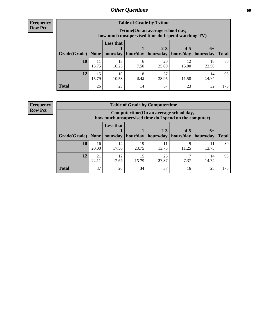**Frequency Row Pct**

| <b>Table of Grade by Tvtime</b> |             |                                                                                        |           |                                                                      |             |             |              |
|---------------------------------|-------------|----------------------------------------------------------------------------------------|-----------|----------------------------------------------------------------------|-------------|-------------|--------------|
|                                 |             | Tvtime(On an average school day,<br>how much unsupervised time do I spend watching TV) |           |                                                                      |             |             |              |
| Grade(Grade)   None             |             | <b>Less that</b>                                                                       |           | $2 - 3$<br>$hour/day$   hour/day   hours/day   hours/day   hours/day | $4 - 5$     | $6+$        | <b>Total</b> |
| 10                              | 11<br>13.75 | 13<br>16.25                                                                            | 6<br>7.50 | 20<br>25.00                                                          | 12<br>15.00 | 18<br>22.50 | 80           |
| 12                              | 15<br>15.79 | 10<br>10.53                                                                            | 8.42      | 37<br>38.95                                                          | 11.58       | 14<br>14.74 | 95           |
| <b>Total</b>                    | 26          | 23                                                                                     | 14        | 57                                                                   | 23          | 32          | 175          |

**Frequency Row Pct**

| <b>Table of Grade by Computertime</b> |             |                                                                                                   |             |                        |                      |                   |              |
|---------------------------------------|-------------|---------------------------------------------------------------------------------------------------|-------------|------------------------|----------------------|-------------------|--------------|
|                                       |             | Computertime (On an average school day,<br>how much unsupervised time do I spend on the computer) |             |                        |                      |                   |              |
| Grade(Grade)                          | None        | <b>Less that</b><br>hour/day                                                                      | hour/day    | $2 - 3$<br>  hours/day | $4 - 5$<br>hours/day | $6+$<br>hours/day | <b>Total</b> |
| 10                                    | 16<br>20.00 | 14<br>17.50                                                                                       | 19<br>23.75 | 11<br>13.75            | Q<br>11.25           | 11<br>13.75       | 80           |
| 12                                    | 21<br>22.11 | 12<br>12.63                                                                                       | 15<br>15.79 | 26<br>27.37            | 7.37                 | 14<br>14.74       | 95           |
| <b>Total</b>                          | 37          | 26                                                                                                | 34          | 37                     | 16                   | 25                | 175          |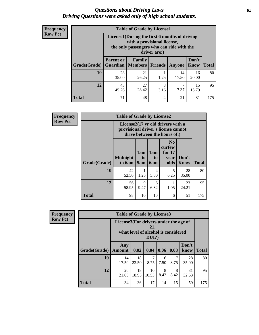#### *Questions about Driving Laws* **61** *Driving Questions were asked only of high school students.*

| <b>Frequency</b> |
|------------------|
| <b>Row Pct</b>   |

| <b>Table of Grade by License1</b> |                                                                |                                                                                                                                           |                |             |               |              |  |  |  |
|-----------------------------------|----------------------------------------------------------------|-------------------------------------------------------------------------------------------------------------------------------------------|----------------|-------------|---------------|--------------|--|--|--|
|                                   |                                                                | License1(During the first 6 months of driving<br>with a provisional license,<br>the only passengers who can ride with the<br>driver are:) |                |             |               |              |  |  |  |
| Grade(Grade)                      | <b>Parent or</b><br>Guardian                                   | Family<br><b>Members</b>                                                                                                                  | <b>Friends</b> | Anyone      | Don't<br>Know | <b>Total</b> |  |  |  |
| 10                                | 28<br>35.00                                                    | 21<br>26.25                                                                                                                               | 1.25           | 14<br>17.50 | 16<br>20.00   | 80           |  |  |  |
| 12                                | 3<br>15<br>43<br>27<br>28.42<br>7.37<br>15.79<br>45.26<br>3.16 |                                                                                                                                           |                |             |               |              |  |  |  |
| Total                             | 71                                                             | 48                                                                                                                                        | 4              | 21          | 31            | 175          |  |  |  |

| <b>Frequency</b> |              | <b>Table of Grade by License2</b> |                              |                  |                                                                                                          |                      |              |  |  |  |
|------------------|--------------|-----------------------------------|------------------------------|------------------|----------------------------------------------------------------------------------------------------------|----------------------|--------------|--|--|--|
| <b>Row Pct</b>   |              |                                   |                              |                  | License2(17 yr old drivers with a<br>provisional driver's license cannot<br>drive between the hours of:) |                      |              |  |  |  |
|                  | Grade(Grade) | <b>Midnight</b><br>to 6am         | 1am<br>t <sub>0</sub><br>5am | 1am<br>to<br>6am | N <sub>0</sub><br>curfew<br>for $17$<br>year<br>olds                                                     | Don't<br><b>Know</b> | <b>Total</b> |  |  |  |
|                  | 10           | 42<br>52.50                       | 1<br>1.25                    | 4<br>5.00        | 5<br>6.25                                                                                                | 28<br>35.00          | 80           |  |  |  |
|                  | 12           | 56<br>58.95                       | 9<br>9.47                    | 6<br>6.32        | 1.05                                                                                                     | 23<br>24.21          | 95           |  |  |  |
|                  | <b>Total</b> | 98                                | 10                           | 10               | 6                                                                                                        | 51                   | 175          |  |  |  |

| Frequency      |              | <b>Table of Grade by License3</b>     |             |                                                        |           |           |               |              |  |
|----------------|--------------|---------------------------------------|-------------|--------------------------------------------------------|-----------|-----------|---------------|--------------|--|
| <b>Row Pct</b> |              | License3(For drivers under the age of |             | 21,<br>what level of alcohol is considered<br>$DUI$ ?) |           |           |               |              |  |
|                | Grade(Grade) | Any<br><b>Amount</b>                  | 0.02        | 0.04                                                   | 0.06      | 0.08      | Don't<br>know | <b>Total</b> |  |
|                | 10           | 14<br>17.50                           | 18<br>22.50 | 7<br>8.75                                              | 6<br>7.50 | 7<br>8.75 | 28<br>35.00   | 80           |  |
|                | 12           | 20<br>21.05                           | 18<br>18.95 | 10<br>10.53                                            | 8<br>8.42 | 8<br>8.42 | 31<br>32.63   | 95           |  |
|                | <b>Total</b> | 34                                    | 36          | 17                                                     | 14        | 15        | 59            | 175          |  |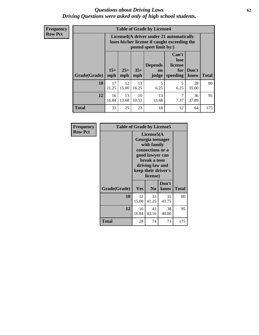#### *Questions about Driving Laws* **62** *Driving Questions were asked only of high school students.*

**Frequency Row Pct**

| <b>Table of Grade by License4</b> |             |                                                                                                                                                                                                                                                                                       |             |             |           |             |     |  |  |
|-----------------------------------|-------------|---------------------------------------------------------------------------------------------------------------------------------------------------------------------------------------------------------------------------------------------------------------------------------------|-------------|-------------|-----------|-------------|-----|--|--|
|                                   |             | License4(A driver under 21 automatically<br>loses his/her license if caught exceeding the<br>posted speet limit by:)<br>Can't<br>lose<br><b>Depends</b><br>license<br>$15+$<br>$25+$<br>$35+$<br>Don't<br>for<br><b>on</b><br><b>Total</b><br>speeding<br>mph<br>know<br>mph<br>judge |             |             |           |             |     |  |  |
| Grade(Grade)                      | mph         |                                                                                                                                                                                                                                                                                       |             |             |           |             |     |  |  |
| 10                                | 17<br>21.25 | 12<br>15.00                                                                                                                                                                                                                                                                           | 13<br>16.25 | 5<br>6.25   | 5<br>6.25 | 28<br>35.00 | 80  |  |  |
| 12                                | 16<br>16.84 | 13<br>13.68                                                                                                                                                                                                                                                                           | 10<br>10.53 | 13<br>13.68 | 7<br>7.37 | 36<br>37.89 | 95  |  |  |
| <b>Total</b>                      | 33          | 25                                                                                                                                                                                                                                                                                    | 23          | 18          | 12        | 64          | 175 |  |  |

| Frequency<br><b>Row Pct</b> | <b>Table of Grade by License5</b> |             |                                                                                                                                     |                     |       |
|-----------------------------|-----------------------------------|-------------|-------------------------------------------------------------------------------------------------------------------------------------|---------------------|-------|
|                             |                                   |             | License5(A<br>Georgia teenager<br>with family<br>connections or a<br>good lawyer can<br>break a teen<br>driving law and<br>license) | keep their driver's |       |
|                             | Grade(Grade)                      | <b>Yes</b>  | N <sub>0</sub>                                                                                                                      | Don't<br>know       | Total |
|                             | 10                                | 12<br>15.00 | 33<br>41.25                                                                                                                         | 35<br>43.75         | 80    |
|                             | 12                                | 16<br>16.84 | 41<br>43.16                                                                                                                         | 38<br>40.00         | 95    |
|                             | Total                             | 28          | 74                                                                                                                                  | 73                  | 175   |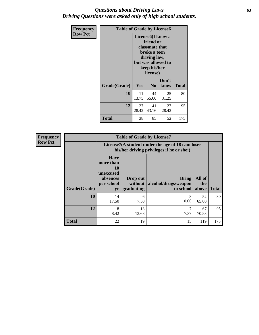### *Questions about Driving Laws* **63** *Driving Questions were asked only of high school students.*

| <b>Frequency</b> | <b>Table of Grade by License6</b> |             |                                                                                                                           |                    |              |  |  |
|------------------|-----------------------------------|-------------|---------------------------------------------------------------------------------------------------------------------------|--------------------|--------------|--|--|
| <b>Row Pct</b>   |                                   |             | License <sub>6</sub> (I know a<br>friend or<br>classmate that<br>broke a teen<br>driving law,<br>keep his/her<br>license) | but was allowed to |              |  |  |
|                  | Grade(Grade)                      | <b>Yes</b>  | N <sub>0</sub>                                                                                                            | Don't<br>know      | <b>Total</b> |  |  |
|                  | 10                                | 11<br>13.75 | 44<br>55.00                                                                                                               | 25<br>31.25        | 80           |  |  |
|                  | 12                                | 27<br>28.42 | 41<br>43.16                                                                                                               | 27<br>28.42        | 95           |  |  |
|                  | <b>Total</b>                      | 38          | 85                                                                                                                        | 52                 | 175          |  |  |

| <b>Frequency</b> | <b>Table of Grade by License7</b> |                                                                             |                                     |                                                                                               |                        |              |  |  |  |
|------------------|-----------------------------------|-----------------------------------------------------------------------------|-------------------------------------|-----------------------------------------------------------------------------------------------|------------------------|--------------|--|--|--|
| <b>Row Pct</b>   |                                   |                                                                             |                                     | License7(A student under the age of 18 cam loser<br>his/her driving privileges if he or she:) |                        |              |  |  |  |
|                  | Grade(Grade)                      | <b>Have</b><br>more than<br>10<br>unexcused<br>absences<br>per school<br>yr | Drop out<br>without  <br>graduating | <b>Bring</b><br>alcohol/drugs/weapon<br>to school                                             | All of<br>the<br>above | <b>Total</b> |  |  |  |
|                  | 10                                | 14<br>17.50                                                                 | 6<br>7.50                           | 8<br>10.00                                                                                    | 52<br>65.00            | 80           |  |  |  |
|                  | 12                                | 8<br>8.42                                                                   | 13<br>13.68                         | 7.37                                                                                          | 67<br>70.53            | 95           |  |  |  |
|                  | <b>Total</b>                      | 22                                                                          | 19                                  | 15                                                                                            | 119                    | 175          |  |  |  |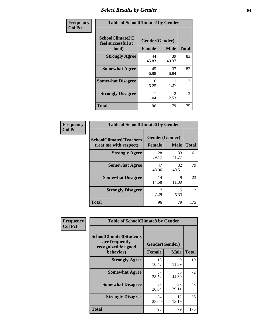# *Select Results by Gender* **64**

| Frequency      |                                                   | <b>Table of SchoolClimate2 by Gender</b> |                                     |              |  |  |  |
|----------------|---------------------------------------------------|------------------------------------------|-------------------------------------|--------------|--|--|--|
| <b>Col Pct</b> | SchoolClimate2(I<br>feel successful at<br>school) | Gender(Gender)<br><b>Female</b>          | <b>Male</b>                         | <b>Total</b> |  |  |  |
|                | <b>Strongly Agree</b>                             | 44<br>45.83                              | 39<br>49.37                         | 83           |  |  |  |
|                | <b>Somewhat Agree</b>                             | 45<br>46.88                              | 37<br>46.84                         | 82           |  |  |  |
|                | <b>Somewhat Disagree</b>                          | 6<br>6.25                                | 1.27                                | 7            |  |  |  |
|                | <b>Strongly Disagree</b>                          | 1.04                                     | $\mathcal{D}_{\mathcal{L}}$<br>2.53 | 3            |  |  |  |
|                | <b>Total</b>                                      | 96                                       | 79                                  | 175          |  |  |  |

| <b>Frequency</b> | <b>Table of SchoolClimate6 by Gender</b>                 |                                 |             |              |
|------------------|----------------------------------------------------------|---------------------------------|-------------|--------------|
| <b>Col Pct</b>   | <b>SchoolClimate6(Teachers</b><br>treat me with respect) | Gender(Gender)<br><b>Female</b> | <b>Male</b> | <b>Total</b> |
|                  | <b>Strongly Agree</b>                                    | 28<br>29.17                     | 33<br>41.77 | 61           |
|                  | <b>Somewhat Agree</b>                                    | 47<br>48.96                     | 32<br>40.51 | 79           |
|                  | <b>Somewhat Disagree</b>                                 | 14<br>14.58                     | Q<br>11.39  | 23           |
|                  | <b>Strongly Disagree</b>                                 | 7<br>7.29                       | 5<br>6.33   | 12           |
|                  | <b>Total</b>                                             | 96                              | 79          | 175          |

| <b>Frequency</b> | <b>Table of SchoolClimate8 by Gender</b>                                |               |                |              |  |  |  |
|------------------|-------------------------------------------------------------------------|---------------|----------------|--------------|--|--|--|
| <b>Col Pct</b>   | <b>SchoolClimate8(Students</b><br>are frequently<br>recognized for good |               | Gender(Gender) |              |  |  |  |
|                  | behavior)                                                               | <b>Female</b> | <b>Male</b>    | <b>Total</b> |  |  |  |
|                  | <b>Strongly Agree</b>                                                   | 10<br>10.42   | 9<br>11.39     | 19           |  |  |  |
|                  | <b>Somewhat Agree</b>                                                   | 37<br>38.54   | 35<br>44.30    | 72           |  |  |  |
|                  | <b>Somewhat Disagree</b>                                                | 25<br>26.04   | 23<br>29.11    | 48           |  |  |  |
|                  | <b>Strongly Disagree</b>                                                | 24<br>25.00   | 12<br>15.19    | 36           |  |  |  |
|                  | Total                                                                   | 96            | 79             | 175          |  |  |  |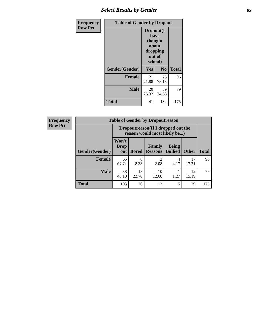# *Select Results by Gender* **65**

| Frequency      | <b>Table of Gender by Dropout</b> |                                                              |                |              |  |
|----------------|-----------------------------------|--------------------------------------------------------------|----------------|--------------|--|
| <b>Row Pct</b> |                                   | Dropout(I<br>have<br>thought<br>about<br>dropping<br>school) | out of         |              |  |
|                | Gender(Gender)                    | Yes                                                          | N <sub>0</sub> | <b>Total</b> |  |
|                | <b>Female</b>                     | 21<br>21.88                                                  | 75<br>78.13    | 96           |  |
|                | <b>Male</b>                       | 20<br>25.32                                                  | 59<br>74.68    | 79           |  |
|                | <b>Total</b>                      | 41                                                           | 134            | 175          |  |

| <b>Frequency</b> |                | <b>Table of Gender by Dropoutreason</b> |                                                                     |                     |                                |              |              |  |  |
|------------------|----------------|-----------------------------------------|---------------------------------------------------------------------|---------------------|--------------------------------|--------------|--------------|--|--|
| <b>Row Pct</b>   |                |                                         | Dropoutreason (If I dropped out the<br>reason would most likely be) |                     |                                |              |              |  |  |
|                  | Gender(Gender) | Won't<br><b>Drop</b><br>out             | <b>Bored</b>                                                        | Family<br>  Reasons | <b>Being</b><br><b>Bullied</b> | <b>Other</b> | <b>Total</b> |  |  |
|                  | Female         | 65<br>67.71                             | 8<br>8.33                                                           | ↑<br>2.08           | 4<br>4.17                      | 17<br>17.71  | 96           |  |  |
|                  | <b>Male</b>    | 38<br>48.10                             | 18<br>22.78                                                         | 10<br>12.66         | 1.27                           | 12<br>15.19  | 79           |  |  |
|                  | <b>Total</b>   | 103                                     | 26                                                                  | 12                  | 5                              | 29           | 175          |  |  |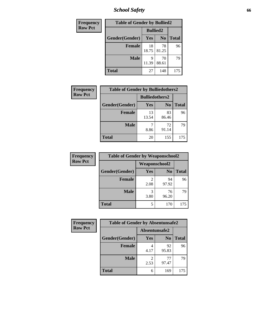*School Safety* **66**

| Frequency      | <b>Table of Gender by Bullied2</b> |                 |                |              |
|----------------|------------------------------------|-----------------|----------------|--------------|
| <b>Row Pct</b> |                                    | <b>Bullied2</b> |                |              |
|                | Gender(Gender)                     | Yes             | N <sub>0</sub> | <b>Total</b> |
|                | <b>Female</b>                      | 18<br>18.75     | 78<br>81.25    | 96           |
|                | <b>Male</b>                        | Q<br>11.39      | 70<br>88.61    | 79           |
|                | <b>Total</b>                       | 27              | 148            | 175          |

| Frequency      | <b>Table of Gender by Bulliedothers2</b> |                       |                |              |
|----------------|------------------------------------------|-----------------------|----------------|--------------|
| <b>Row Pct</b> |                                          | <b>Bulliedothers2</b> |                |              |
|                | Gender(Gender)                           | Yes                   | N <sub>0</sub> | <b>Total</b> |
|                | <b>Female</b>                            | 13<br>13.54           | 83<br>86.46    | 96           |
|                | <b>Male</b>                              | 8.86                  | 72<br>91.14    | 79           |
|                | <b>Total</b>                             | 20                    | 155            | 175          |

| Frequency      | <b>Table of Gender by Weaponschool2</b> |                      |                |              |
|----------------|-----------------------------------------|----------------------|----------------|--------------|
| <b>Row Pct</b> |                                         | <b>Weaponschool2</b> |                |              |
|                | Gender(Gender)                          | Yes                  | N <sub>0</sub> | <b>Total</b> |
|                | <b>Female</b>                           | 2.08                 | 94<br>97.92    | 96           |
|                | <b>Male</b>                             | 3<br>3.80            | 76<br>96.20    | 79           |
|                | <b>Total</b>                            | 5                    | 170            | 175          |

| Frequency      |                | <b>Table of Gender by Absentunsafe2</b> |                |              |
|----------------|----------------|-----------------------------------------|----------------|--------------|
| <b>Row Pct</b> |                | Absentunsafe2                           |                |              |
|                | Gender(Gender) | Yes                                     | N <sub>0</sub> | <b>Total</b> |
|                | <b>Female</b>  | 4.17                                    | 92<br>95.83    | 96           |
|                | <b>Male</b>    | 2.53                                    | 77<br>97.47    | 79           |
|                | <b>Total</b>   | 6                                       | 169            | 175          |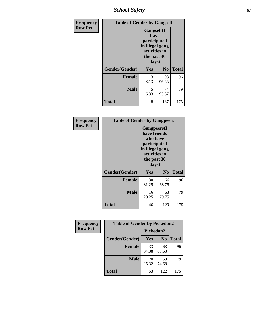*School Safety* **67**

| Frequency      | <b>Table of Gender by Gangself</b> |                                                                                                        |                |              |
|----------------|------------------------------------|--------------------------------------------------------------------------------------------------------|----------------|--------------|
| <b>Row Pct</b> |                                    | <b>Gangself</b> (I<br>have<br>participated<br>in illegal gang<br>activities in<br>the past 30<br>days) |                |              |
|                | Gender(Gender)                     | Yes                                                                                                    | N <sub>0</sub> | <b>Total</b> |
|                | <b>Female</b>                      | 3<br>3.13                                                                                              | 93<br>96.88    | 96           |
|                | <b>Male</b>                        | 5<br>6.33                                                                                              | 74<br>93.67    | 79           |
|                | <b>Total</b>                       | 8                                                                                                      | 167            | 175          |

| Frequency      | <b>Table of Gender by Gangpeers</b> |                                                                                                                             |                |              |
|----------------|-------------------------------------|-----------------------------------------------------------------------------------------------------------------------------|----------------|--------------|
| <b>Row Pct</b> |                                     | <b>Gangpeers</b> (I<br>have friends<br>who have<br>participated<br>in illegal gang<br>activities in<br>the past 30<br>days) |                |              |
|                | Gender(Gender)                      | <b>Yes</b>                                                                                                                  | N <sub>0</sub> | <b>Total</b> |
|                | <b>Female</b>                       | 30<br>31.25                                                                                                                 | 66<br>68.75    | 96           |
|                | <b>Male</b>                         | 16<br>20.25                                                                                                                 | 63<br>79.75    | 79           |
|                | Total                               | 46                                                                                                                          | 129            | 175          |

| Frequency      | <b>Table of Gender by Pickedon2</b> |             |                |              |
|----------------|-------------------------------------|-------------|----------------|--------------|
| <b>Row Pct</b> |                                     | Pickedon2   |                |              |
|                | Gender(Gender)                      | <b>Yes</b>  | N <sub>0</sub> | <b>Total</b> |
|                | <b>Female</b>                       | 33<br>34.38 | 63<br>65.63    | 96           |
|                | <b>Male</b>                         | 20<br>25.32 | 59<br>74.68    | 79           |
|                | <b>Total</b>                        | 53          | 122            | 175          |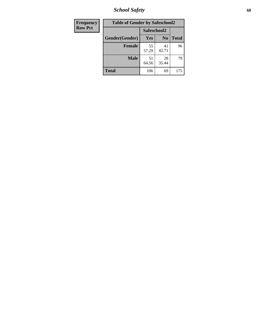*School Safety* **68**

| Frequency      | <b>Table of Gender by Safeschool2</b> |             |                |              |
|----------------|---------------------------------------|-------------|----------------|--------------|
| <b>Row Pct</b> |                                       | Safeschool2 |                |              |
|                | Gender(Gender)                        | <b>Yes</b>  | N <sub>0</sub> | <b>Total</b> |
|                | <b>Female</b>                         | 55<br>57.29 | 41<br>42.71    | 96           |
|                | <b>Male</b>                           | 51<br>64.56 | 28<br>35.44    | 79           |
|                | <b>Total</b>                          | 106         | 69             | 175          |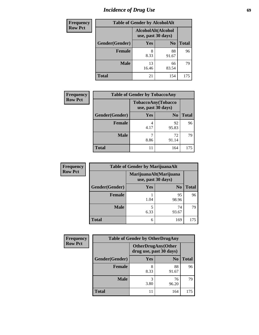# *Incidence of Drug Use* 69

| <b>Frequency</b> | <b>Table of Gender by AlcoholAlt</b> |                                          |                |              |
|------------------|--------------------------------------|------------------------------------------|----------------|--------------|
| <b>Row Pct</b>   |                                      | AlcoholAlt(Alcohol<br>use, past 30 days) |                |              |
|                  | Gender(Gender)                       | Yes                                      | N <sub>0</sub> | <b>Total</b> |
|                  | Female                               | 8<br>8.33                                | 88<br>91.67    | 96           |
|                  | <b>Male</b>                          | 13<br>16.46                              | 66<br>83.54    | 79           |
|                  | <b>Total</b>                         | 21                                       | 154            | 175          |

| Frequency      | <b>Table of Gender by TobaccoAny</b> |                                          |                |              |
|----------------|--------------------------------------|------------------------------------------|----------------|--------------|
| <b>Row Pct</b> |                                      | TobaccoAny(Tobacco<br>use, past 30 days) |                |              |
|                | Gender(Gender)                       | Yes                                      | N <sub>0</sub> | <b>Total</b> |
|                | <b>Female</b>                        | 4<br>4.17                                | 92<br>95.83    | 96           |
|                | <b>Male</b>                          | 8.86                                     | 72<br>91.14    | 79           |
|                | <b>Total</b>                         | 11                                       | 164            | 175          |

| <b>Frequency</b> | <b>Table of Gender by MarijuanaAlt</b> |                    |                        |              |
|------------------|----------------------------------------|--------------------|------------------------|--------------|
| <b>Row Pct</b>   |                                        | use, past 30 days) | MarijuanaAlt(Marijuana |              |
|                  | Gender(Gender)                         | <b>Yes</b>         | N <sub>0</sub>         | <b>Total</b> |
|                  | <b>Female</b>                          | 1.04               | 95<br>98.96            | 96           |
|                  | <b>Male</b>                            | 5<br>6.33          | 74<br>93.67            | 79           |
|                  | <b>Total</b>                           | 6                  | 169                    | 175          |

| <b>Frequency</b> | <b>Table of Gender by OtherDrugAny</b> |                                                      |                |              |
|------------------|----------------------------------------|------------------------------------------------------|----------------|--------------|
| <b>Row Pct</b>   |                                        | <b>OtherDrugAny(Other</b><br>drug use, past 30 days) |                |              |
|                  | Gender(Gender)                         | <b>Yes</b>                                           | N <sub>0</sub> | <b>Total</b> |
|                  | <b>Female</b>                          | 8<br>8.33                                            | 88<br>91.67    | 96           |
|                  | <b>Male</b>                            | 3<br>3.80                                            | 76<br>96.20    | 79           |
|                  | <b>Total</b>                           |                                                      | 164            | 175          |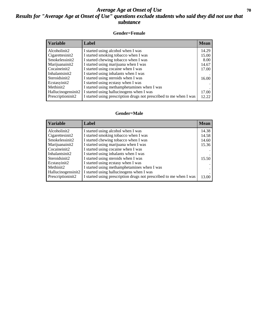### *Average Age at Onset of Use* **70** *Results for "Average Age at Onset of Use" questions exclude students who said they did not use that substance*

#### **Gender=Female**

| <b>Variable</b>    | <b>Label</b>                                                       | <b>Mean</b> |
|--------------------|--------------------------------------------------------------------|-------------|
| Alcoholinit2       | I started using alcohol when I was                                 | 14.29       |
| Cigarettesinit2    | I started smoking tobacco when I was                               | 15.00       |
| Smokelessinit2     | I started chewing tobacco when I was                               | 8.00        |
| Marijuanainit2     | I started using marijuana when I was                               | 14.67       |
| Cocaineinit2       | I started using cocaine when I was                                 | 17.00       |
| Inhalantsinit2     | I started using inhalants when I was                               |             |
| Steroidsinit2      | I started using steroids when I was                                | 16.00       |
| Ecstasyinit2       | I started using ecstasy when I was                                 |             |
| Methinit2          | I started using methamphetamines when I was                        |             |
| Hallucinogensinit2 | I started using hallucinogens when I was                           | 17.00       |
| Prescription in t2 | I started using prescription drugs not prescribed to me when I was | 12.22       |

#### **Gender=Male**

| <b>Variable</b>                 | Label                                                              | <b>Mean</b> |
|---------------------------------|--------------------------------------------------------------------|-------------|
| Alcoholinit2                    | I started using alcohol when I was                                 | 14.38       |
| Cigarettesinit2                 | I started smoking tobacco when I was                               | 14.58       |
| Smokelessinit2                  | I started chewing tobacco when I was                               | 14.60       |
| Marijuanainit2                  | I started using marijuana when I was                               | 15.36       |
| Cocaineinit2                    | I started using cocaine when I was                                 |             |
| Inhalantsinit2                  | I started using inhalants when I was                               |             |
| Steroidsinit2                   | I started using steroids when I was                                | 15.50       |
| Ecstasyinit2                    | I started using ecstasy when I was                                 |             |
| Methinit2                       | I started using methamphetamines when I was                        |             |
| Hallucinogensinit2              | I started using hallucinogens when I was                           |             |
| Prescription in it <sub>2</sub> | I started using prescription drugs not prescribed to me when I was | 13.00       |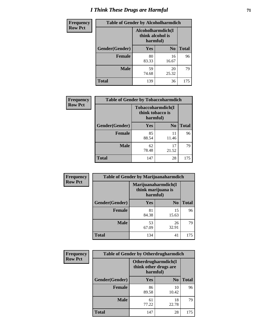# *I Think These Drugs are Harmful* **71**

| <b>Frequency</b> | <b>Table of Gender by Alcoholharmdich</b> |                                                   |                |              |
|------------------|-------------------------------------------|---------------------------------------------------|----------------|--------------|
| <b>Row Pct</b>   |                                           | Alcoholharmdich(I<br>think alcohol is<br>harmful) |                |              |
|                  | Gender(Gender)                            | <b>Yes</b>                                        | N <sub>0</sub> | <b>Total</b> |
|                  | <b>Female</b>                             | 80<br>83.33                                       | 16<br>16.67    | 96           |
|                  | <b>Male</b>                               | 59<br>74.68                                       | 20<br>25.32    | 79           |
|                  | <b>Total</b>                              | 139                                               | 36             | 175          |

| Frequency      | <b>Table of Gender by Tobaccoharmdich</b> |                  |                               |              |
|----------------|-------------------------------------------|------------------|-------------------------------|--------------|
| <b>Row Pct</b> |                                           | think tobacco is | Tobaccoharmdich(I<br>harmful) |              |
|                | Gender(Gender)                            | <b>Yes</b>       | N <sub>0</sub>                | <b>Total</b> |
|                | <b>Female</b>                             | 85<br>88.54      | 11<br>11.46                   | 96           |
|                | <b>Male</b>                               | 62<br>78.48      | 17<br>21.52                   | 79           |
|                | <b>Total</b>                              | 147              | 28                            | 175          |

| Frequency      | <b>Table of Gender by Marijuanaharmdich</b> |                                                       |                |              |  |
|----------------|---------------------------------------------|-------------------------------------------------------|----------------|--------------|--|
| <b>Row Pct</b> |                                             | Marijuanaharmdich(I<br>think marijuana is<br>harmful) |                |              |  |
|                | Gender(Gender)                              | <b>Yes</b>                                            | N <sub>0</sub> | <b>Total</b> |  |
|                | <b>Female</b>                               | 81<br>84.38                                           | 15<br>15.63    | 96           |  |
|                | <b>Male</b>                                 | 53<br>67.09                                           | 26<br>32.91    | 79           |  |
|                | <b>Total</b>                                | 134                                                   | 41             | 175          |  |

| Frequency      | <b>Table of Gender by Otherdrugharmdich</b> |                                   |                     |              |  |
|----------------|---------------------------------------------|-----------------------------------|---------------------|--------------|--|
| <b>Row Pct</b> |                                             | think other drugs are<br>harmful) | Otherdrugharmdich(I |              |  |
|                | Gender(Gender)                              | <b>Yes</b>                        | N <sub>0</sub>      | <b>Total</b> |  |
|                | <b>Female</b>                               | 86<br>89.58                       | 10<br>10.42         | 96           |  |
|                | <b>Male</b>                                 | 61<br>77.22                       | 18<br>22.78         | 79           |  |
|                | <b>Total</b>                                | 147                               | 28                  | 175          |  |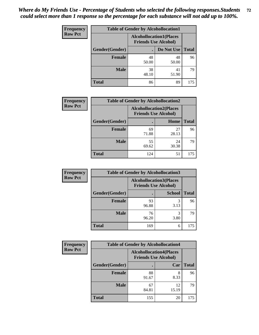| <b>Frequency</b> | <b>Table of Gender by Alcohollocation1</b> |                                                               |             |              |
|------------------|--------------------------------------------|---------------------------------------------------------------|-------------|--------------|
| <b>Row Pct</b>   |                                            | <b>Alcohollocation1(Places</b><br><b>Friends Use Alcohol)</b> |             |              |
|                  | Gender(Gender)                             |                                                               | Do Not Use  | <b>Total</b> |
|                  | <b>Female</b>                              | 48<br>50.00                                                   | 48<br>50.00 | 96           |
|                  | <b>Male</b>                                | 38<br>48.10                                                   | 41<br>51.90 | 79           |
|                  | <b>Total</b>                               | 86                                                            | 89          | 175          |

| <b>Frequency</b> | <b>Table of Gender by Alcohollocation2</b> |                                                               |             |              |
|------------------|--------------------------------------------|---------------------------------------------------------------|-------------|--------------|
| <b>Row Pct</b>   |                                            | <b>Alcohollocation2(Places</b><br><b>Friends Use Alcohol)</b> |             |              |
|                  | Gender(Gender)                             |                                                               | Home        | <b>Total</b> |
|                  | <b>Female</b>                              | 69<br>71.88                                                   | 27<br>28.13 | 96           |
|                  | <b>Male</b>                                | 55<br>69.62                                                   | 24<br>30.38 | 79           |
|                  | <b>Total</b>                               | 124                                                           | 51          | 175          |

| Frequency      | <b>Table of Gender by Alcohollocation3</b> |                                                               |               |              |
|----------------|--------------------------------------------|---------------------------------------------------------------|---------------|--------------|
| <b>Row Pct</b> |                                            | <b>Alcohollocation3(Places</b><br><b>Friends Use Alcohol)</b> |               |              |
|                | Gender(Gender)                             |                                                               | <b>School</b> | <b>Total</b> |
|                | <b>Female</b>                              | 93<br>96.88                                                   | 3.13          | 96           |
|                | <b>Male</b>                                | 76<br>96.20                                                   | 3.80          | 79           |
|                | <b>Total</b>                               | 169                                                           | 6             | 175          |

| Frequency      | <b>Table of Gender by Alcohollocation4</b> |                                                               |             |              |
|----------------|--------------------------------------------|---------------------------------------------------------------|-------------|--------------|
| <b>Row Pct</b> |                                            | <b>Alcohollocation4(Places</b><br><b>Friends Use Alcohol)</b> |             |              |
|                | Gender(Gender)                             |                                                               | Car         | <b>Total</b> |
|                | <b>Female</b>                              | 88<br>91.67                                                   | 8<br>8.33   | 96           |
|                | <b>Male</b>                                | 67<br>84.81                                                   | 12<br>15.19 | 79           |
|                | <b>Total</b>                               | 155                                                           | 20          | 175          |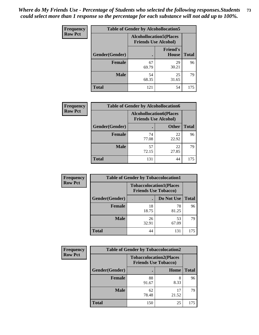| <b>Frequency</b> | <b>Table of Gender by Alcohollocation5</b> |             |                                                                |              |
|------------------|--------------------------------------------|-------------|----------------------------------------------------------------|--------------|
| <b>Row Pct</b>   |                                            |             | <b>Alcohollocation5</b> (Places<br><b>Friends Use Alcohol)</b> |              |
|                  | Gender(Gender)                             | $\bullet$   | <b>Friend's</b><br>House                                       | <b>Total</b> |
|                  | <b>Female</b>                              | 67<br>69.79 | 29<br>30.21                                                    | 96           |
|                  | <b>Male</b>                                | 54<br>68.35 | 25<br>31.65                                                    | 79           |
|                  | <b>Total</b>                               | 121         | 54                                                             | 175          |

| Frequency      | <b>Table of Gender by Alcohollocation6</b> |                                                               |              |              |
|----------------|--------------------------------------------|---------------------------------------------------------------|--------------|--------------|
| <b>Row Pct</b> |                                            | <b>Alcohollocation6(Places</b><br><b>Friends Use Alcohol)</b> |              |              |
|                | <b>Gender</b> (Gender)                     |                                                               | <b>Other</b> | <b>Total</b> |
|                | Female                                     | 74<br>77.08                                                   | 22<br>22.92  | 96           |
|                | <b>Male</b>                                | 57<br>72.15                                                   | 22<br>27.85  | 79           |
|                | <b>Total</b>                               | 131                                                           | 44           | 175          |

| Frequency      | <b>Table of Gender by Tobaccolocation1</b> |                                                               |             |              |  |
|----------------|--------------------------------------------|---------------------------------------------------------------|-------------|--------------|--|
| <b>Row Pct</b> |                                            | <b>Tobaccolocation1(Places</b><br><b>Friends Use Tobacco)</b> |             |              |  |
|                | Gender(Gender)                             |                                                               | Do Not Use  | <b>Total</b> |  |
|                | Female                                     | 18<br>18.75                                                   | 78<br>81.25 | 96           |  |
|                | <b>Male</b>                                | 26<br>32.91                                                   | 53<br>67.09 | 79           |  |
|                | <b>Total</b>                               | 44                                                            | 131         | 175          |  |

| <b>Frequency</b> | <b>Table of Gender by Tobaccolocation2</b> |                             |                                |              |
|------------------|--------------------------------------------|-----------------------------|--------------------------------|--------------|
| <b>Row Pct</b>   |                                            | <b>Friends Use Tobacco)</b> | <b>Tobaccolocation2(Places</b> |              |
|                  | Gender(Gender)                             |                             | Home                           | <b>Total</b> |
|                  | Female                                     | 88<br>91.67                 | 8<br>8.33                      | 96           |
|                  | <b>Male</b>                                | 62<br>78.48                 | 17<br>21.52                    | 79           |
|                  | <b>Total</b>                               | 150                         | 25                             | 175          |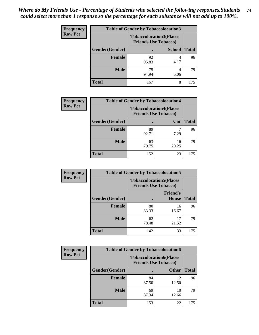| <b>Frequency</b> | <b>Table of Gender by Tobaccolocation3</b> |             |                                                               |              |  |
|------------------|--------------------------------------------|-------------|---------------------------------------------------------------|--------------|--|
| <b>Row Pct</b>   |                                            |             | <b>Tobaccolocation3(Places</b><br><b>Friends Use Tobacco)</b> |              |  |
|                  | Gender(Gender)                             |             | <b>School</b>                                                 | <b>Total</b> |  |
|                  | <b>Female</b>                              | 92<br>95.83 | 4.17                                                          | 96           |  |
|                  | <b>Male</b>                                | 75<br>94.94 | 5.06                                                          | 79           |  |
|                  | Total                                      | 167         | 8                                                             | 175          |  |

| <b>Frequency</b> | <b>Table of Gender by Tobaccolocation4</b> |             |                                                               |              |
|------------------|--------------------------------------------|-------------|---------------------------------------------------------------|--------------|
| <b>Row Pct</b>   |                                            |             | <b>Tobaccolocation4(Places</b><br><b>Friends Use Tobacco)</b> |              |
|                  | Gender(Gender)                             |             | Car                                                           | <b>Total</b> |
|                  | Female                                     | 89<br>92.71 | 7.29                                                          | 96           |
|                  | <b>Male</b>                                | 63<br>79.75 | 16<br>20.25                                                   | 79           |
|                  | <b>Total</b>                               | 152         | 23                                                            | 175          |

| <b>Frequency</b> | <b>Table of Gender by Tobaccolocation5</b> |                                                               |                                 |              |
|------------------|--------------------------------------------|---------------------------------------------------------------|---------------------------------|--------------|
| <b>Row Pct</b>   |                                            | <b>Tobaccolocation5(Places</b><br><b>Friends Use Tobacco)</b> |                                 |              |
|                  | Gender(Gender)                             |                                                               | <b>Friend's</b><br><b>House</b> | <b>Total</b> |
|                  | Female                                     | 80<br>83.33                                                   | 16<br>16.67                     | 96           |
|                  | <b>Male</b>                                | 62<br>78.48                                                   | 17<br>21.52                     | 79           |
|                  | <b>Total</b>                               | 142                                                           | 33                              | 175          |

| <b>Frequency</b> |                | <b>Table of Gender by Tobaccolocation6</b> |                                |              |
|------------------|----------------|--------------------------------------------|--------------------------------|--------------|
| <b>Row Pct</b>   |                | <b>Friends Use Tobacco)</b>                | <b>Tobaccolocation6(Places</b> |              |
|                  | Gender(Gender) |                                            | <b>Other</b>                   | <b>Total</b> |
|                  | Female         | 84<br>87.50                                | 12<br>12.50                    | 96           |
|                  | <b>Male</b>    | 69<br>87.34                                | 10<br>12.66                    | 79           |
|                  | <b>Total</b>   | 153                                        | 22                             | 175          |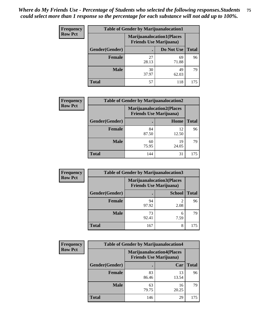| <b>Frequency</b> | <b>Table of Gender by Marijuanalocation1</b> |                                                                    |             |              |
|------------------|----------------------------------------------|--------------------------------------------------------------------|-------------|--------------|
| <b>Row Pct</b>   |                                              | <b>Marijuanalocation1(Places</b><br><b>Friends Use Marijuana</b> ) |             |              |
|                  | <b>Gender</b> (Gender)                       |                                                                    | Do Not Use  | <b>Total</b> |
|                  | <b>Female</b>                                | 27<br>28.13                                                        | 69<br>71.88 | 96           |
|                  | <b>Male</b>                                  | 30<br>37.97                                                        | 49<br>62.03 | 79           |
|                  | <b>Total</b>                                 | 57                                                                 | 118         | 175          |

| <b>Frequency</b> | <b>Table of Gender by Marijuanalocation2</b> |                                                                    |             |              |
|------------------|----------------------------------------------|--------------------------------------------------------------------|-------------|--------------|
| <b>Row Pct</b>   |                                              | <b>Marijuanalocation2(Places</b><br><b>Friends Use Marijuana</b> ) |             |              |
|                  | Gender(Gender)                               |                                                                    | Home        | <b>Total</b> |
|                  | <b>Female</b>                                | 84<br>87.50                                                        | 12<br>12.50 | 96           |
|                  | <b>Male</b>                                  | 60<br>75.95                                                        | 19<br>24.05 | 79           |
|                  | <b>Total</b>                                 | 144                                                                | 31          | 175          |

| Frequency      | <b>Table of Gender by Marijuanalocation3</b> |             |                                                                    |              |
|----------------|----------------------------------------------|-------------|--------------------------------------------------------------------|--------------|
| <b>Row Pct</b> |                                              |             | <b>Marijuanalocation3(Places</b><br><b>Friends Use Marijuana</b> ) |              |
|                | Gender(Gender)                               |             | <b>School</b>                                                      | <b>Total</b> |
|                | Female                                       | 94<br>97.92 | ി<br>2.08                                                          | 96           |
|                | <b>Male</b>                                  | 73<br>92.41 | 6<br>7.59                                                          | 79           |
|                | <b>Total</b>                                 | 167         | 8                                                                  | 175          |

| <b>Frequency</b> | <b>Table of Gender by Marijuanalocation4</b> |             |                                                                    |              |
|------------------|----------------------------------------------|-------------|--------------------------------------------------------------------|--------------|
| <b>Row Pct</b>   |                                              |             | <b>Marijuanalocation4(Places</b><br><b>Friends Use Marijuana</b> ) |              |
|                  | Gender(Gender)                               |             | Car                                                                | <b>Total</b> |
|                  | Female                                       | 83<br>86.46 | 13<br>13.54                                                        | 96           |
|                  | <b>Male</b>                                  | 63<br>79.75 | 16<br>20.25                                                        | 79           |
|                  | <b>Total</b>                                 | 146         | 29                                                                 | 175          |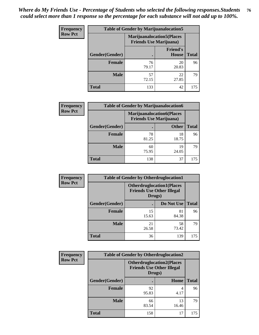| <b>Frequency</b> | <b>Table of Gender by Marijuanalocation5</b> |                                                                     |                                 |              |
|------------------|----------------------------------------------|---------------------------------------------------------------------|---------------------------------|--------------|
| <b>Row Pct</b>   |                                              | <b>Marijuanalocation5</b> (Places<br><b>Friends Use Marijuana</b> ) |                                 |              |
|                  | Gender(Gender)                               |                                                                     | <b>Friend's</b><br><b>House</b> | <b>Total</b> |
|                  | Female                                       | 76<br>79.17                                                         | 20<br>20.83                     | 96           |
|                  | <b>Male</b>                                  | 57<br>72.15                                                         | 22<br>27.85                     | 79           |
|                  | <b>Total</b>                                 | 133                                                                 | 42                              | 175          |

| <b>Frequency</b> | <b>Table of Gender by Marijuanalocation6</b> |                                                                    |              |              |
|------------------|----------------------------------------------|--------------------------------------------------------------------|--------------|--------------|
| <b>Row Pct</b>   |                                              | <b>Marijuanalocation6(Places</b><br><b>Friends Use Marijuana</b> ) |              |              |
|                  | <b>Gender</b> (Gender)                       |                                                                    | <b>Other</b> | <b>Total</b> |
|                  | <b>Female</b>                                | 78<br>81.25                                                        | 18<br>18.75  | 96           |
|                  | <b>Male</b>                                  | 60<br>75.95                                                        | 19<br>24.05  | 79           |
|                  | <b>Total</b>                                 | 138                                                                | 37           | 175          |

| <b>Frequency</b> | <b>Table of Gender by Otherdruglocation1</b> |                                                                                |             |              |
|------------------|----------------------------------------------|--------------------------------------------------------------------------------|-------------|--------------|
| <b>Row Pct</b>   |                                              | <b>Otherdruglocation1(Places</b><br><b>Friends Use Other Illegal</b><br>Drugs) |             |              |
|                  | Gender(Gender)                               |                                                                                | Do Not Use  | <b>Total</b> |
|                  | <b>Female</b>                                | 15<br>15.63                                                                    | 81<br>84.38 | 96           |
|                  | <b>Male</b>                                  | 21<br>26.58                                                                    | 58<br>73.42 | 79           |
|                  | <b>Total</b>                                 | 36                                                                             | 139         | 175          |

| Frequency      | <b>Table of Gender by Otherdruglocation2</b> |                                                                                |             |              |
|----------------|----------------------------------------------|--------------------------------------------------------------------------------|-------------|--------------|
| <b>Row Pct</b> |                                              | <b>Otherdruglocation2(Places</b><br><b>Friends Use Other Illegal</b><br>Drugs) |             |              |
|                | Gender(Gender)                               |                                                                                | Home        | <b>Total</b> |
|                | Female                                       | 92<br>95.83                                                                    | 4<br>4.17   | 96           |
|                | <b>Male</b>                                  | 66<br>83.54                                                                    | 13<br>16.46 | 79           |
|                | <b>Total</b>                                 | 158                                                                            | 17          | 175          |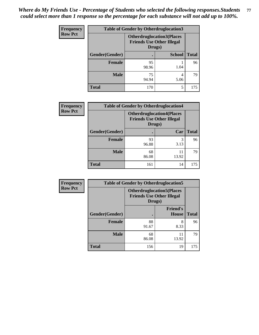| Frequency      | <b>Table of Gender by Otherdruglocation3</b> |                                                                                |               |              |
|----------------|----------------------------------------------|--------------------------------------------------------------------------------|---------------|--------------|
| <b>Row Pct</b> |                                              | <b>Otherdruglocation3(Places</b><br><b>Friends Use Other Illegal</b><br>Drugs) |               |              |
|                | Gender(Gender)                               |                                                                                | <b>School</b> | <b>Total</b> |
|                | Female                                       | 95<br>98.96                                                                    | 1.04          | 96           |
|                | <b>Male</b>                                  | 75<br>94.94                                                                    | 4<br>5.06     | 79           |
|                | <b>Total</b>                                 | 170                                                                            | 5             | 175          |

| Frequency      | <b>Table of Gender by Otherdruglocation4</b> |                                            |                                  |              |
|----------------|----------------------------------------------|--------------------------------------------|----------------------------------|--------------|
| <b>Row Pct</b> |                                              | <b>Friends Use Other Illegal</b><br>Drugs) | <b>Otherdruglocation4(Places</b> |              |
|                | Gender(Gender)                               |                                            | Car                              | <b>Total</b> |
|                | Female                                       | 93<br>96.88                                | 3<br>3.13                        | 96           |
|                | <b>Male</b>                                  | 68<br>86.08                                | 11<br>13.92                      | 79           |
|                | <b>Total</b>                                 | 161                                        | 14                               | 175          |

| <b>Frequency</b> | <b>Table of Gender by Otherdruglocation5</b> |                                            |                                  |              |
|------------------|----------------------------------------------|--------------------------------------------|----------------------------------|--------------|
| <b>Row Pct</b>   |                                              | <b>Friends Use Other Illegal</b><br>Drugs) | <b>Otherdruglocation5(Places</b> |              |
|                  | Gender(Gender)                               |                                            | <b>Friend's</b><br><b>House</b>  | <b>Total</b> |
|                  | <b>Female</b>                                | 88<br>91.67                                | 8<br>8.33                        | 96           |
|                  | <b>Male</b>                                  | 68<br>86.08                                | 11<br>13.92                      | 79           |
|                  | <b>Total</b>                                 | 156                                        | 19                               | 175          |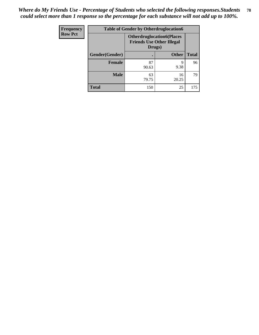| <b>Frequency</b> | <b>Table of Gender by Otherdruglocation6</b> |                                                                                |              |              |
|------------------|----------------------------------------------|--------------------------------------------------------------------------------|--------------|--------------|
| <b>Row Pct</b>   |                                              | <b>Otherdruglocation6(Places</b><br><b>Friends Use Other Illegal</b><br>Drugs) |              |              |
|                  | Gender(Gender)                               |                                                                                | <b>Other</b> | <b>Total</b> |
|                  | Female                                       | 87<br>90.63                                                                    | 9<br>9.38    | 96           |
|                  | <b>Male</b>                                  | 63<br>79.75                                                                    | 16<br>20.25  | 79           |
|                  | <b>Total</b>                                 | 150                                                                            | 25           | 175          |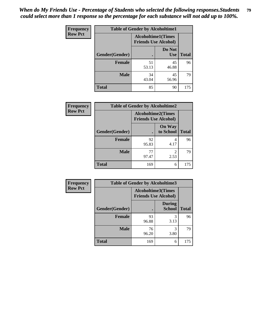| <b>Frequency</b> | <b>Table of Gender by Alcoholtime1</b> |                                                          |                      |              |
|------------------|----------------------------------------|----------------------------------------------------------|----------------------|--------------|
| <b>Row Pct</b>   |                                        | <b>Alcoholtime1(Times</b><br><b>Friends Use Alcohol)</b> |                      |              |
|                  | Gender(Gender)                         | $\bullet$                                                | Do Not<br><b>Use</b> | <b>Total</b> |
|                  | <b>Female</b>                          | 51<br>53.13                                              | 45<br>46.88          | 96           |
|                  | <b>Male</b>                            | 34<br>43.04                                              | 45<br>56.96          | 79           |
|                  | <b>Total</b>                           | 85                                                       | 90                   | 175          |

| <b>Frequency</b> | <b>Table of Gender by Alcoholtime2</b> |                                                          |                            |              |
|------------------|----------------------------------------|----------------------------------------------------------|----------------------------|--------------|
| <b>Row Pct</b>   |                                        | <b>Alcoholtime2(Times</b><br><b>Friends Use Alcohol)</b> |                            |              |
|                  | Gender(Gender)                         |                                                          | <b>On Way</b><br>to School | <b>Total</b> |
|                  | <b>Female</b>                          | 92<br>95.83                                              | 4<br>4.17                  | 96           |
|                  | <b>Male</b>                            | 77<br>97.47                                              | 2<br>2.53                  | 79           |
|                  | <b>Total</b>                           | 169                                                      | 6                          | 175          |

| Frequency      | <b>Table of Gender by Alcoholtime3</b> |                                                          |                                |              |
|----------------|----------------------------------------|----------------------------------------------------------|--------------------------------|--------------|
| <b>Row Pct</b> |                                        | <b>Alcoholtime3(Times</b><br><b>Friends Use Alcohol)</b> |                                |              |
|                | Gender(Gender)                         |                                                          | <b>During</b><br><b>School</b> | <b>Total</b> |
|                | Female                                 | 93<br>96.88                                              | 3<br>3.13                      | 96           |
|                | <b>Male</b>                            | 76<br>96.20                                              | 3<br>3.80                      | 79           |
|                | <b>Total</b>                           | 169                                                      | 6                              | 175          |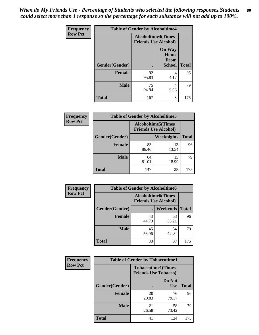*When do My Friends Use - Percentage of Students who selected the following responses.Students could select more than 1 response so the percentage for each substance will not add up to 100%.* **80**

| <b>Frequency</b> | <b>Table of Gender by Alcoholtime4</b> |                                                          |                                         |              |
|------------------|----------------------------------------|----------------------------------------------------------|-----------------------------------------|--------------|
| <b>Row Pct</b>   |                                        | <b>Alcoholtime4(Times</b><br><b>Friends Use Alcohol)</b> |                                         |              |
|                  | Gender(Gender)                         |                                                          | <b>On Way</b><br>Home<br>From<br>School | <b>Total</b> |
|                  | <b>Female</b>                          | 92<br>95.83                                              | 4<br>4.17                               | 96           |
|                  | <b>Male</b>                            | 75<br>94.94                                              | 4<br>5.06                               | 79           |
|                  | <b>Total</b>                           | 167                                                      | 8                                       | 175          |

| <b>Frequency</b> | <b>Table of Gender by Alcoholtime5</b> |                                                   |             |              |
|------------------|----------------------------------------|---------------------------------------------------|-------------|--------------|
| <b>Row Pct</b>   |                                        | Alcoholtime5(Times<br><b>Friends Use Alcohol)</b> |             |              |
|                  | Gender(Gender)                         |                                                   | Weeknights  | <b>Total</b> |
|                  | <b>Female</b>                          | 83<br>86.46                                       | 13<br>13.54 | 96           |
|                  | <b>Male</b>                            | 64<br>81.01                                       | 15<br>18.99 | 79           |
|                  | <b>Total</b>                           | 147                                               | 28          | 175          |

| <b>Frequency</b> | <b>Table of Gender by Alcoholtime6</b> |             |                                                           |              |
|------------------|----------------------------------------|-------------|-----------------------------------------------------------|--------------|
| <b>Row Pct</b>   |                                        |             | <b>Alcoholtime6</b> (Times<br><b>Friends Use Alcohol)</b> |              |
|                  | Gender(Gender)                         |             | <b>Weekends</b>                                           | <b>Total</b> |
|                  | Female                                 | 43<br>44.79 | 53<br>55.21                                               | 96           |
|                  | <b>Male</b>                            | 45<br>56.96 | 34<br>43.04                                               | 79           |
|                  | <b>Total</b>                           | 88          | 87                                                        | 175          |

| <b>Frequency</b> | <b>Table of Gender by Tobaccotime1</b> |                                                          |                      |              |
|------------------|----------------------------------------|----------------------------------------------------------|----------------------|--------------|
| <b>Row Pct</b>   |                                        | <b>Tobaccotime1(Times</b><br><b>Friends Use Tobacco)</b> |                      |              |
|                  | Gender(Gender)                         |                                                          | Do Not<br><b>Use</b> | <b>Total</b> |
|                  | <b>Female</b>                          | 20<br>20.83                                              | 76<br>79.17          | 96           |
|                  | <b>Male</b>                            | 21<br>26.58                                              | 58<br>73.42          | 79           |
|                  | <b>Total</b>                           | 41                                                       | 134                  | 175          |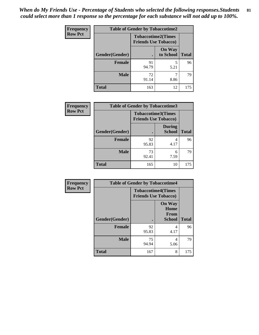*When do My Friends Use - Percentage of Students who selected the following responses.Students could select more than 1 response so the percentage for each substance will not add up to 100%.* **81**

| <b>Frequency</b> | <b>Table of Gender by Tobaccotime2</b> |                                                          |                            |              |
|------------------|----------------------------------------|----------------------------------------------------------|----------------------------|--------------|
| <b>Row Pct</b>   |                                        | <b>Tobaccotime2(Times</b><br><b>Friends Use Tobacco)</b> |                            |              |
|                  | Gender(Gender)                         | $\bullet$                                                | <b>On Way</b><br>to School | <b>Total</b> |
|                  | Female                                 | 91<br>94.79                                              | 5<br>5.21                  | 96           |
|                  | <b>Male</b>                            | 72<br>91.14                                              | 8.86                       | 79           |
|                  | <b>Total</b>                           | 163                                                      | 12                         | 175          |

| <b>Frequency</b> | <b>Table of Gender by Tobaccotime3</b> |                                                          |                                |              |
|------------------|----------------------------------------|----------------------------------------------------------|--------------------------------|--------------|
| <b>Row Pct</b>   |                                        | <b>Tobaccotime3(Times</b><br><b>Friends Use Tobacco)</b> |                                |              |
|                  | Gender(Gender)                         |                                                          | <b>During</b><br><b>School</b> | <b>Total</b> |
|                  | Female                                 | 92<br>95.83                                              | 4<br>4.17                      | 96           |
|                  | <b>Male</b>                            | 73<br>92.41                                              | 6<br>7.59                      | 79           |
|                  | <b>Total</b>                           | 165                                                      | 10                             | 175          |

| <b>Frequency</b> | <b>Table of Gender by Tobaccotime4</b> |                                                          |                                                       |              |
|------------------|----------------------------------------|----------------------------------------------------------|-------------------------------------------------------|--------------|
| <b>Row Pct</b>   |                                        | <b>Tobaccotime4(Times</b><br><b>Friends Use Tobacco)</b> |                                                       |              |
|                  | Gender(Gender)                         |                                                          | <b>On Way</b><br>Home<br><b>From</b><br><b>School</b> | <b>Total</b> |
|                  | <b>Female</b>                          | 92<br>95.83                                              | 4<br>4.17                                             | 96           |
|                  | <b>Male</b>                            | 75<br>94.94                                              | 4<br>5.06                                             | 79           |
|                  | <b>Total</b>                           | 167                                                      | 8                                                     | 175          |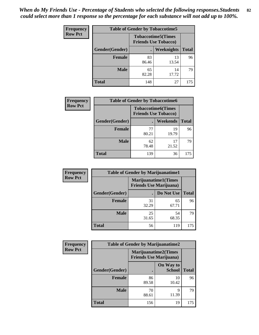| <b>Frequency</b> | <b>Table of Gender by Tobaccotime5</b> |             |                                                           |              |  |
|------------------|----------------------------------------|-------------|-----------------------------------------------------------|--------------|--|
| <b>Row Pct</b>   |                                        |             | <b>Tobaccotime5</b> (Times<br><b>Friends Use Tobacco)</b> |              |  |
|                  | Gender(Gender)                         |             | Weeknights                                                | <b>Total</b> |  |
|                  | <b>Female</b>                          | 83<br>86.46 | 13<br>13.54                                               | 96           |  |
|                  | <b>Male</b>                            | 65<br>82.28 | 14<br>17.72                                               | 79           |  |
|                  | Total                                  | 148         | 27                                                        | 175          |  |

| <b>Frequency</b> | <b>Table of Gender by Tobaccotime6</b> |                                                          |             |              |
|------------------|----------------------------------------|----------------------------------------------------------|-------------|--------------|
| <b>Row Pct</b>   |                                        | <b>Tobaccotime6(Times</b><br><b>Friends Use Tobacco)</b> |             |              |
|                  | Gender(Gender)                         |                                                          | Weekends    | <b>Total</b> |
|                  | Female                                 | 77<br>80.21                                              | 19<br>19.79 | 96           |
|                  | <b>Male</b>                            | 62<br>78.48                                              | 17<br>21.52 | 79           |
|                  | <b>Total</b>                           | 139                                                      | 36          | 175          |

| Frequency      |                | <b>Table of Gender by Marijuanatime1</b> |                             |              |  |
|----------------|----------------|------------------------------------------|-----------------------------|--------------|--|
| <b>Row Pct</b> |                | <b>Friends Use Marijuana</b> )           | <b>Marijuanatime1(Times</b> |              |  |
|                | Gender(Gender) |                                          | Do Not Use                  | <b>Total</b> |  |
|                | <b>Female</b>  | 31<br>32.29                              | 65<br>67.71                 | 96           |  |
|                | <b>Male</b>    | 25<br>31.65                              | 54<br>68.35                 | 79           |  |
|                | <b>Total</b>   | 56                                       | 119                         | 175          |  |

| <b>Frequency</b> | <b>Table of Gender by Marijuanatime2</b> |                                                               |                            |              |
|------------------|------------------------------------------|---------------------------------------------------------------|----------------------------|--------------|
| <b>Row Pct</b>   |                                          | <b>Marijuanatime2(Times</b><br><b>Friends Use Marijuana</b> ) |                            |              |
|                  | Gender(Gender)                           |                                                               | On Way to<br><b>School</b> | <b>Total</b> |
|                  | <b>Female</b>                            | 86<br>89.58                                                   | 10<br>10.42                | 96           |
|                  | <b>Male</b>                              | 70<br>88.61                                                   | 9<br>11.39                 | 79           |
|                  | <b>Total</b>                             | 156                                                           | 19                         | 175          |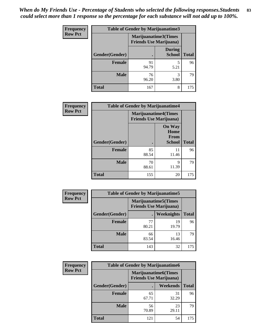| Frequency      | Table of Gender by Marijuanatime3 |                                                        |                                |              |
|----------------|-----------------------------------|--------------------------------------------------------|--------------------------------|--------------|
| <b>Row Pct</b> |                                   | Marijuanatime3(Times<br><b>Friends Use Marijuana</b> ) |                                |              |
|                | Gender(Gender)                    |                                                        | <b>During</b><br><b>School</b> | <b>Total</b> |
|                | <b>Female</b>                     | 91<br>94.79                                            | 5<br>5.21                      | 96           |
|                | <b>Male</b>                       | 76<br>96.20                                            | 3<br>3.80                      | 79           |
|                | <b>Total</b>                      | 167                                                    | 8                              | 175          |

| Frequency      | <b>Table of Gender by Marijuanatime4</b> |                                                               |                                                |              |
|----------------|------------------------------------------|---------------------------------------------------------------|------------------------------------------------|--------------|
| <b>Row Pct</b> |                                          | <b>Marijuanatime4(Times</b><br><b>Friends Use Marijuana</b> ) |                                                |              |
|                | Gender(Gender)                           |                                                               | <b>On Way</b><br>Home<br>From<br><b>School</b> | <b>Total</b> |
|                | <b>Female</b>                            | 85<br>88.54                                                   | 11<br>11.46                                    | 96           |
|                | <b>Male</b>                              | 70<br>88.61                                                   | 9<br>11.39                                     | 79           |
|                | <b>Total</b>                             | 155                                                           | 20                                             | 175          |

| Frequency      | <b>Table of Gender by Marijuanatime5</b> |             |                                                                |              |  |  |
|----------------|------------------------------------------|-------------|----------------------------------------------------------------|--------------|--|--|
| <b>Row Pct</b> |                                          |             | <b>Marijuanatime5</b> (Times<br><b>Friends Use Marijuana</b> ) |              |  |  |
|                | Gender(Gender)                           | ٠           | Weeknights                                                     | <b>Total</b> |  |  |
|                | <b>Female</b>                            | 77<br>80.21 | 19<br>19.79                                                    | 96           |  |  |
|                | <b>Male</b>                              | 66<br>83.54 | 13<br>16.46                                                    | 79           |  |  |
|                | <b>Total</b>                             | 143         | 32                                                             | 175          |  |  |

| Frequency      | <b>Table of Gender by Marijuanatime6</b> |                                                               |                 |              |  |
|----------------|------------------------------------------|---------------------------------------------------------------|-----------------|--------------|--|
| <b>Row Pct</b> |                                          | <b>Marijuanatime6(Times</b><br><b>Friends Use Marijuana</b> ) |                 |              |  |
|                | Gender(Gender)                           |                                                               | <b>Weekends</b> | <b>Total</b> |  |
|                | Female                                   | 65<br>67.71                                                   | 31<br>32.29     | 96           |  |
|                | <b>Male</b>                              | 56<br>70.89                                                   | 23<br>29.11     | 79           |  |
|                | <b>Total</b>                             | 121                                                           | 54              | 175          |  |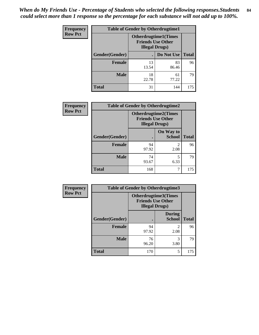*When do My Friends Use - Percentage of Students who selected the following responses.Students could select more than 1 response so the percentage for each substance will not add up to 100%.* **84**

| <b>Frequency</b> | <b>Table of Gender by Otherdrugtime1</b> |                                                                                   |             |              |  |
|------------------|------------------------------------------|-----------------------------------------------------------------------------------|-------------|--------------|--|
| <b>Row Pct</b>   |                                          | <b>Otherdrugtime1</b> (Times<br><b>Friends Use Other</b><br><b>Illegal Drugs)</b> |             |              |  |
|                  | Gender(Gender)                           |                                                                                   | Do Not Use  | <b>Total</b> |  |
|                  | <b>Female</b>                            | 13<br>13.54                                                                       | 83<br>86.46 | 96           |  |
|                  | <b>Male</b>                              | 18<br>22.78                                                                       | 61<br>77.22 | 79           |  |
|                  | <b>Total</b>                             | 31                                                                                | 144         | 175          |  |

| Frequency      | <b>Table of Gender by Otherdrugtime2</b> |                                                                                   |                            |              |  |  |
|----------------|------------------------------------------|-----------------------------------------------------------------------------------|----------------------------|--------------|--|--|
| <b>Row Pct</b> |                                          | <b>Otherdrugtime2(Times</b><br><b>Friends Use Other</b><br><b>Illegal Drugs</b> ) |                            |              |  |  |
|                | Gender(Gender)                           |                                                                                   | On Way to<br><b>School</b> | <b>Total</b> |  |  |
|                | <b>Female</b>                            | 94<br>97.92                                                                       | $\mathfrak{D}$<br>2.08     | 96           |  |  |
|                | <b>Male</b>                              | 74<br>93.67                                                                       | 5<br>6.33                  | 79           |  |  |
|                | <b>Total</b>                             | 168                                                                               | 7                          | 175          |  |  |

| <b>Frequency</b> |                | <b>Table of Gender by Otherdrugtime3</b>          |                                |              |
|------------------|----------------|---------------------------------------------------|--------------------------------|--------------|
| <b>Row Pct</b>   |                | <b>Friends Use Other</b><br><b>Illegal Drugs)</b> | Otherdrugtime3(Times           |              |
|                  | Gender(Gender) |                                                   | <b>During</b><br><b>School</b> | <b>Total</b> |
|                  | <b>Female</b>  | 94<br>97.92                                       | $\mathfrak{D}$<br>2.08         | 96           |
|                  | <b>Male</b>    | 76<br>96.20                                       | 3<br>3.80                      | 79           |
|                  | <b>Total</b>   | 170                                               | 5                              | 175          |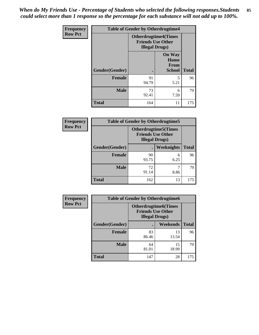*When do My Friends Use - Percentage of Students who selected the following responses.Students could select more than 1 response so the percentage for each substance will not add up to 100%.* **85**

| Frequency      | <b>Table of Gender by Otherdrugtime4</b> |                                                                                   |                                                |              |  |
|----------------|------------------------------------------|-----------------------------------------------------------------------------------|------------------------------------------------|--------------|--|
| <b>Row Pct</b> |                                          | <b>Otherdrugtime4(Times</b><br><b>Friends Use Other</b><br><b>Illegal Drugs</b> ) |                                                |              |  |
|                | Gender(Gender)                           |                                                                                   | <b>On Way</b><br>Home<br>From<br><b>School</b> | <b>Total</b> |  |
|                | <b>Female</b>                            | 91<br>94.79                                                                       | 5<br>5.21                                      | 96           |  |
|                | <b>Male</b>                              | 73<br>92.41                                                                       | 6<br>7.59                                      | 79           |  |
|                | <b>Total</b>                             | 164                                                                               | 11                                             | 175          |  |

| <b>Frequency</b> | <b>Table of Gender by Otherdrugtime5</b> |                                                                                    |            |              |  |
|------------------|------------------------------------------|------------------------------------------------------------------------------------|------------|--------------|--|
| <b>Row Pct</b>   |                                          | <b>Otherdrugtime5</b> (Times<br><b>Friends Use Other</b><br><b>Illegal Drugs</b> ) |            |              |  |
|                  | Gender(Gender)                           |                                                                                    | Weeknights | <b>Total</b> |  |
|                  | <b>Female</b>                            | 90<br>93.75                                                                        | 6<br>6.25  | 96           |  |
|                  | <b>Male</b>                              | 72<br>91.14                                                                        | 8.86       | 79           |  |
|                  | <b>Total</b>                             | 162                                                                                | 13         | 175          |  |

| Frequency      | <b>Table of Gender by Otherdrugtime6</b> |                                                                                   |             |              |  |
|----------------|------------------------------------------|-----------------------------------------------------------------------------------|-------------|--------------|--|
| <b>Row Pct</b> |                                          | <b>Otherdrugtime6(Times</b><br><b>Friends Use Other</b><br><b>Illegal Drugs</b> ) |             |              |  |
|                | Gender(Gender)                           |                                                                                   | Weekends    | <b>Total</b> |  |
|                | <b>Female</b>                            | 83<br>86.46                                                                       | 13<br>13.54 | 96           |  |
|                | <b>Male</b>                              | 64<br>81.01                                                                       | 15<br>18.99 | 79           |  |
|                | <b>Total</b>                             | 147                                                                               | 28          | 175          |  |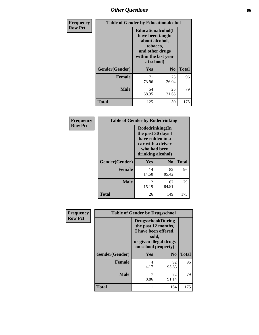## *Other Questions* **86**

| <b>Frequency</b> | <b>Table of Gender by Educationalcohol</b> |                                                                                                                                       |                |              |  |
|------------------|--------------------------------------------|---------------------------------------------------------------------------------------------------------------------------------------|----------------|--------------|--|
| <b>Row Pct</b>   |                                            | <b>Educationalcohol</b> (I<br>have been taught<br>about alcohol,<br>tobacco,<br>and other drugs<br>within the last year<br>at school) |                |              |  |
|                  | Gender(Gender)                             | <b>Yes</b>                                                                                                                            | N <sub>0</sub> | <b>Total</b> |  |
|                  | <b>Female</b>                              | 71<br>73.96                                                                                                                           | 25<br>26.04    | 96           |  |
|                  | <b>Male</b>                                | 54<br>68.35                                                                                                                           | 25<br>31.65    | 79           |  |
|                  | <b>Total</b>                               | 125                                                                                                                                   | 50             | 175          |  |

| Frequency      | <b>Table of Gender by Rodedrinking</b> |                                                                                                                     |                |              |  |
|----------------|----------------------------------------|---------------------------------------------------------------------------------------------------------------------|----------------|--------------|--|
| <b>Row Pct</b> |                                        | Rodedrinking(In<br>the past 30 days I<br>have ridden in a<br>car with a driver<br>who had been<br>drinking alcohol) |                |              |  |
|                | Gender(Gender)                         | Yes                                                                                                                 | N <sub>0</sub> | <b>Total</b> |  |
|                | <b>Female</b>                          | 14<br>14.58                                                                                                         | 82<br>85.42    | 96           |  |
|                | <b>Male</b>                            | 12<br>15.19                                                                                                         | 67<br>84.81    | 79           |  |
|                | <b>Total</b>                           | 26                                                                                                                  | 149            | 175          |  |

| Frequency      | <b>Table of Gender by Drugsschool</b> |                                                                                                                                     |                |              |
|----------------|---------------------------------------|-------------------------------------------------------------------------------------------------------------------------------------|----------------|--------------|
| <b>Row Pct</b> |                                       | <b>Drugsschool</b> (During<br>the past 12 months,<br>I have been offered,<br>sold,<br>or given illegal drugs<br>on school property) |                |              |
|                | Gender(Gender)                        | <b>Yes</b>                                                                                                                          | N <sub>0</sub> | <b>Total</b> |
|                | <b>Female</b>                         | 4<br>4.17                                                                                                                           | 92<br>95.83    | 96           |
|                | <b>Male</b>                           | 7<br>8.86                                                                                                                           | 72<br>91.14    | 79           |
|                | <b>Total</b>                          | 11                                                                                                                                  | 164            | 175          |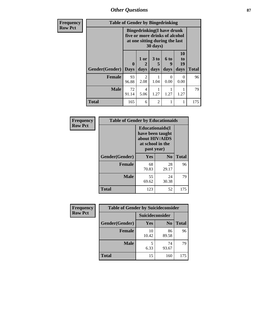*Other Questions* **87**

| Frequency      | <b>Table of Gender by Bingedrinking</b> |                                                                                                                            |                |                         |                          |                        |              |
|----------------|-----------------------------------------|----------------------------------------------------------------------------------------------------------------------------|----------------|-------------------------|--------------------------|------------------------|--------------|
| <b>Row Pct</b> |                                         | <b>Bingedrinking(I have drunk</b><br>five or more drinks of alcohol<br>at one sitting during the last<br>$30 \text{ days}$ |                |                         |                          |                        |              |
|                | Gender(Gender)                          | $\mathbf{0}$<br><b>Days</b>                                                                                                | $1$ or<br>days | 3 <sub>to</sub><br>days | <b>6 to</b><br>9<br>days | 10<br>to<br>19<br>days | <b>Total</b> |
|                | <b>Female</b>                           | 93<br>96.88                                                                                                                | 2<br>2.08      | 1.04                    | $\Omega$<br>0.00         | $\Omega$<br>0.00       | 96           |
|                | <b>Male</b>                             | 72<br>91.14                                                                                                                | 4<br>5.06      | 1.27                    | 1.27                     | 1.27                   | 79           |
|                | <b>Total</b>                            | 165                                                                                                                        | 6              | $\overline{2}$          |                          |                        | 175          |

| Frequency      | <b>Table of Gender by Educationaids</b> |                                                                                                 |             |              |
|----------------|-----------------------------------------|-------------------------------------------------------------------------------------------------|-------------|--------------|
| <b>Row Pct</b> |                                         | <b>Educationaids</b> (I<br>have been taught<br>about HIV/AIDS<br>at school in the<br>past year) |             |              |
|                | Gender(Gender)                          | Yes                                                                                             | $\bf N_0$   | <b>Total</b> |
|                | <b>Female</b>                           | 68<br>70.83                                                                                     | 28<br>29.17 | 96           |
|                | <b>Male</b>                             | 55<br>69.62                                                                                     | 24<br>30.38 | 79           |
|                | <b>Total</b>                            | 123                                                                                             | 52          | 175          |

| <b>Frequency</b> | <b>Table of Gender by Suicideconsider</b> |                 |                |              |
|------------------|-------------------------------------------|-----------------|----------------|--------------|
| <b>Row Pct</b>   |                                           | Suicideconsider |                |              |
|                  | Gender(Gender)                            | Yes             | N <sub>0</sub> | <b>Total</b> |
|                  | <b>Female</b>                             | 10<br>10.42     | 86<br>89.58    | 96           |
|                  | <b>Male</b>                               | 6.33            | 74<br>93.67    | 79           |
|                  | <b>Total</b>                              | 15              | 160            | 175          |